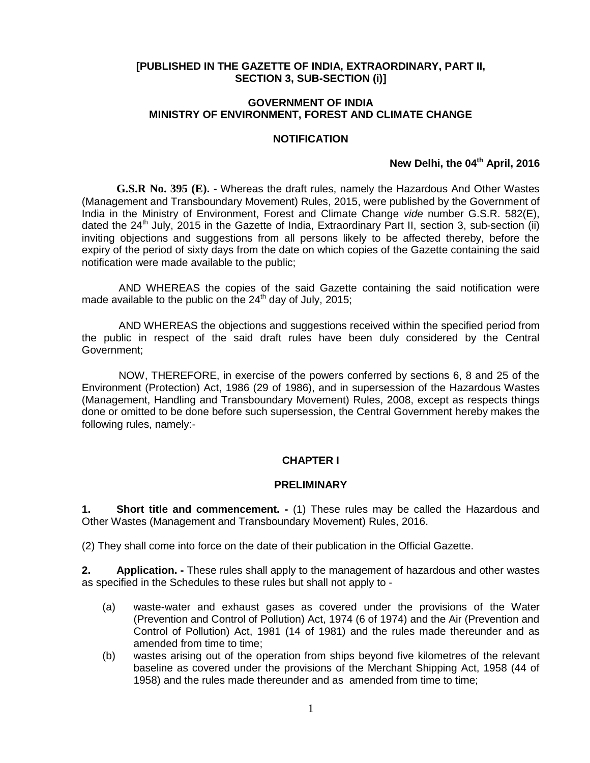#### **[PUBLISHED IN THE GAZETTE OF INDIA, EXTRAORDINARY, PART II, SECTION 3, SUB-SECTION (i)]**

#### **GOVERNMENT OF INDIA MINISTRY OF ENVIRONMENT, FOREST AND CLIMATE CHANGE**

#### **NOTIFICATION**

#### **New Delhi, the 04th April, 2016**

**G.S.R No. 395 (E). -** Whereas the draft rules, namely the Hazardous And Other Wastes (Management and Transboundary Movement) Rules, 2015, were published by the Government of India in the Ministry of Environment, Forest and Climate Change *vide* number G.S.R. 582(E), dated the  $24<sup>th</sup>$  July, 2015 in the Gazette of India, Extraordinary Part II, section 3, sub-section (ii) inviting objections and suggestions from all persons likely to be affected thereby, before the expiry of the period of sixty days from the date on which copies of the Gazette containing the said notification were made available to the public;

AND WHEREAS the copies of the said Gazette containing the said notification were made available to the public on the  $24<sup>th</sup>$  day of July, 2015;

AND WHEREAS the objections and suggestions received within the specified period from the public in respect of the said draft rules have been duly considered by the Central Government;

NOW, THEREFORE, in exercise of the powers conferred by sections 6, 8 and 25 of the Environment (Protection) Act, 1986 (29 of 1986), and in supersession of the Hazardous Wastes (Management, Handling and Transboundary Movement) Rules, 2008, except as respects things done or omitted to be done before such supersession, the Central Government hereby makes the following rules, namely:-

#### **CHAPTER I**

#### **PRELIMINARY**

**1. Short title and commencement. -** (1) These rules may be called the Hazardous and Other Wastes (Management and Transboundary Movement) Rules, 2016.

(2) They shall come into force on the date of their publication in the Official Gazette.

**2. Application. -** These rules shall apply to the management of hazardous and other wastes as specified in the Schedules to these rules but shall not apply to -

- (a) waste-water and exhaust gases as covered under the provisions of the Water (Prevention and Control of Pollution) Act, 1974 (6 of 1974) and the Air (Prevention and Control of Pollution) Act, 1981 (14 of 1981) and the rules made thereunder and as amended from time to time:
- (b) wastes arising out of the operation from ships beyond five kilometres of the relevant baseline as covered under the provisions of the Merchant Shipping Act, 1958 (44 of 1958) and the rules made thereunder and as amended from time to time;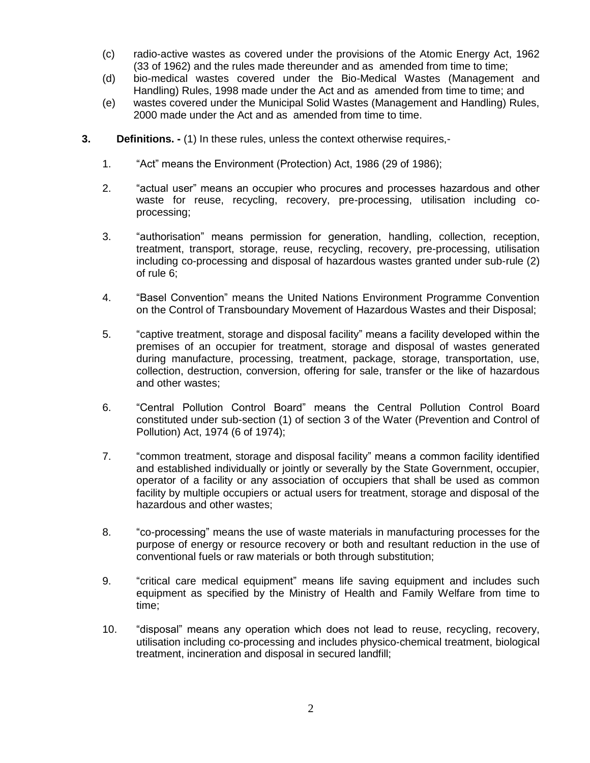- (c) radio-active wastes as covered under the provisions of the Atomic Energy Act, 1962 (33 of 1962) and the rules made thereunder and as amended from time to time;
- (d) bio-medical wastes covered under the Bio-Medical Wastes (Management and Handling) Rules, 1998 made under the Act and as amended from time to time; and
- (e) wastes covered under the Municipal Solid Wastes (Management and Handling) Rules, 2000 made under the Act and as amended from time to time.
- **3. Definitions. -** (1) In these rules, unless the context otherwise requires,-
	- 1. "Act" means the Environment (Protection) Act, 1986 (29 of 1986);
	- 2. "actual user" means an occupier who procures and processes hazardous and other waste for reuse, recycling, recovery, pre-processing, utilisation including coprocessing;
	- 3. "authorisation" means permission for generation, handling, collection, reception, treatment, transport, storage, reuse, recycling, recovery, pre-processing, utilisation including co-processing and disposal of hazardous wastes granted under sub-rule (2) of rule 6;
	- 4. "Basel Convention" means the United Nations Environment Programme Convention on the Control of Transboundary Movement of Hazardous Wastes and their Disposal;
	- 5. "captive treatment, storage and disposal facility" means a facility developed within the premises of an occupier for treatment, storage and disposal of wastes generated during manufacture, processing, treatment, package, storage, transportation, use, collection, destruction, conversion, offering for sale, transfer or the like of hazardous and other wastes;
	- 6. "Central Pollution Control Board" means the Central Pollution Control Board constituted under sub-section (1) of section 3 of the Water (Prevention and Control of Pollution) Act, 1974 (6 of 1974);
	- 7. "common treatment, storage and disposal facility" means a common facility identified and established individually or jointly or severally by the State Government, occupier, operator of a facility or any association of occupiers that shall be used as common facility by multiple occupiers or actual users for treatment, storage and disposal of the hazardous and other wastes;
	- 8. "co-processing" means the use of waste materials in manufacturing processes for the purpose of energy or resource recovery or both and resultant reduction in the use of conventional fuels or raw materials or both through substitution;
	- 9. "critical care medical equipment" means life saving equipment and includes such equipment as specified by the Ministry of Health and Family Welfare from time to time;
	- 10. "disposal" means any operation which does not lead to reuse, recycling, recovery, utilisation including co-processing and includes physico-chemical treatment, biological treatment, incineration and disposal in secured landfill;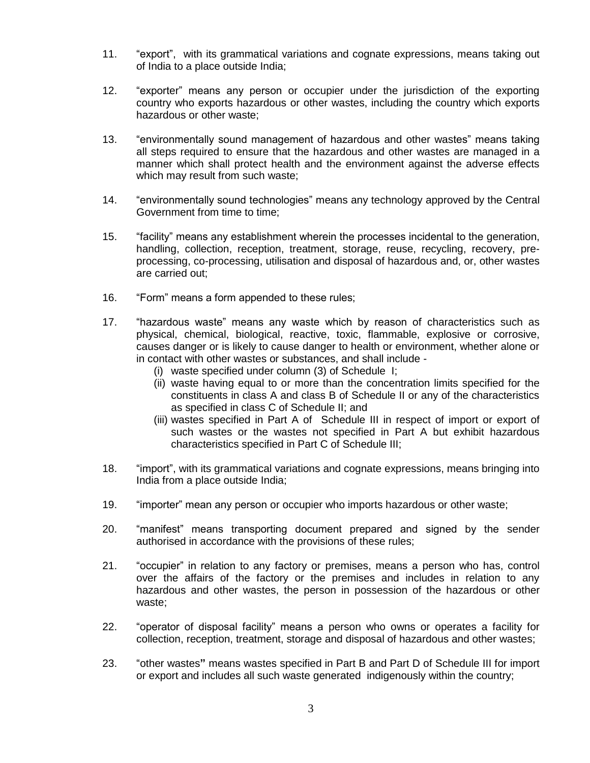- 11. "export", with its grammatical variations and cognate expressions, means taking out of India to a place outside India;
- 12. "exporter" means any person or occupier under the jurisdiction of the exporting country who exports hazardous or other wastes, including the country which exports hazardous or other waste;
- 13. "environmentally sound management of hazardous and other wastes" means taking all steps required to ensure that the hazardous and other wastes are managed in a manner which shall protect health and the environment against the adverse effects which may result from such waste;
- 14. "environmentally sound technologies" means any technology approved by the Central Government from time to time;
- 15. "facility" means any establishment wherein the processes incidental to the generation, handling, collection, reception, treatment, storage, reuse, recycling, recovery, preprocessing, co-processing, utilisation and disposal of hazardous and, or, other wastes are carried out;
- 16. "Form" means a form appended to these rules;
- 17. "hazardous waste" means any waste which by reason of characteristics such as physical, chemical, biological, reactive, toxic, flammable, explosive or corrosive, causes danger or is likely to cause danger to health or environment, whether alone or in contact with other wastes or substances, and shall include -
	- (i) waste specified under column (3) of Schedule I;
	- (ii) waste having equal to or more than the concentration limits specified for the constituents in class A and class B of Schedule II or any of the characteristics as specified in class C of Schedule II; and
	- (iii) wastes specified in Part A of Schedule III in respect of import or export of such wastes or the wastes not specified in Part A but exhibit hazardous characteristics specified in Part C of Schedule III;
- 18. "import", with its grammatical variations and cognate expressions, means bringing into India from a place outside India;
- 19. "importer" mean any person or occupier who imports hazardous or other waste;
- 20. "manifest" means transporting document prepared and signed by the sender authorised in accordance with the provisions of these rules;
- 21. "occupier" in relation to any factory or premises, means a person who has, control over the affairs of the factory or the premises and includes in relation to any hazardous and other wastes, the person in possession of the hazardous or other waste;
- 22. "operator of disposal facility" means a person who owns or operates a facility for collection, reception, treatment, storage and disposal of hazardous and other wastes;
- 23. "other wastes**"** means wastes specified in Part B and Part D of Schedule III for import or export and includes all such waste generated indigenously within the country;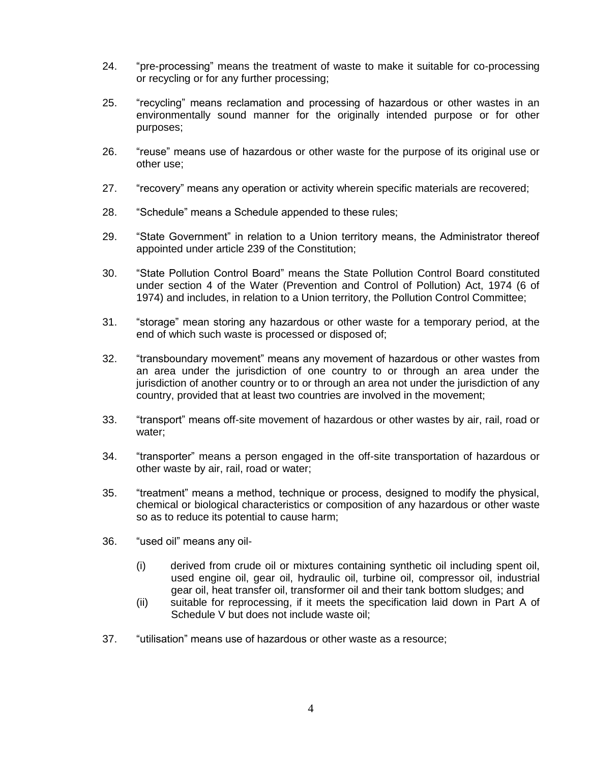- 24. "pre-processing" means the treatment of waste to make it suitable for co-processing or recycling or for any further processing;
- 25. "recycling" means reclamation and processing of hazardous or other wastes in an environmentally sound manner for the originally intended purpose or for other purposes;
- 26. "reuse" means use of hazardous or other waste for the purpose of its original use or other use;
- 27. "recovery" means any operation or activity wherein specific materials are recovered;
- 28. "Schedule" means a Schedule appended to these rules;
- 29. "State Government" in relation to a Union territory means, the Administrator thereof appointed under article 239 of the Constitution;
- 30. "State Pollution Control Board" means the State Pollution Control Board constituted under section 4 of the Water (Prevention and Control of Pollution) Act, 1974 (6 of 1974) and includes, in relation to a Union territory, the Pollution Control Committee;
- 31. "storage" mean storing any hazardous or other waste for a temporary period, at the end of which such waste is processed or disposed of;
- 32. "transboundary movement" means any movement of hazardous or other wastes from an area under the jurisdiction of one country to or through an area under the jurisdiction of another country or to or through an area not under the jurisdiction of any country, provided that at least two countries are involved in the movement;
- 33. "transport" means off-site movement of hazardous or other wastes by air, rail, road or water;
- 34. "transporter" means a person engaged in the off-site transportation of hazardous or other waste by air, rail, road or water;
- 35. "treatment" means a method, technique or process, designed to modify the physical, chemical or biological characteristics or composition of any hazardous or other waste so as to reduce its potential to cause harm;
- 36. "used oil" means any oil-
	- (i) derived from crude oil or mixtures containing synthetic oil including spent oil, used engine oil, gear oil, hydraulic oil, turbine oil, compressor oil, industrial gear oil, heat transfer oil, transformer oil and their tank bottom sludges; and
	- (ii) suitable for reprocessing, if it meets the specification laid down in Part A of Schedule V but does not include waste oil;
- 37. "utilisation" means use of hazardous or other waste as a resource;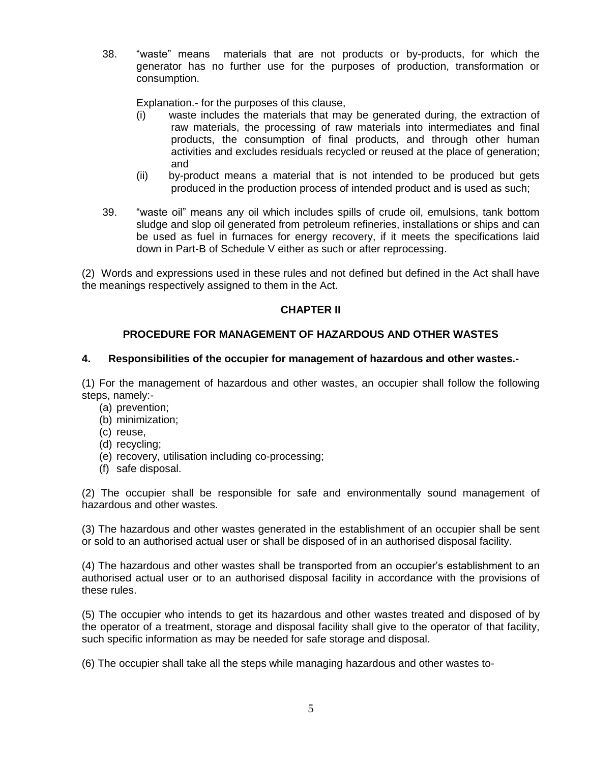38. "waste" means materials that are not products or by-products, for which the generator has no further use for the purposes of production, transformation or consumption.

Explanation.- for the purposes of this clause,

- (i) waste includes the materials that may be generated during, the extraction of raw materials, the processing of raw materials into intermediates and final products, the consumption of final products, and through other human activities and excludes residuals recycled or reused at the place of generation; and
- (ii) by-product means a material that is not intended to be produced but gets produced in the production process of intended product and is used as such;
- 39. "waste oil" means any oil which includes spills of crude oil, emulsions, tank bottom sludge and slop oil generated from petroleum refineries, installations or ships and can be used as fuel in furnaces for energy recovery, if it meets the specifications laid down in Part-B of Schedule V either as such or after reprocessing.

(2) Words and expressions used in these rules and not defined but defined in the Act shall have the meanings respectively assigned to them in the Act.

# **CHAPTER II**

# **PROCEDURE FOR MANAGEMENT OF HAZARDOUS AND OTHER WASTES**

#### **4. Responsibilities of the occupier for management of hazardous and other wastes.-**

(1) For the management of hazardous and other wastes, an occupier shall follow the following steps, namely:-

- (a) prevention;
- (b) minimization;
- (c) reuse,
- (d) recycling;
- (e) recovery, utilisation including co-processing;
- (f) safe disposal.

(2) The occupier shall be responsible for safe and environmentally sound management of hazardous and other wastes.

(3) The hazardous and other wastes generated in the establishment of an occupier shall be sent or sold to an authorised actual user or shall be disposed of in an authorised disposal facility.

(4) The hazardous and other wastes shall be transported from an occupier's establishment to an authorised actual user or to an authorised disposal facility in accordance with the provisions of these rules.

(5) The occupier who intends to get its hazardous and other wastes treated and disposed of by the operator of a treatment, storage and disposal facility shall give to the operator of that facility, such specific information as may be needed for safe storage and disposal.

(6) The occupier shall take all the steps while managing hazardous and other wastes to-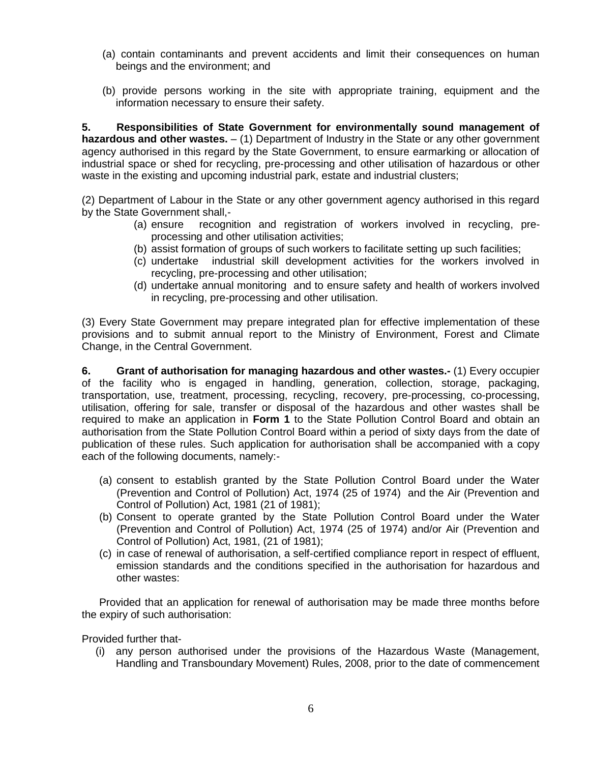- (a) contain contaminants and prevent accidents and limit their consequences on human beings and the environment; and
- (b) provide persons working in the site with appropriate training, equipment and the information necessary to ensure their safety.

**5. Responsibilities of State Government for environmentally sound management of hazardous and other wastes.** – (1) Department of Industry in the State or any other government agency authorised in this regard by the State Government, to ensure earmarking or allocation of industrial space or shed for recycling, pre-processing and other utilisation of hazardous or other waste in the existing and upcoming industrial park, estate and industrial clusters;

(2) Department of Labour in the State or any other government agency authorised in this regard by the State Government shall,-

- (a) ensure recognition and registration of workers involved in recycling, preprocessing and other utilisation activities;
- (b) assist formation of groups of such workers to facilitate setting up such facilities;
- (c) undertake industrial skill development activities for the workers involved in recycling, pre-processing and other utilisation;
- (d) undertake annual monitoring and to ensure safety and health of workers involved in recycling, pre-processing and other utilisation.

(3) Every State Government may prepare integrated plan for effective implementation of these provisions and to submit annual report to the Ministry of Environment, Forest and Climate Change, in the Central Government.

**6. Grant of authorisation for managing hazardous and other wastes.-** (1) Every occupier of the facility who is engaged in handling, generation, collection, storage, packaging, transportation, use, treatment, processing, recycling, recovery, pre-processing, co-processing, utilisation, offering for sale, transfer or disposal of the hazardous and other wastes shall be required to make an application in **Form 1** to the State Pollution Control Board and obtain an authorisation from the State Pollution Control Board within a period of sixty days from the date of publication of these rules. Such application for authorisation shall be accompanied with a copy each of the following documents, namely:-

- (a) consent to establish granted by the State Pollution Control Board under the Water (Prevention and Control of Pollution) Act, 1974 (25 of 1974) and the Air (Prevention and Control of Pollution) Act, 1981 (21 of 1981);
- (b) Consent to operate granted by the State Pollution Control Board under the Water (Prevention and Control of Pollution) Act, 1974 (25 of 1974) and/or Air (Prevention and Control of Pollution) Act, 1981, (21 of 1981);
- (c) in case of renewal of authorisation, a self-certified compliance report in respect of effluent, emission standards and the conditions specified in the authorisation for hazardous and other wastes:

Provided that an application for renewal of authorisation may be made three months before the expiry of such authorisation:

Provided further that-

(i) any person authorised under the provisions of the Hazardous Waste (Management, Handling and Transboundary Movement) Rules, 2008, prior to the date of commencement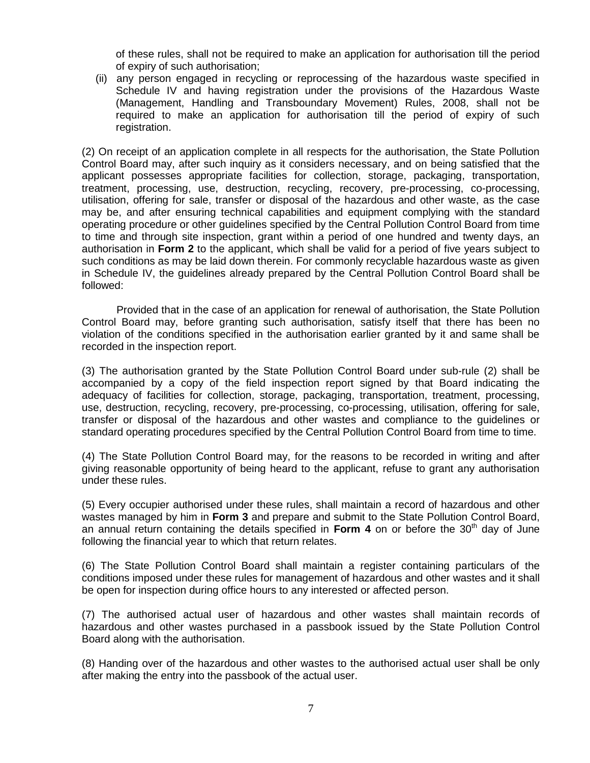of these rules, shall not be required to make an application for authorisation till the period of expiry of such authorisation;

(ii) any person engaged in recycling or reprocessing of the hazardous waste specified in Schedule IV and having registration under the provisions of the Hazardous Waste (Management, Handling and Transboundary Movement) Rules, 2008, shall not be required to make an application for authorisation till the period of expiry of such registration.

(2) On receipt of an application complete in all respects for the authorisation, the State Pollution Control Board may, after such inquiry as it considers necessary, and on being satisfied that the applicant possesses appropriate facilities for collection, storage, packaging, transportation, treatment, processing, use, destruction, recycling, recovery, pre-processing, co-processing, utilisation, offering for sale, transfer or disposal of the hazardous and other waste, as the case may be, and after ensuring technical capabilities and equipment complying with the standard operating procedure or other guidelines specified by the Central Pollution Control Board from time to time and through site inspection, grant within a period of one hundred and twenty days, an authorisation in **Form 2** to the applicant, which shall be valid for a period of five years subject to such conditions as may be laid down therein. For commonly recyclable hazardous waste as given in Schedule IV, the guidelines already prepared by the Central Pollution Control Board shall be followed:

Provided that in the case of an application for renewal of authorisation, the State Pollution Control Board may, before granting such authorisation, satisfy itself that there has been no violation of the conditions specified in the authorisation earlier granted by it and same shall be recorded in the inspection report.

(3) The authorisation granted by the State Pollution Control Board under sub-rule (2) shall be accompanied by a copy of the field inspection report signed by that Board indicating the adequacy of facilities for collection, storage, packaging, transportation, treatment, processing, use, destruction, recycling, recovery, pre-processing, co-processing, utilisation, offering for sale, transfer or disposal of the hazardous and other wastes and compliance to the guidelines or standard operating procedures specified by the Central Pollution Control Board from time to time.

(4) The State Pollution Control Board may, for the reasons to be recorded in writing and after giving reasonable opportunity of being heard to the applicant, refuse to grant any authorisation under these rules.

(5) Every occupier authorised under these rules, shall maintain a record of hazardous and other wastes managed by him in **Form 3** and prepare and submit to the State Pollution Control Board, an annual return containing the details specified in **Form 4** on or before the 30<sup>th</sup> day of June following the financial year to which that return relates.

(6) The State Pollution Control Board shall maintain a register containing particulars of the conditions imposed under these rules for management of hazardous and other wastes and it shall be open for inspection during office hours to any interested or affected person.

(7) The authorised actual user of hazardous and other wastes shall maintain records of hazardous and other wastes purchased in a passbook issued by the State Pollution Control Board along with the authorisation.

(8) Handing over of the hazardous and other wastes to the authorised actual user shall be only after making the entry into the passbook of the actual user.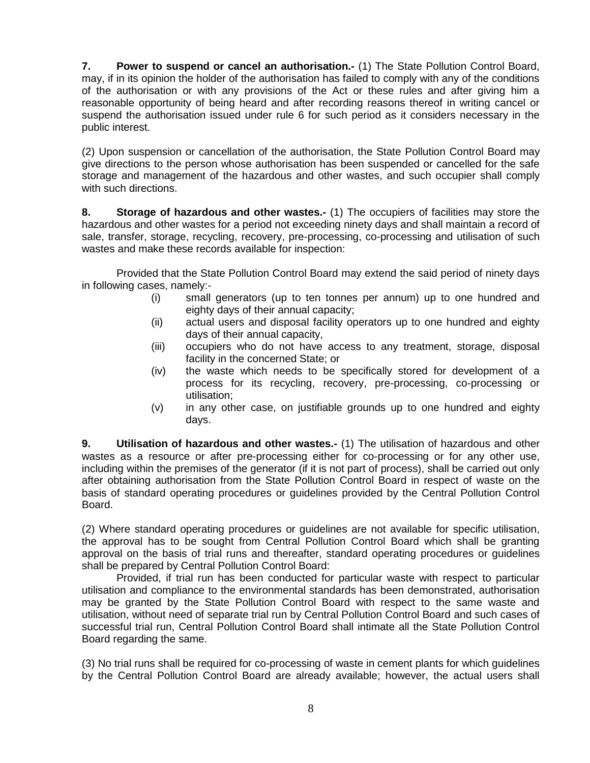**7. Power to suspend or cancel an authorisation.-** (1) The State Pollution Control Board, may, if in its opinion the holder of the authorisation has failed to comply with any of the conditions of the authorisation or with any provisions of the Act or these rules and after giving him a reasonable opportunity of being heard and after recording reasons thereof in writing cancel or suspend the authorisation issued under rule 6 for such period as it considers necessary in the public interest.

(2) Upon suspension or cancellation of the authorisation, the State Pollution Control Board may give directions to the person whose authorisation has been suspended or cancelled for the safe storage and management of the hazardous and other wastes, and such occupier shall comply with such directions.

**8. Storage of hazardous and other wastes.-** (1) The occupiers of facilities may store the hazardous and other wastes for a period not exceeding ninety days and shall maintain a record of sale, transfer, storage, recycling, recovery, pre-processing, co-processing and utilisation of such wastes and make these records available for inspection:

Provided that the State Pollution Control Board may extend the said period of ninety days in following cases, namely:-

- (i) small generators (up to ten tonnes per annum) up to one hundred and eighty days of their annual capacity;
- (ii) actual users and disposal facility operators up to one hundred and eighty days of their annual capacity,
- (iii) occupiers who do not have access to any treatment, storage, disposal facility in the concerned State; or
- (iv) the waste which needs to be specifically stored for development of a process for its recycling, recovery, pre-processing, co-processing or utilisation;
- (v) in any other case, on justifiable grounds up to one hundred and eighty days.

**9. Utilisation of hazardous and other wastes.-** (1) The utilisation of hazardous and other wastes as a resource or after pre-processing either for co-processing or for any other use, including within the premises of the generator (if it is not part of process), shall be carried out only after obtaining authorisation from the State Pollution Control Board in respect of waste on the basis of standard operating procedures or guidelines provided by the Central Pollution Control Board.

(2) Where standard operating procedures or guidelines are not available for specific utilisation, the approval has to be sought from Central Pollution Control Board which shall be granting approval on the basis of trial runs and thereafter, standard operating procedures or guidelines shall be prepared by Central Pollution Control Board:

Provided, if trial run has been conducted for particular waste with respect to particular utilisation and compliance to the environmental standards has been demonstrated, authorisation may be granted by the State Pollution Control Board with respect to the same waste and utilisation, without need of separate trial run by Central Pollution Control Board and such cases of successful trial run, Central Pollution Control Board shall intimate all the State Pollution Control Board regarding the same.

(3) No trial runs shall be required for co-processing of waste in cement plants for which guidelines by the Central Pollution Control Board are already available; however, the actual users shall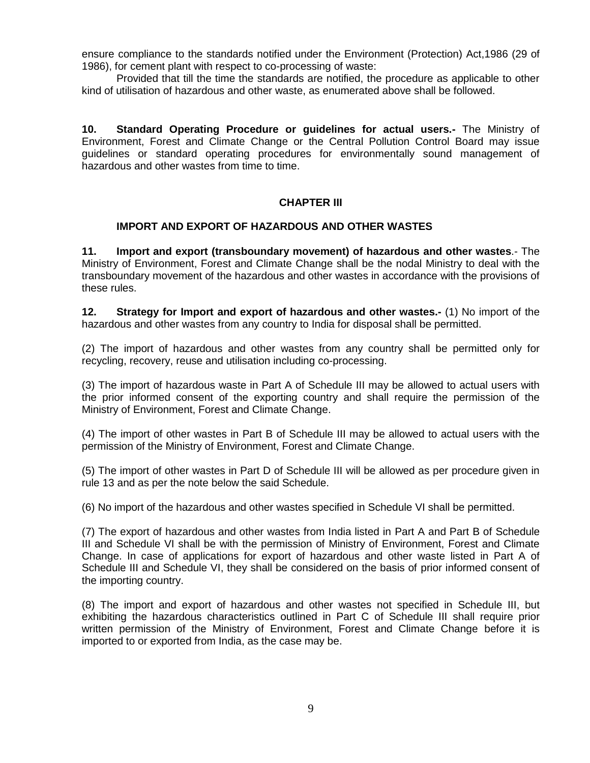ensure compliance to the standards notified under the Environment (Protection) Act,1986 (29 of 1986), for cement plant with respect to co-processing of waste:

Provided that till the time the standards are notified, the procedure as applicable to other kind of utilisation of hazardous and other waste, as enumerated above shall be followed.

**10. Standard Operating Procedure or guidelines for actual users.-** The Ministry of Environment, Forest and Climate Change or the Central Pollution Control Board may issue guidelines or standard operating procedures for environmentally sound management of hazardous and other wastes from time to time.

#### **CHAPTER III**

#### **IMPORT AND EXPORT OF HAZARDOUS AND OTHER WASTES**

**11. Import and export (transboundary movement) of hazardous and other wastes**.- The Ministry of Environment, Forest and Climate Change shall be the nodal Ministry to deal with the transboundary movement of the hazardous and other wastes in accordance with the provisions of these rules.

**12. Strategy for Import and export of hazardous and other wastes.-** (1) No import of the hazardous and other wastes from any country to India for disposal shall be permitted.

(2) The import of hazardous and other wastes from any country shall be permitted only for recycling, recovery, reuse and utilisation including co-processing.

(3) The import of hazardous waste in Part A of Schedule III may be allowed to actual users with the prior informed consent of the exporting country and shall require the permission of the Ministry of Environment, Forest and Climate Change.

(4) The import of other wastes in Part B of Schedule III may be allowed to actual users with the permission of the Ministry of Environment, Forest and Climate Change.

(5) The import of other wastes in Part D of Schedule III will be allowed as per procedure given in rule 13 and as per the note below the said Schedule.

(6) No import of the hazardous and other wastes specified in Schedule VI shall be permitted.

(7) The export of hazardous and other wastes from India listed in Part A and Part B of Schedule III and Schedule VI shall be with the permission of Ministry of Environment, Forest and Climate Change. In case of applications for export of hazardous and other waste listed in Part A of Schedule III and Schedule VI, they shall be considered on the basis of prior informed consent of the importing country.

(8) The import and export of hazardous and other wastes not specified in Schedule III, but exhibiting the hazardous characteristics outlined in Part C of Schedule III shall require prior written permission of the Ministry of Environment, Forest and Climate Change before it is imported to or exported from India, as the case may be.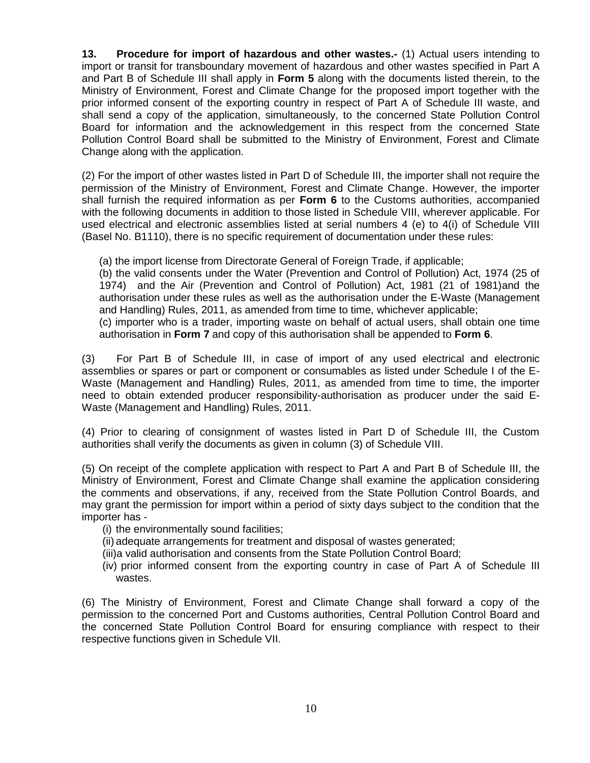**13. Procedure for import of hazardous and other wastes.-** (1) Actual users intending to import or transit for transboundary movement of hazardous and other wastes specified in Part A and Part B of Schedule III shall apply in **Form 5** along with the documents listed therein, to the Ministry of Environment, Forest and Climate Change for the proposed import together with the prior informed consent of the exporting country in respect of Part A of Schedule III waste, and shall send a copy of the application, simultaneously, to the concerned State Pollution Control Board for information and the acknowledgement in this respect from the concerned State Pollution Control Board shall be submitted to the Ministry of Environment, Forest and Climate Change along with the application.

(2) For the import of other wastes listed in Part D of Schedule III, the importer shall not require the permission of the Ministry of Environment, Forest and Climate Change. However, the importer shall furnish the required information as per **Form 6** to the Customs authorities, accompanied with the following documents in addition to those listed in Schedule VIII, wherever applicable. For used electrical and electronic assemblies listed at serial numbers 4 (e) to 4(i) of Schedule VIII (Basel No. B1110), there is no specific requirement of documentation under these rules:

(a) the import license from Directorate General of Foreign Trade, if applicable;

(b) the valid consents under the Water (Prevention and Control of Pollution) Act, 1974 (25 of 1974) and the Air (Prevention and Control of Pollution) Act, 1981 (21 of 1981)and the authorisation under these rules as well as the authorisation under the E-Waste (Management and Handling) Rules, 2011, as amended from time to time, whichever applicable;

(c) importer who is a trader, importing waste on behalf of actual users, shall obtain one time authorisation in **Form 7** and copy of this authorisation shall be appended to **Form 6**.

(3) For Part B of Schedule III, in case of import of any used electrical and electronic assemblies or spares or part or component or consumables as listed under Schedule I of the E-Waste (Management and Handling) Rules, 2011, as amended from time to time, the importer need to obtain extended producer responsibility-authorisation as producer under the said E-Waste (Management and Handling) Rules, 2011.

(4) Prior to clearing of consignment of wastes listed in Part D of Schedule III, the Custom authorities shall verify the documents as given in column (3) of Schedule VIII.

(5) On receipt of the complete application with respect to Part A and Part B of Schedule III, the Ministry of Environment, Forest and Climate Change shall examine the application considering the comments and observations, if any, received from the State Pollution Control Boards, and may grant the permission for import within a period of sixty days subject to the condition that the importer has -

- (i) the environmentally sound facilities;
- (ii) adequate arrangements for treatment and disposal of wastes generated;
- (iii)a valid authorisation and consents from the State Pollution Control Board;
- (iv) prior informed consent from the exporting country in case of Part A of Schedule III wastes.

(6) The Ministry of Environment, Forest and Climate Change shall forward a copy of the permission to the concerned Port and Customs authorities, Central Pollution Control Board and the concerned State Pollution Control Board for ensuring compliance with respect to their respective functions given in Schedule VII.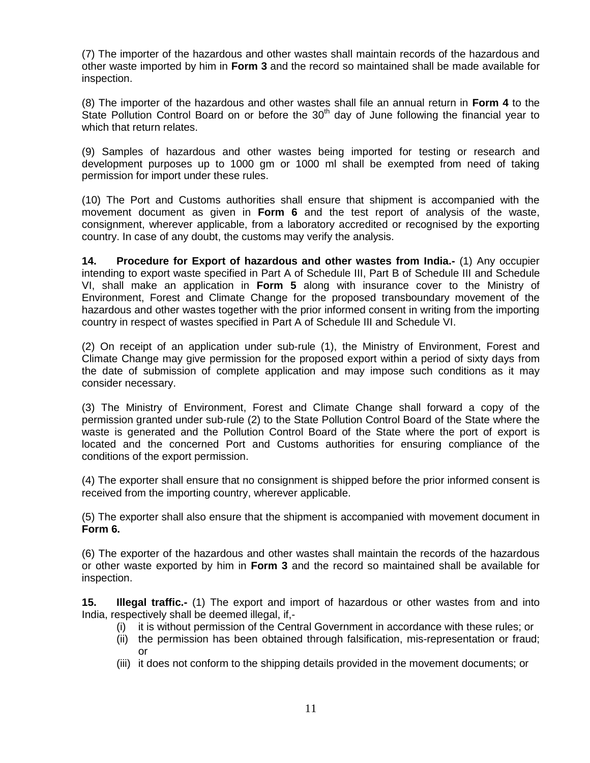(7) The importer of the hazardous and other wastes shall maintain records of the hazardous and other waste imported by him in **Form 3** and the record so maintained shall be made available for inspection.

(8) The importer of the hazardous and other wastes shall file an annual return in **Form 4** to the State Pollution Control Board on or before the  $30<sup>th</sup>$  day of June following the financial year to which that return relates.

(9) Samples of hazardous and other wastes being imported for testing or research and development purposes up to 1000 gm or 1000 ml shall be exempted from need of taking permission for import under these rules.

(10) The Port and Customs authorities shall ensure that shipment is accompanied with the movement document as given in **Form 6** and the test report of analysis of the waste, consignment, wherever applicable, from a laboratory accredited or recognised by the exporting country. In case of any doubt, the customs may verify the analysis.

**14. Procedure for Export of hazardous and other wastes from India.-** (1) Any occupier intending to export waste specified in Part A of Schedule III, Part B of Schedule III and Schedule VI, shall make an application in **Form 5** along with insurance cover to the Ministry of Environment, Forest and Climate Change for the proposed transboundary movement of the hazardous and other wastes together with the prior informed consent in writing from the importing country in respect of wastes specified in Part A of Schedule III and Schedule VI.

(2) On receipt of an application under sub-rule (1), the Ministry of Environment, Forest and Climate Change may give permission for the proposed export within a period of sixty days from the date of submission of complete application and may impose such conditions as it may consider necessary.

(3) The Ministry of Environment, Forest and Climate Change shall forward a copy of the permission granted under sub-rule (2) to the State Pollution Control Board of the State where the waste is generated and the Pollution Control Board of the State where the port of export is located and the concerned Port and Customs authorities for ensuring compliance of the conditions of the export permission.

(4) The exporter shall ensure that no consignment is shipped before the prior informed consent is received from the importing country, wherever applicable.

(5) The exporter shall also ensure that the shipment is accompanied with movement document in **Form 6.**

(6) The exporter of the hazardous and other wastes shall maintain the records of the hazardous or other waste exported by him in **Form 3** and the record so maintained shall be available for inspection.

**15. Illegal traffic.-** (1) The export and import of hazardous or other wastes from and into India, respectively shall be deemed illegal, if,-

- (i) it is without permission of the Central Government in accordance with these rules; or
- (ii) the permission has been obtained through falsification, mis-representation or fraud; or
- (iii) it does not conform to the shipping details provided in the movement documents; or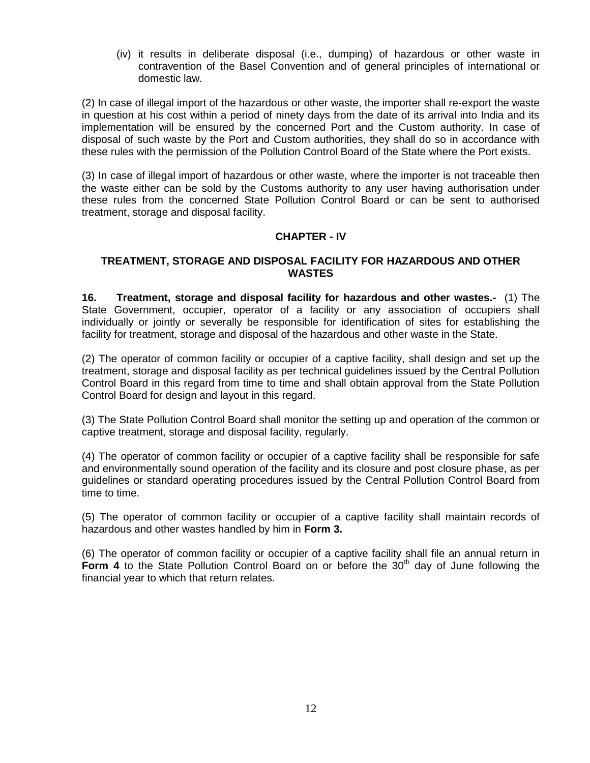(iv) it results in deliberate disposal (i.e., dumping) of hazardous or other waste in contravention of the Basel Convention and of general principles of international or domestic law.

(2) In case of illegal import of the hazardous or other waste, the importer shall re-export the waste in question at his cost within a period of ninety days from the date of its arrival into India and its implementation will be ensured by the concerned Port and the Custom authority. In case of disposal of such waste by the Port and Custom authorities, they shall do so in accordance with these rules with the permission of the Pollution Control Board of the State where the Port exists.

(3) In case of illegal import of hazardous or other waste, where the importer is not traceable then the waste either can be sold by the Customs authority to any user having authorisation under these rules from the concerned State Pollution Control Board or can be sent to authorised treatment, storage and disposal facility.

# **CHAPTER - IV**

## **TREATMENT, STORAGE AND DISPOSAL FACILITY FOR HAZARDOUS AND OTHER WASTES**

**16. Treatment, storage and disposal facility for hazardous and other wastes.-** (1) The State Government, occupier, operator of a facility or any association of occupiers shall individually or jointly or severally be responsible for identification of sites for establishing the facility for treatment, storage and disposal of the hazardous and other waste in the State.

(2) The operator of common facility or occupier of a captive facility, shall design and set up the treatment, storage and disposal facility as per technical guidelines issued by the Central Pollution Control Board in this regard from time to time and shall obtain approval from the State Pollution Control Board for design and layout in this regard.

(3) The State Pollution Control Board shall monitor the setting up and operation of the common or captive treatment, storage and disposal facility, regularly.

(4) The operator of common facility or occupier of a captive facility shall be responsible for safe and environmentally sound operation of the facility and its closure and post closure phase, as per guidelines or standard operating procedures issued by the Central Pollution Control Board from time to time.

(5) The operator of common facility or occupier of a captive facility shall maintain records of hazardous and other wastes handled by him in **Form 3.** 

(6) The operator of common facility or occupier of a captive facility shall file an annual return in **Form 4** to the State Pollution Control Board on or before the 30<sup>th</sup> day of June following the financial year to which that return relates.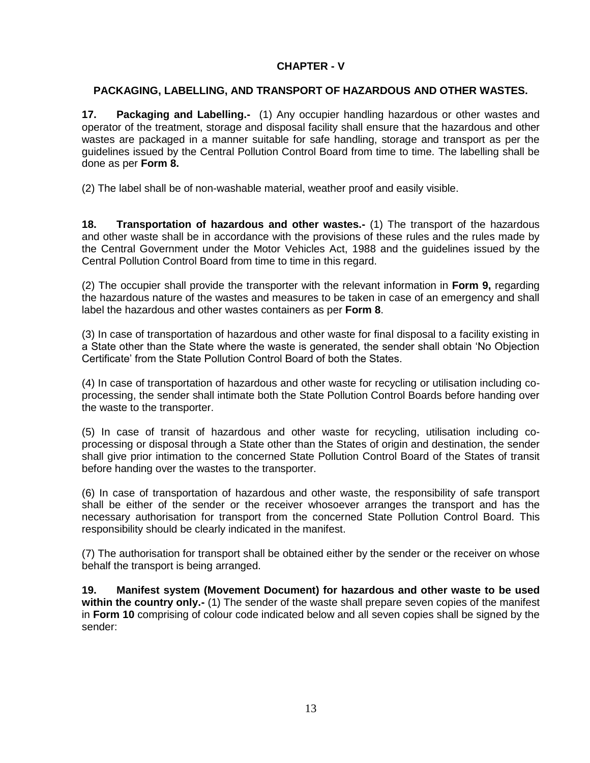# **CHAPTER - V**

# **PACKAGING, LABELLING, AND TRANSPORT OF HAZARDOUS AND OTHER WASTES.**

**17. Packaging and Labelling.-** (1) Any occupier handling hazardous or other wastes and operator of the treatment, storage and disposal facility shall ensure that the hazardous and other wastes are packaged in a manner suitable for safe handling, storage and transport as per the guidelines issued by the Central Pollution Control Board from time to time. The labelling shall be done as per **Form 8.**

(2) The label shall be of non-washable material, weather proof and easily visible.

**18. Transportation of hazardous and other wastes.-** (1) The transport of the hazardous and other waste shall be in accordance with the provisions of these rules and the rules made by the Central Government under the Motor Vehicles Act, 1988 and the guidelines issued by the Central Pollution Control Board from time to time in this regard.

(2) The occupier shall provide the transporter with the relevant information in **Form 9,** regarding the hazardous nature of the wastes and measures to be taken in case of an emergency and shall label the hazardous and other wastes containers as per **Form 8**.

(3) In case of transportation of hazardous and other waste for final disposal to a facility existing in a State other than the State where the waste is generated, the sender shall obtain 'No Objection Certificate' from the State Pollution Control Board of both the States.

(4) In case of transportation of hazardous and other waste for recycling or utilisation including coprocessing, the sender shall intimate both the State Pollution Control Boards before handing over the waste to the transporter.

(5) In case of transit of hazardous and other waste for recycling, utilisation including coprocessing or disposal through a State other than the States of origin and destination, the sender shall give prior intimation to the concerned State Pollution Control Board of the States of transit before handing over the wastes to the transporter.

(6) In case of transportation of hazardous and other waste, the responsibility of safe transport shall be either of the sender or the receiver whosoever arranges the transport and has the necessary authorisation for transport from the concerned State Pollution Control Board. This responsibility should be clearly indicated in the manifest.

(7) The authorisation for transport shall be obtained either by the sender or the receiver on whose behalf the transport is being arranged.

**19. Manifest system (Movement Document) for hazardous and other waste to be used within the country only.-** (1) The sender of the waste shall prepare seven copies of the manifest in **Form 10** comprising of colour code indicated below and all seven copies shall be signed by the sender: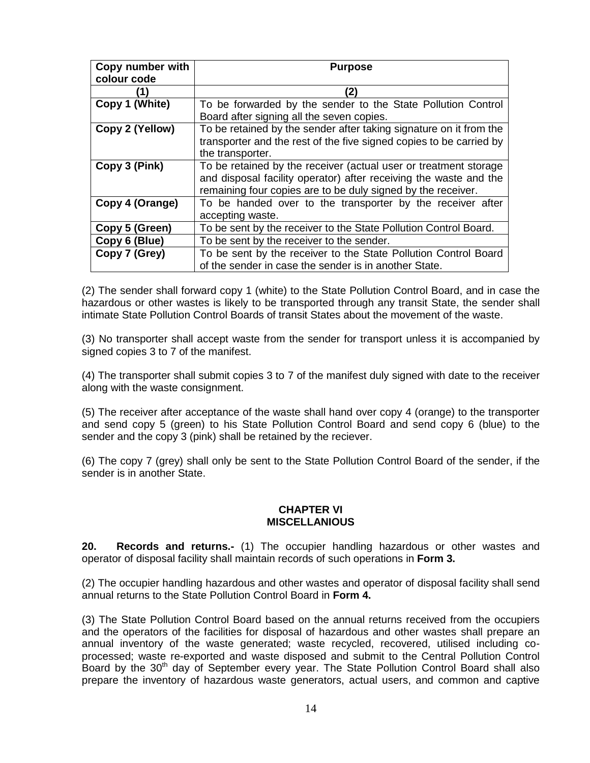| Copy number with | <b>Purpose</b>                                                      |
|------------------|---------------------------------------------------------------------|
| colour code      |                                                                     |
|                  | (2)                                                                 |
| Copy 1 (White)   | To be forwarded by the sender to the State Pollution Control        |
|                  | Board after signing all the seven copies.                           |
| Copy 2 (Yellow)  | To be retained by the sender after taking signature on it from the  |
|                  | transporter and the rest of the five signed copies to be carried by |
|                  | the transporter.                                                    |
| Copy 3 (Pink)    | To be retained by the receiver (actual user or treatment storage    |
|                  | and disposal facility operator) after receiving the waste and the   |
|                  | remaining four copies are to be duly signed by the receiver.        |
| Copy 4 (Orange)  | To be handed over to the transporter by the receiver after          |
|                  | accepting waste.                                                    |
| Copy 5 (Green)   | To be sent by the receiver to the State Pollution Control Board.    |
| Copy 6 (Blue)    | To be sent by the receiver to the sender.                           |
| Copy 7 (Grey)    | To be sent by the receiver to the State Pollution Control Board     |
|                  | of the sender in case the sender is in another State.               |

(2) The sender shall forward copy 1 (white) to the State Pollution Control Board, and in case the hazardous or other wastes is likely to be transported through any transit State, the sender shall intimate State Pollution Control Boards of transit States about the movement of the waste.

(3) No transporter shall accept waste from the sender for transport unless it is accompanied by signed copies 3 to 7 of the manifest.

(4) The transporter shall submit copies 3 to 7 of the manifest duly signed with date to the receiver along with the waste consignment.

(5) The receiver after acceptance of the waste shall hand over copy 4 (orange) to the transporter and send copy 5 (green) to his State Pollution Control Board and send copy 6 (blue) to the sender and the copy 3 (pink) shall be retained by the reciever.

(6) The copy 7 (grey) shall only be sent to the State Pollution Control Board of the sender, if the sender is in another State.

#### **CHAPTER VI MISCELLANIOUS**

**20. Records and returns.-** (1) The occupier handling hazardous or other wastes and operator of disposal facility shall maintain records of such operations in **Form 3.**

(2) The occupier handling hazardous and other wastes and operator of disposal facility shall send annual returns to the State Pollution Control Board in **Form 4.**

(3) The State Pollution Control Board based on the annual returns received from the occupiers and the operators of the facilities for disposal of hazardous and other wastes shall prepare an annual inventory of the waste generated; waste recycled, recovered, utilised including coprocessed; waste re-exported and waste disposed and submit to the Central Pollution Control Board by the  $30<sup>th</sup>$  day of September every year. The State Pollution Control Board shall also prepare the inventory of hazardous waste generators, actual users, and common and captive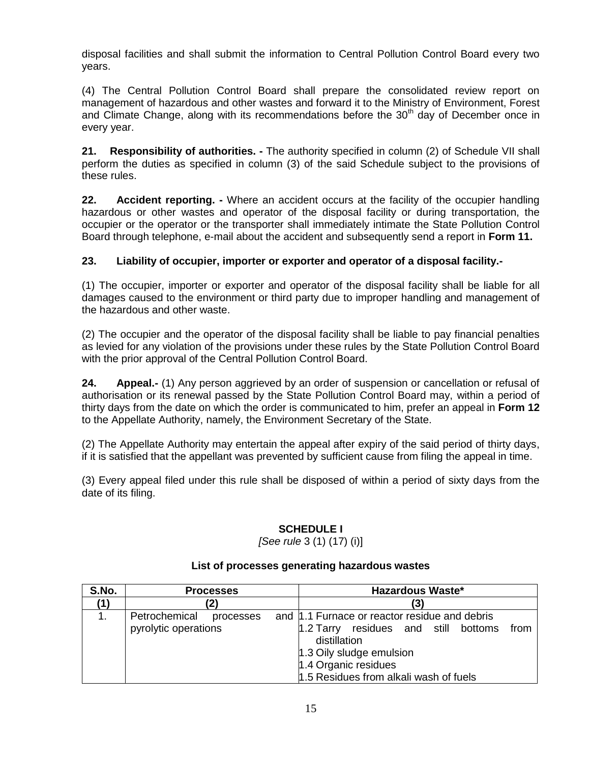disposal facilities and shall submit the information to Central Pollution Control Board every two years.

(4) The Central Pollution Control Board shall prepare the consolidated review report on management of hazardous and other wastes and forward it to the Ministry of Environment, Forest and Climate Change, along with its recommendations before the 30<sup>th</sup> day of December once in every year.

**21. Responsibility of authorities. -** The authority specified in column (2) of Schedule VII shall perform the duties as specified in column (3) of the said Schedule subject to the provisions of these rules.

**22. Accident reporting. -** Where an accident occurs at the facility of the occupier handling hazardous or other wastes and operator of the disposal facility or during transportation, the occupier or the operator or the transporter shall immediately intimate the State Pollution Control Board through telephone, e-mail about the accident and subsequently send a report in **Form 11.**

# **23. Liability of occupier, importer or exporter and operator of a disposal facility.-**

(1) The occupier, importer or exporter and operator of the disposal facility shall be liable for all damages caused to the environment or third party due to improper handling and management of the hazardous and other waste.

(2) The occupier and the operator of the disposal facility shall be liable to pay financial penalties as levied for any violation of the provisions under these rules by the State Pollution Control Board with the prior approval of the Central Pollution Control Board.

**24. Appeal.-** (1) Any person aggrieved by an order of suspension or cancellation or refusal of authorisation or its renewal passed by the State Pollution Control Board may, within a period of thirty days from the date on which the order is communicated to him, prefer an appeal in **Form 12** to the Appellate Authority, namely, the Environment Secretary of the State.

(2) The Appellate Authority may entertain the appeal after expiry of the said period of thirty days, if it is satisfied that the appellant was prevented by sufficient cause from filing the appeal in time.

(3) Every appeal filed under this rule shall be disposed of within a period of sixty days from the date of its filing.

# **SCHEDULE I**

*[See rule* 3 (1) (17) (i)]

| S.No. | <b>Processes</b>           | <b>Hazardous Waste*</b>                                           |
|-------|----------------------------|-------------------------------------------------------------------|
|       |                            | (3)                                                               |
|       | Petrochemical<br>processes | and  1.1 Furnace or reactor residue and debris                    |
|       | pyrolytic operations       | residues and still bottoms<br>$1.2$ Tarry<br>from<br>distillation |
|       |                            | 1.3 Oily sludge emulsion                                          |
|       |                            | 1.4 Organic residues                                              |
|       |                            | 1.5 Residues from alkali wash of fuels                            |

# **List of processes generating hazardous wastes**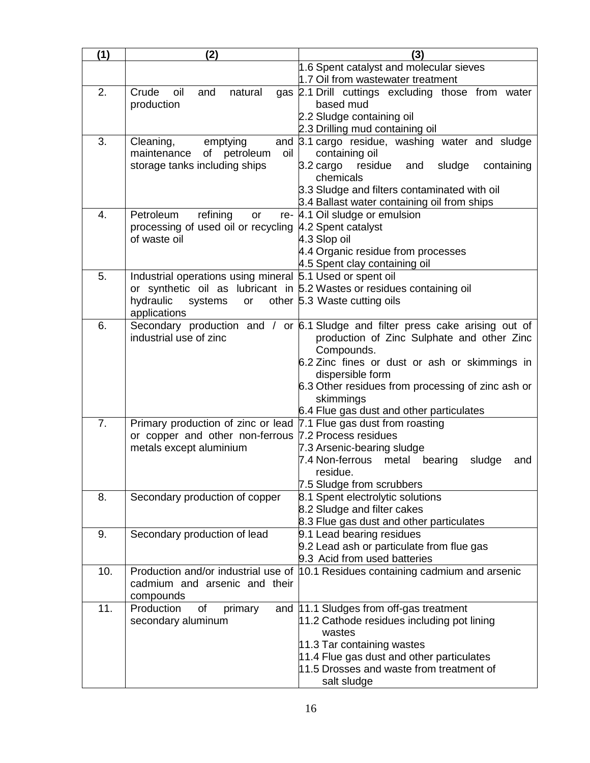| (1) | (2)                                                                    | (3)                                                                                |
|-----|------------------------------------------------------------------------|------------------------------------------------------------------------------------|
|     |                                                                        | 1.6 Spent catalyst and molecular sieves                                            |
|     |                                                                        | 1.7 Oil from wastewater treatment                                                  |
| 2.  | Crude<br>oil<br>natural<br>and                                         | gas 2.1 Drill cuttings excluding those from water                                  |
|     | production                                                             | based mud                                                                          |
|     |                                                                        | 2.2 Sludge containing oil<br>2.3 Drilling mud containing oil                       |
| 3.  | Cleaning,<br>emptying<br>and                                           | 3.1 cargo residue, washing water and sludge                                        |
|     | of petroleum<br>oil<br>maintenance                                     | containing oil                                                                     |
|     | storage tanks including ships                                          | 3.2 cargo residue<br>and<br>sludge<br>containing                                   |
|     |                                                                        | chemicals                                                                          |
|     |                                                                        | 3.3 Sludge and filters contaminated with oil                                       |
|     |                                                                        | 3.4 Ballast water containing oil from ships                                        |
| 4.  | refining<br>Petroleum<br>or                                            | re- 4.1 Oil sludge or emulsion                                                     |
|     | processing of used oil or recycling 4.2 Spent catalyst<br>of waste oil |                                                                                    |
|     |                                                                        | 4.3 Slop oil<br>4.4 Organic residue from processes                                 |
|     |                                                                        | 4.5 Spent clay containing oil                                                      |
| 5.  | Industrial operations using mineral 5.1 Used or spent oil              |                                                                                    |
|     |                                                                        | or synthetic oil as lubricant in $5.2$ Wastes or residues containing oil           |
|     | hydraulic<br>systems<br>or                                             | other 5.3 Waste cutting oils                                                       |
|     | applications                                                           |                                                                                    |
| 6.  |                                                                        | Secondary production and / or $6.1$ Sludge and filter press cake arising out of    |
|     | industrial use of zinc                                                 | production of Zinc Sulphate and other Zinc                                         |
|     |                                                                        | Compounds.                                                                         |
|     |                                                                        | 6.2 Zinc fines or dust or ash or skimmings in<br>dispersible form                  |
|     |                                                                        | 6.3 Other residues from processing of zinc ash or                                  |
|     |                                                                        | skimmings                                                                          |
|     |                                                                        | 6.4 Flue gas dust and other particulates                                           |
| 7.  | Primary production of zinc or lead 7.1 Flue gas dust from roasting     |                                                                                    |
|     | or copper and other non-ferrous 7.2 Process residues                   |                                                                                    |
|     | metals except aluminium                                                | 7.3 Arsenic-bearing sludge<br>7.4 Non-ferrous<br>metal<br>bearing<br>sludge<br>and |
|     |                                                                        | residue.                                                                           |
|     |                                                                        | 7.5 Sludge from scrubbers                                                          |
| 8.  | Secondary production of copper                                         | 8.1 Spent electrolytic solutions                                                   |
|     |                                                                        | 8.2 Sludge and filter cakes                                                        |
|     |                                                                        | 8.3 Flue gas dust and other particulates                                           |
| 9.  | Secondary production of lead                                           | 9.1 Lead bearing residues                                                          |
|     |                                                                        | 9.2 Lead ash or particulate from flue gas<br>9.3 Acid from used batteries          |
| 10. |                                                                        | Production and/or industrial use of  10.1 Residues containing cadmium and arsenic  |
|     | cadmium and arsenic and their                                          |                                                                                    |
|     | compounds                                                              |                                                                                    |
| 11. | Production<br>of<br>primary                                            | and 11.1 Sludges from off-gas treatment                                            |
|     | secondary aluminum                                                     | 11.2 Cathode residues including pot lining                                         |
|     |                                                                        | wastes                                                                             |
|     |                                                                        | 11.3 Tar containing wastes                                                         |
|     |                                                                        | 11.4 Flue gas dust and other particulates                                          |
|     |                                                                        | 11.5 Drosses and waste from treatment of                                           |
|     |                                                                        | salt sludge                                                                        |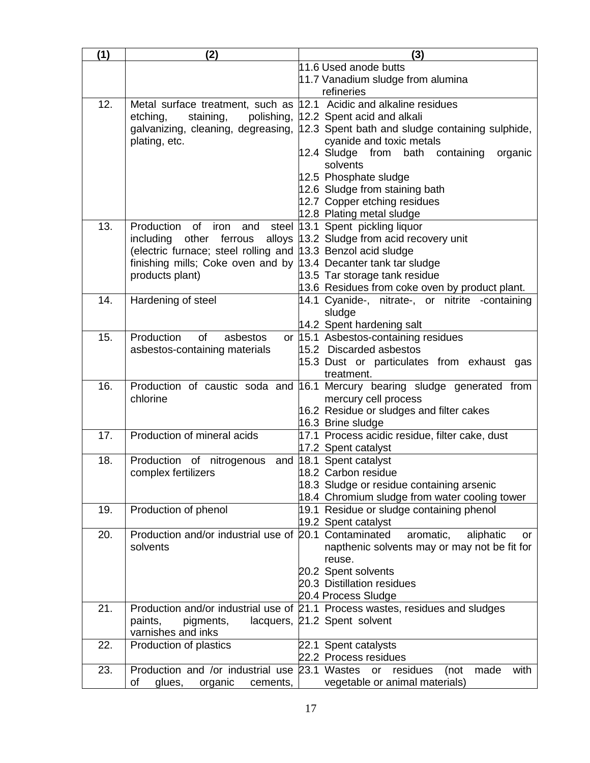| (1) | (2)                                                                | (3)                                                                                |  |
|-----|--------------------------------------------------------------------|------------------------------------------------------------------------------------|--|
|     |                                                                    | 11.6 Used anode butts                                                              |  |
|     |                                                                    | 11.7 Vanadium sludge from alumina                                                  |  |
|     |                                                                    | refineries                                                                         |  |
| 12. | Metal surface treatment, such as 12.1 Acidic and alkaline residues |                                                                                    |  |
|     | staining,<br>etching,                                              | polishing, 12.2 Spent acid and alkali                                              |  |
|     |                                                                    | galvanizing, cleaning, degreasing, 12.3 Spent bath and sludge containing sulphide, |  |
|     | plating, etc.                                                      | cyanide and toxic metals                                                           |  |
|     |                                                                    | 12.4 Sludge from<br>bath containing<br>organic                                     |  |
|     |                                                                    | solvents                                                                           |  |
|     |                                                                    | 12.5 Phosphate sludge                                                              |  |
|     |                                                                    | 12.6 Sludge from staining bath                                                     |  |
|     |                                                                    | 12.7 Copper etching residues                                                       |  |
|     |                                                                    | 12.8 Plating metal sludge                                                          |  |
| 13. | Production<br>of<br>iron<br>and<br>steel                           | 13.1 Spent pickling liquor                                                         |  |
|     | other<br>ferrous<br>including                                      | alloys 13.2 Sludge from acid recovery unit                                         |  |
|     | (electric furnace; steel rolling and 13.3 Benzol acid sludge       |                                                                                    |  |
|     | finishing mills; Coke oven and by 13.4 Decanter tank tar sludge    |                                                                                    |  |
|     | products plant)                                                    | 13.5 Tar storage tank residue                                                      |  |
| 14. |                                                                    | 13.6 Residues from coke oven by product plant.                                     |  |
|     | Hardening of steel                                                 | 14.1 Cyanide-, nitrate-, or nitrite -containing                                    |  |
|     |                                                                    | sludge<br>14.2 Spent hardening salt                                                |  |
| 15. | Production<br>of<br>asbestos                                       | or 15.1 Asbestos-containing residues                                               |  |
|     | asbestos-containing materials                                      | 15.2 Discarded asbestos                                                            |  |
|     |                                                                    | 15.3 Dust or particulates from exhaust gas                                         |  |
|     |                                                                    | treatment.                                                                         |  |
| 16. |                                                                    | Production of caustic soda and 16.1 Mercury bearing sludge generated from          |  |
|     | chlorine                                                           | mercury cell process                                                               |  |
|     |                                                                    | 16.2 Residue or sludges and filter cakes                                           |  |
|     |                                                                    | 16.3 Brine sludge                                                                  |  |
| 17. | Production of mineral acids                                        | 17.1 Process acidic residue, filter cake, dust                                     |  |
|     |                                                                    | 17.2 Spent catalyst                                                                |  |
| 18. | Production of nitrogenous                                          | and 18.1 Spent catalyst                                                            |  |
|     | complex fertilizers                                                | 18.2 Carbon residue                                                                |  |
|     |                                                                    | 18.3 Sludge or residue containing arsenic                                          |  |
|     |                                                                    | 18.4 Chromium sludge from water cooling tower                                      |  |
| 19. | Production of phenol                                               | 19.1 Residue or sludge containing phenol<br>19.2 Spent catalyst                    |  |
| 20. | Production and/or industrial use of 20.1 Contaminated              | aromatic,<br>aliphatic<br>or                                                       |  |
|     | solvents                                                           | napthenic solvents may or may not be fit for                                       |  |
|     |                                                                    | reuse.                                                                             |  |
|     |                                                                    | 20.2 Spent solvents                                                                |  |
|     |                                                                    | 20.3 Distillation residues                                                         |  |
|     |                                                                    | 20.4 Process Sludge                                                                |  |
| 21. |                                                                    | Production and/or industrial use of 21.1 Process wastes, residues and sludges      |  |
|     | paints,<br>pigments,                                               | lacquers, 21.2 Spent solvent                                                       |  |
|     | varnishes and inks                                                 |                                                                                    |  |
| 22. | Production of plastics                                             | 22.1 Spent catalysts                                                               |  |
|     |                                                                    | 22.2 Process residues                                                              |  |
| 23. | Production and /or industrial use 23.1 Wastes                      | with<br>residues<br>(not<br>made<br>or                                             |  |
|     | glues,<br>organic<br>οf<br>cements,                                | vegetable or animal materials)                                                     |  |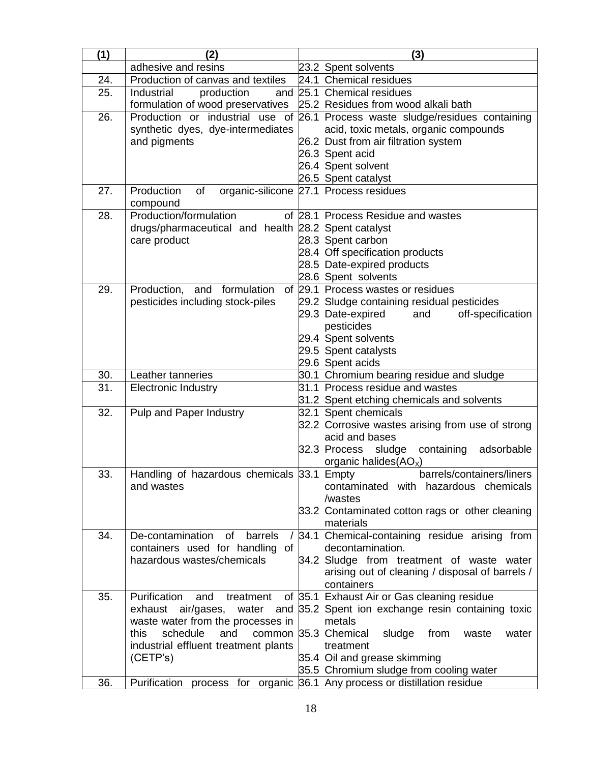| (1) | (2)                                                                       | (3)                                                                           |
|-----|---------------------------------------------------------------------------|-------------------------------------------------------------------------------|
|     | adhesive and resins                                                       | 23.2 Spent solvents                                                           |
| 24. | Production of canvas and textiles                                         | 24.1 Chemical residues                                                        |
| 25. | production<br>Industrial                                                  | and 25.1 Chemical residues                                                    |
|     | formulation of wood preservatives 25.2 Residues from wood alkali bath     |                                                                               |
| 26. |                                                                           | Production or industrial use of 26.1 Process waste sludge/residues containing |
|     | synthetic dyes, dye-intermediates                                         | acid, toxic metals, organic compounds                                         |
|     | and pigments                                                              | 26.2 Dust from air filtration system                                          |
|     |                                                                           | 26.3 Spent acid                                                               |
|     |                                                                           | 26.4 Spent solvent                                                            |
| 27. | Production<br>of                                                          | 26.5 Spent catalyst<br>organic-silicone 27.1 Process residues                 |
|     | compound                                                                  |                                                                               |
| 28. | Production/formulation                                                    | of 28.1 Process Residue and wastes                                            |
|     | drugs/pharmaceutical and health 28.2 Spent catalyst                       |                                                                               |
|     | care product                                                              | 28.3 Spent carbon                                                             |
|     |                                                                           | 28.4 Off specification products                                               |
|     |                                                                           | 28.5 Date-expired products                                                    |
|     |                                                                           | 28.6 Spent solvents                                                           |
| 29. | Production,<br>and formulation                                            | of 29.1 Process wastes or residues                                            |
|     | pesticides including stock-piles                                          | 29.2 Sludge containing residual pesticides                                    |
|     |                                                                           | 29.3 Date-expired<br>off-specification<br>and<br>pesticides                   |
|     |                                                                           | 29.4 Spent solvents                                                           |
|     |                                                                           | 29.5 Spent catalysts                                                          |
|     |                                                                           | 29.6 Spent acids                                                              |
| 30. | Leather tanneries                                                         | 30.1 Chromium bearing residue and sludge                                      |
| 31. | <b>Electronic Industry</b>                                                | 31.1 Process residue and wastes                                               |
|     |                                                                           | 31.2 Spent etching chemicals and solvents                                     |
| 32. | Pulp and Paper Industry                                                   | 32.1 Spent chemicals                                                          |
|     |                                                                           | 32.2 Corrosive wastes arising from use of strong                              |
|     |                                                                           | acid and bases                                                                |
|     |                                                                           | 32.3 Process sludge containing<br>adsorbable                                  |
|     |                                                                           | organic halides $(AOx)$                                                       |
| 33. | Handling of hazardous chemicals 33.1 Empty<br>and wastes                  | barrels/containers/liners<br>contaminated with hazardous chemicals            |
|     |                                                                           | /wastes                                                                       |
|     |                                                                           | 33.2 Contaminated cotton rags or other cleaning                               |
|     |                                                                           | materials                                                                     |
| 34. | De-contamination of<br>barrels<br>$\prime$                                | 34.1 Chemical-containing residue arising from                                 |
|     | containers used for handling of                                           | decontamination.                                                              |
|     | hazardous wastes/chemicals                                                | 34.2 Sludge from treatment of waste water                                     |
|     |                                                                           | arising out of cleaning / disposal of barrels /                               |
| 35. | Purification<br>and<br>treatment                                          | containers<br>of 35.1 Exhaust Air or Gas cleaning residue                     |
|     | exhaust air/gases, water<br>and                                           | 35.2 Spent ion exchange resin containing toxic                                |
|     | waste water from the processes in                                         | metals                                                                        |
|     | this<br>schedule<br>and                                                   | common 35.3 Chemical<br>sludge<br>from<br>water<br>waste                      |
|     | industrial effluent treatment plants                                      | treatment                                                                     |
|     | (CETP's)                                                                  | 35.4 Oil and grease skimming                                                  |
|     |                                                                           | 35.5 Chromium sludge from cooling water                                       |
| 36. | Purification process for organic 36.1 Any process or distillation residue |                                                                               |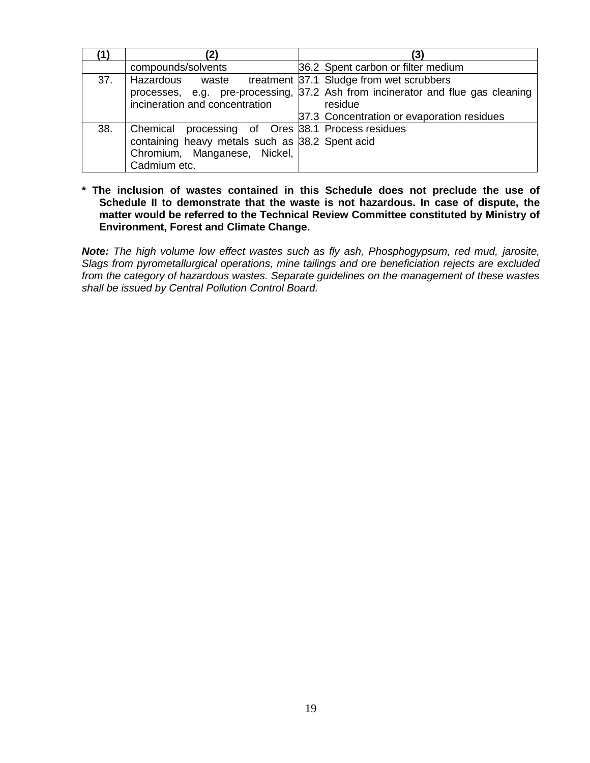|     | compounds/solvents                                | 36.2 Spent carbon or filter medium                                              |
|-----|---------------------------------------------------|---------------------------------------------------------------------------------|
| 37. | Hazardous waste                                   | treatment 37.1 Sludge from wet scrubbers                                        |
|     |                                                   | processes, e.g. pre-processing, 37.2 Ash from incinerator and flue gas cleaning |
|     | incineration and concentration                    | residue                                                                         |
|     |                                                   | 37.3 Concentration or evaporation residues                                      |
| 38. | Chemical processing of Ores 38.1 Process residues |                                                                                 |
|     | containing heavy metals such as 38.2 Spent acid   |                                                                                 |
|     | Chromium, Manganese, Nickel,                      |                                                                                 |
|     | Cadmium etc.                                      |                                                                                 |

**\* The inclusion of wastes contained in this Schedule does not preclude the use of Schedule II to demonstrate that the waste is not hazardous. In case of dispute, the matter would be referred to the Technical Review Committee constituted by Ministry of Environment, Forest and Climate Change.**

*Note: The high volume low effect wastes such as fly ash, Phosphogypsum, red mud, jarosite, Slags from pyrometallurgical operations, mine tailings and ore beneficiation rejects are excluded from the category of hazardous wastes. Separate guidelines on the management of these wastes shall be issued by Central Pollution Control Board.*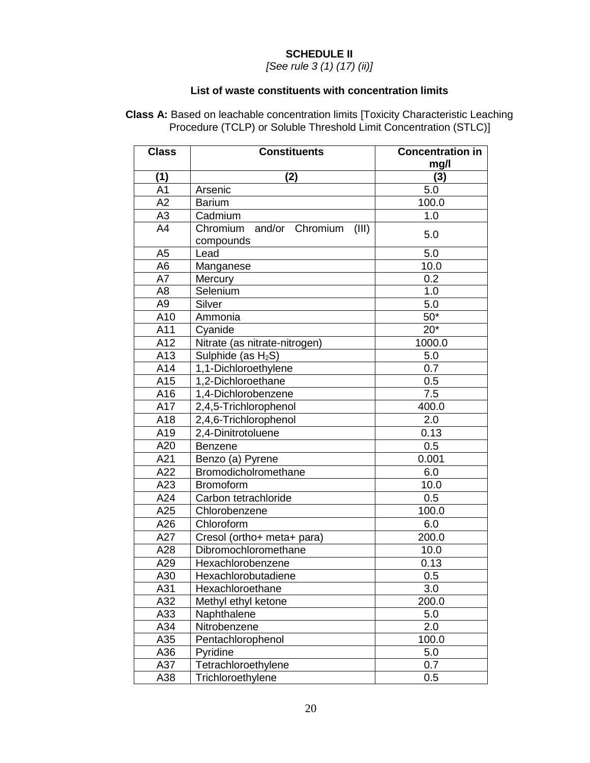# **SCHEDULE II**

*[See rule 3 (1) (17) (ii)]*

#### **List of waste constituents with concentration limits**

**Class A:** Based on leachable concentration limits [Toxicity Characteristic Leaching Procedure (TCLP) or Soluble Threshold Limit Concentration (STLC)]

| <b>Class</b>     | <b>Constituents</b>                            | <b>Concentration in</b><br>mg/l |
|------------------|------------------------------------------------|---------------------------------|
| (1)              | (2)                                            | (3)                             |
| A <sub>1</sub>   | Arsenic                                        | 5.0                             |
| A2               | <b>Barium</b>                                  | 100.0                           |
| A <sub>3</sub>   | Cadmium                                        | 1.0                             |
| A4               | Chromium and/or Chromium<br>(III)<br>compounds | 5.0                             |
| A <sub>5</sub>   | Lead                                           | 5.0                             |
| A <sub>6</sub>   | Manganese                                      | 10.0                            |
| A7               | Mercury                                        | 0.2                             |
| A <sub>8</sub>   | Selenium                                       | 1.0                             |
| A <sub>9</sub>   | Silver                                         | 5.0                             |
| A10              | Ammonia                                        | $50*$                           |
| A11              | Cyanide                                        | $20*$                           |
| $\overline{A12}$ | Nitrate (as nitrate-nitrogen)                  | 1000.0                          |
| A13              | Sulphide (as $H_2S$ )                          | 5.0                             |
| A14              | 1,1-Dichloroethylene                           | 0.7                             |
| A15              | 1,2-Dichloroethane                             | 0.5                             |
| A16              | 1,4-Dichlorobenzene                            | 7.5                             |
| A17              | 2,4,5-Trichlorophenol                          | 400.0                           |
| A18              | 2,4,6-Trichlorophenol                          | 2.0                             |
| A19              | 2,4-Dinitrotoluene                             | 0.13                            |
| A20              | <b>Benzene</b>                                 | 0.5                             |
| A21              | Benzo (a) Pyrene                               | 0.001                           |
| A22              | Bromodicholromethane                           | 6.0                             |
| A23              | <b>Bromoform</b>                               | 10.0                            |
| A24              | Carbon tetrachloride                           | 0.5                             |
| A25              | Chlorobenzene                                  | 100.0                           |
| A26              | Chloroform                                     | 6.0                             |
| A27              | Cresol (ortho+ meta+ para)                     | 200.0                           |
| A28              | Dibromochloromethane                           | 10.0                            |
| A29              | Hexachlorobenzene                              | 0.13                            |
| A30              | Hexachlorobutadiene                            | 0.5                             |
| A31              | Hexachloroethane                               | 3.0                             |
| A32              | Methyl ethyl ketone                            | 200.0                           |
| A33              | Naphthalene                                    | 5.0                             |
| A34              | Nitrobenzene                                   | 2.0                             |
| A35              | Pentachlorophenol                              | 100.0                           |
| A36              | Pyridine                                       | 5.0                             |
| A37              | Tetrachloroethylene                            | 0.7                             |
| A38              | Trichloroethylene                              | 0.5                             |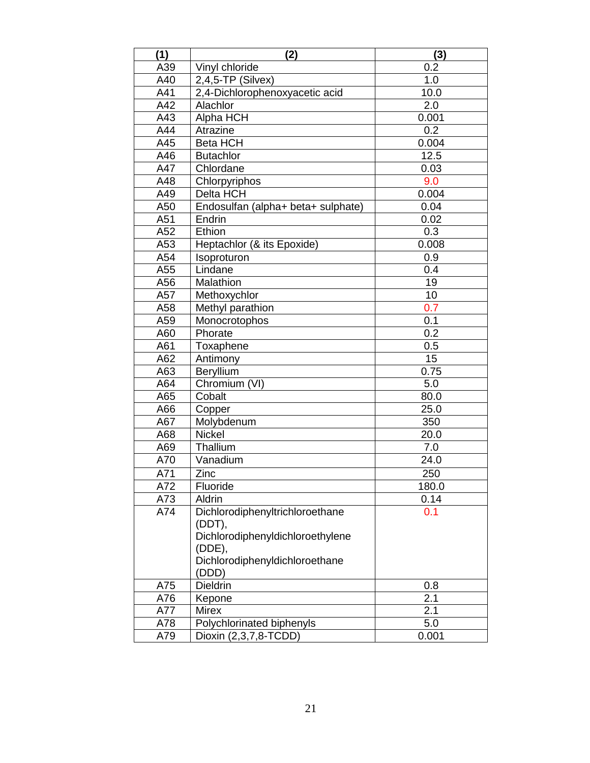| (1) | $\overline{2}$                     | (3)              |
|-----|------------------------------------|------------------|
| A39 | Vinyl chloride                     | 0.2              |
| A40 | $2,4,5$ -TP (Silvex)               | 1.0              |
| A41 | 2,4-Dichlorophenoxyacetic acid     | 10.0             |
| A42 | Alachlor                           | $\overline{2.0}$ |
| A43 | Alpha HCH                          | 0.001            |
| A44 | Atrazine                           | 0.2              |
| A45 | <b>Beta HCH</b>                    | 0.004            |
| A46 | <b>Butachlor</b>                   | 12.5             |
| A47 | Chlordane                          | 0.03             |
| A48 | Chlorpyriphos                      | 9.0              |
| A49 | Delta HCH                          | 0.004            |
| A50 | Endosulfan (alpha+ beta+ sulphate) | 0.04             |
| A51 | Endrin                             | 0.02             |
| A52 | Ethion                             | 0.3              |
| A53 | Heptachlor (& its Epoxide)         | 0.008            |
| A54 | Isoproturon                        | 0.9              |
| A55 | Lindane                            | 0.4              |
| A56 | Malathion                          | 19               |
| A57 | Methoxychlor                       | 10               |
| A58 | Methyl parathion                   | 0.7              |
| A59 | Monocrotophos                      | 0.1              |
| A60 | Phorate                            | 0.2              |
| A61 | Toxaphene                          | 0.5              |
| A62 | Antimony                           | $\overline{15}$  |
| A63 | Beryllium                          | 0.75             |
| A64 | Chromium (VI)                      | 5.0              |
| A65 | Cobalt                             | 80.0             |
| A66 | Copper                             | 25.0             |
| A67 | Molybdenum                         | 350              |
| A68 | Nickel                             | 20.0             |
| A69 | Thallium                           | 7.0              |
| A70 | Vanadium                           | 24.0             |
| A71 | Zinc                               | 250              |
| A72 | Fluoride                           | 180.0            |
| A73 | Aldrin                             | 0.14             |
| A74 | Dichlorodiphenyltrichloroethane    | 0.1              |
|     | (DDT),                             |                  |
|     | Dichlorodiphenyldichloroethylene   |                  |
|     | (ODE),                             |                  |
|     | Dichlorodiphenyldichloroethane     |                  |
|     | (DDD)                              |                  |
| A75 | Dieldrin                           | 0.8              |
| A76 | Kepone                             | 2.1              |
| A77 | <b>Mirex</b>                       | 2.1              |
| A78 | Polychlorinated biphenyls          | 5.0              |
| A79 | Dioxin (2,3,7,8-TCDD)              | 0.001            |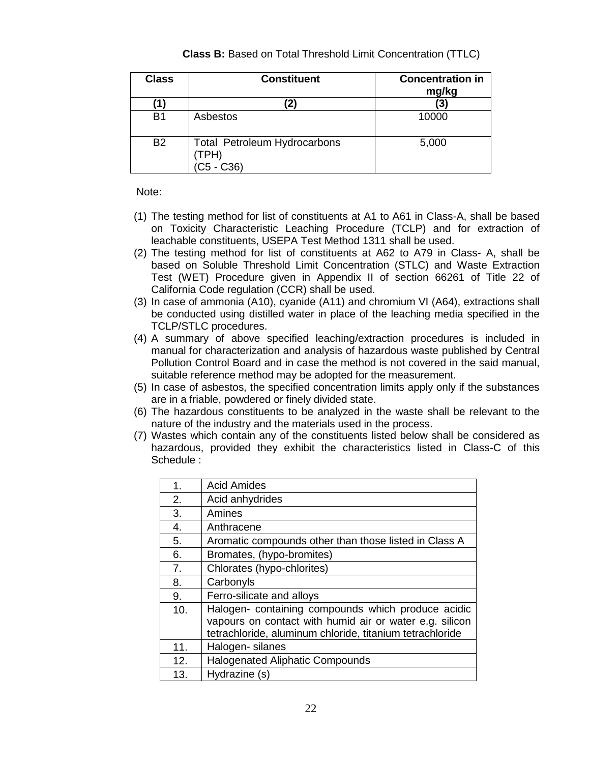|  |  |  |  |  | <b>Class B:</b> Based on Total Threshold Limit Concentration (TTLC) |  |
|--|--|--|--|--|---------------------------------------------------------------------|--|
|--|--|--|--|--|---------------------------------------------------------------------|--|

| <b>Class</b> | <b>Constituent</b>                                        | <b>Concentration in</b><br>mg/kg |
|--------------|-----------------------------------------------------------|----------------------------------|
| 11           |                                                           | (3)                              |
| <b>B1</b>    | Asbestos                                                  | 10000                            |
| <b>B2</b>    | <b>Total Petroleum Hydrocarbons</b><br>TPH)<br>$C5 - C36$ | 5,000                            |

Note:

- (1) The testing method for list of constituents at A1 to A61 in Class-A, shall be based on Toxicity Characteristic Leaching Procedure (TCLP) and for extraction of leachable constituents, USEPA Test Method 1311 shall be used.
- (2) The testing method for list of constituents at A62 to A79 in Class- A, shall be based on Soluble Threshold Limit Concentration (STLC) and Waste Extraction Test (WET) Procedure given in Appendix II of section 66261 of Title 22 of California Code regulation (CCR) shall be used.
- (3) In case of ammonia (A10), cyanide (A11) and chromium VI (A64), extractions shall be conducted using distilled water in place of the leaching media specified in the TCLP/STLC procedures.
- (4) A summary of above specified leaching/extraction procedures is included in manual for characterization and analysis of hazardous waste published by Central Pollution Control Board and in case the method is not covered in the said manual, suitable reference method may be adopted for the measurement.
- (5) In case of asbestos, the specified concentration limits apply only if the substances are in a friable, powdered or finely divided state.
- (6) The hazardous constituents to be analyzed in the waste shall be relevant to the nature of the industry and the materials used in the process.
- (7) Wastes which contain any of the constituents listed below shall be considered as hazardous, provided they exhibit the characteristics listed in Class-C of this Schedule :

| 1.  | <b>Acid Amides</b>                                       |
|-----|----------------------------------------------------------|
| 2.  | Acid anhydrides                                          |
| 3.  | Amines                                                   |
| 4.  | Anthracene                                               |
| 5.  | Aromatic compounds other than those listed in Class A    |
| 6.  | Bromates, (hypo-bromites)                                |
| 7.  | Chlorates (hypo-chlorites)                               |
| 8.  | Carbonyls                                                |
| 9.  | Ferro-silicate and alloys                                |
| 10. | Halogen- containing compounds which produce acidic       |
|     | vapours on contact with humid air or water e.g. silicon  |
|     | tetrachloride, aluminum chloride, titanium tetrachloride |
| 11. | Halogen- silanes                                         |
| 12. | <b>Halogenated Aliphatic Compounds</b>                   |
| 13. | Hydrazine (s)                                            |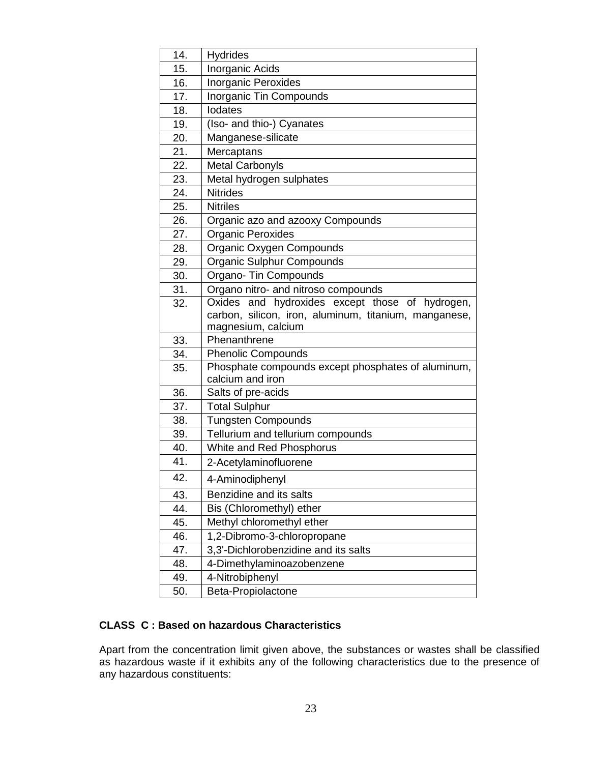| 14. | <b>Hydrides</b>                                                |
|-----|----------------------------------------------------------------|
| 15. | Inorganic Acids                                                |
| 16. | <b>Inorganic Peroxides</b>                                     |
| 17. | Inorganic Tin Compounds                                        |
| 18. | <b>lodates</b>                                                 |
| 19. | (Iso- and thio-) Cyanates                                      |
| 20. | Manganese-silicate                                             |
| 21. | Mercaptans                                                     |
| 22. | <b>Metal Carbonyls</b>                                         |
| 23. | Metal hydrogen sulphates                                       |
| 24. | <b>Nitrides</b>                                                |
| 25. | <b>Nitriles</b>                                                |
| 26. | Organic azo and azooxy Compounds                               |
| 27. | <b>Organic Peroxides</b>                                       |
| 28. | Organic Oxygen Compounds                                       |
| 29. | Organic Sulphur Compounds                                      |
| 30. | Organo- Tin Compounds                                          |
| 31. | Organo nitro- and nitroso compounds                            |
| 32. | Oxides and hydroxides except those of hydrogen,                |
|     | carbon, silicon, iron, aluminum, titanium, manganese,          |
|     | magnesium, calcium                                             |
| 33. | Phenanthrene                                                   |
| 34. | <b>Phenolic Compounds</b>                                      |
| 35. | Phosphate compounds except phosphates of aluminum,             |
| 36. | calcium and iron                                               |
|     | Salts of pre-acids                                             |
| 37. | <b>Total Sulphur</b>                                           |
| 38. | <b>Tungsten Compounds</b><br>Tellurium and tellurium compounds |
| 39. |                                                                |
| 40. | White and Red Phosphorus                                       |
| 41. | 2-Acetylaminofluorene                                          |
| 42. | 4-Aminodiphenyl                                                |
| 43. | Benzidine and its salts                                        |
| 44. | Bis (Chloromethyl) ether                                       |
| 45. | Methyl chloromethyl ether                                      |
| 46. | 1,2-Dibromo-3-chloropropane                                    |
| 47. | 3,3'-Dichlorobenzidine and its salts                           |
| 48. | 4-Dimethylaminoazobenzene                                      |
| 49. | 4-Nitrobiphenyl                                                |
| 50. | Beta-Propiolactone                                             |

# **CLASS C : Based on hazardous Characteristics**

Apart from the concentration limit given above, the substances or wastes shall be classified as hazardous waste if it exhibits any of the following characteristics due to the presence of any hazardous constituents: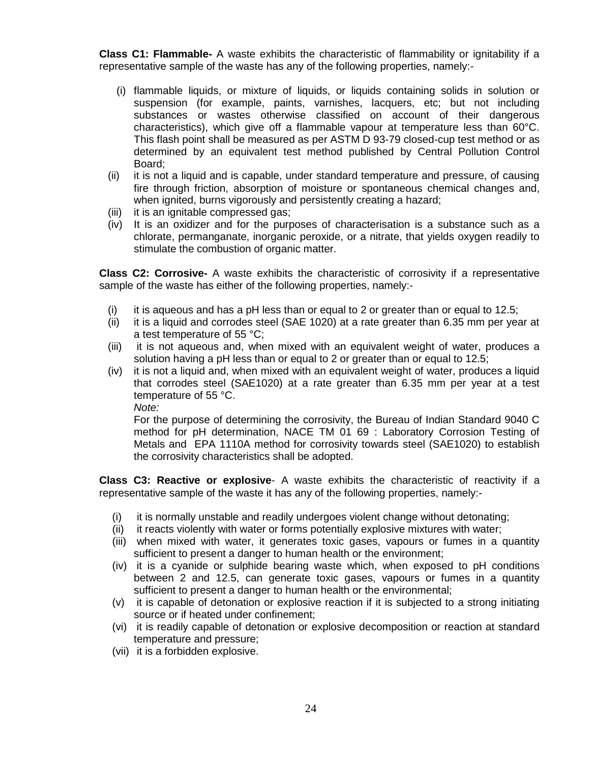**Class C1: Flammable-** A waste exhibits the characteristic of flammability or ignitability if a representative sample of the waste has any of the following properties, namely:-

- (i) flammable liquids, or mixture of liquids, or liquids containing solids in solution or suspension (for example, paints, varnishes, lacquers, etc; but not including substances or wastes otherwise classified on account of their dangerous characteristics), which give off a flammable vapour at temperature less than 60°C. This flash point shall be measured as per ASTM D 93-79 closed-cup test method or as determined by an equivalent test method published by Central Pollution Control Board;
- (ii) it is not a liquid and is capable, under standard temperature and pressure, of causing fire through friction, absorption of moisture or spontaneous chemical changes and, when ignited, burns vigorously and persistently creating a hazard;
- (iii) it is an ignitable compressed gas;
- (iv) It is an oxidizer and for the purposes of characterisation is a substance such as a chlorate, permanganate, inorganic peroxide, or a nitrate, that yields oxygen readily to stimulate the combustion of organic matter.

**Class C2: Corrosive-** A waste exhibits the characteristic of corrosivity if a representative sample of the waste has either of the following properties, namely:-

- (i) it is aqueous and has a pH less than or equal to 2 or greater than or equal to 12.5;
- (ii) it is a liquid and corrodes steel (SAE 1020) at a rate greater than 6.35 mm per year at a test temperature of 55 °C;
- (iii) it is not aqueous and, when mixed with an equivalent weight of water, produces a solution having a pH less than or equal to 2 or greater than or equal to 12.5;
- (iv) it is not a liquid and, when mixed with an equivalent weight of water, produces a liquid that corrodes steel (SAE1020) at a rate greater than 6.35 mm per year at a test temperature of 55 °C.

*Note:*

For the purpose of determining the corrosivity, the Bureau of Indian Standard 9040 C method for pH determination, NACE TM 01 69 : Laboratory Corrosion Testing of Metals and EPA 1110A method for corrosivity towards steel (SAE1020) to establish the corrosivity characteristics shall be adopted.

**Class C3: Reactive or explosive**- A waste exhibits the characteristic of reactivity if a representative sample of the waste it has any of the following properties, namely:-

- (i) it is normally unstable and readily undergoes violent change without detonating;
- (ii) it reacts violently with water or forms potentially explosive mixtures with water;
- (iii) when mixed with water, it generates toxic gases, vapours or fumes in a quantity sufficient to present a danger to human health or the environment;
- (iv) it is a cyanide or sulphide bearing waste which, when exposed to pH conditions between 2 and 12.5, can generate toxic gases, vapours or fumes in a quantity sufficient to present a danger to human health or the environmental;
- (v) it is capable of detonation or explosive reaction if it is subjected to a strong initiating source or if heated under confinement;
- (vi) it is readily capable of detonation or explosive decomposition or reaction at standard temperature and pressure;
- (vii) it is a forbidden explosive.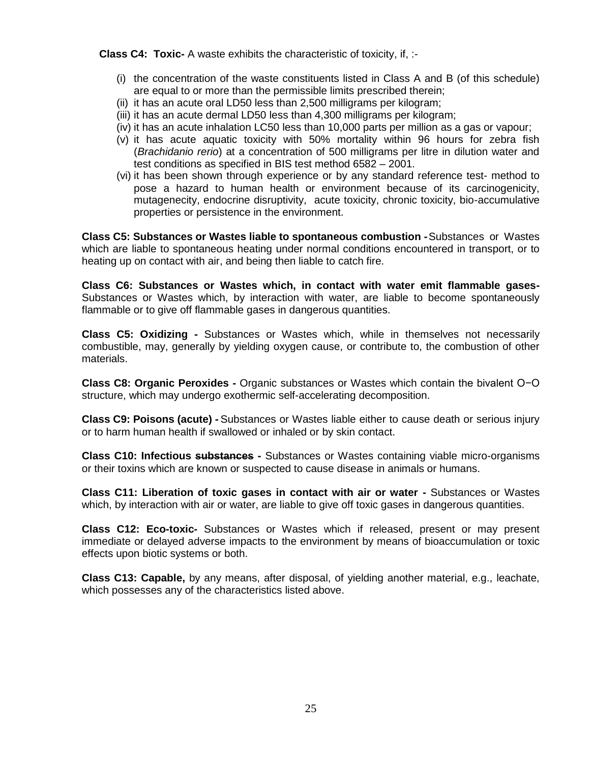**Class C4: Toxic-** A waste exhibits the characteristic of toxicity, if, :-

- (i) the concentration of the waste constituents listed in Class A and B (of this schedule) are equal to or more than the permissible limits prescribed therein;
- (ii) it has an acute oral LD50 less than 2,500 milligrams per kilogram;
- (iii) it has an acute dermal LD50 less than 4,300 milligrams per kilogram;
- (iv) it has an acute inhalation LC50 less than 10,000 parts per million as a gas or vapour;
- (v) it has acute aquatic toxicity with 50% mortality within 96 hours for zebra fish (*Brachidanio rerio*) at a concentration of 500 milligrams per litre in dilution water and test conditions as specified in BIS test method 6582 – 2001.
- (vi) it has been shown through experience or by any standard reference test- method to pose a hazard to human health or environment because of its carcinogenicity, mutagenecity, endocrine disruptivity, acute toxicity, chronic toxicity, bio-accumulative properties or persistence in the environment.

**Class C5: Substances or Wastes liable to spontaneous combustion -**Substances or Wastes which are liable to spontaneous heating under normal conditions encountered in transport, or to heating up on contact with air, and being then liable to catch fire.

**Class C6: Substances or Wastes which, in contact with water emit flammable gases-**Substances or Wastes which, by interaction with water, are liable to become spontaneously flammable or to give off flammable gases in dangerous quantities.

**Class C5: Oxidizing -** Substances or Wastes which, while in themselves not necessarily combustible, may, generally by yielding oxygen cause, or contribute to, the combustion of other materials.

**Class C8: Organic Peroxides -** Organic substances or Wastes which contain the bivalent O−O structure, which may undergo exothermic self-accelerating decomposition.

**Class C9: Poisons (acute) -** Substances or Wastes liable either to cause death or serious injury or to harm human health if swallowed or inhaled or by skin contact.

**Class C10: Infectious substances -** Substances or Wastes containing viable micro-organisms or their toxins which are known or suspected to cause disease in animals or humans.

**Class C11: Liberation of toxic gases in contact with air or water -** Substances or Wastes which, by interaction with air or water, are liable to give off toxic gases in dangerous quantities.

**Class C12: Eco-toxic-** Substances or Wastes which if released, present or may present immediate or delayed adverse impacts to the environment by means of bioaccumulation or toxic effects upon biotic systems or both.

**Class C13: Capable,** by any means, after disposal, of yielding another material, e.g., leachate, which possesses any of the characteristics listed above.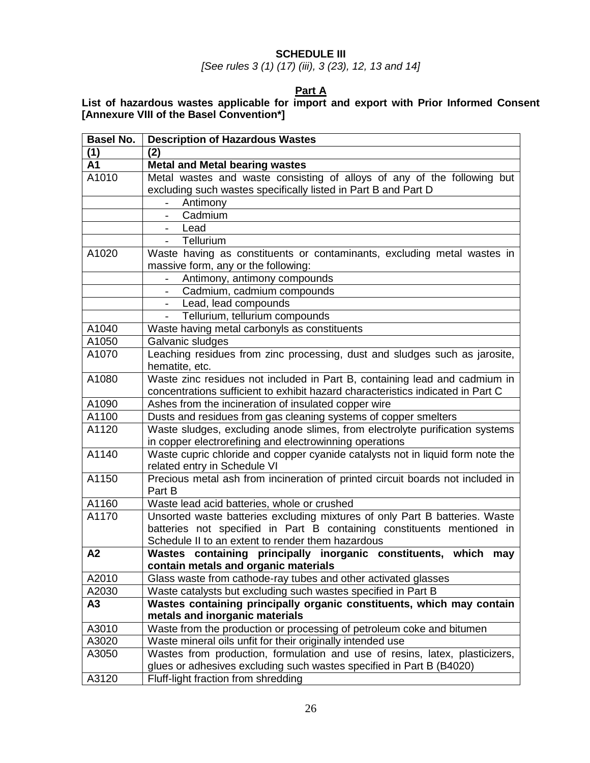# **SCHEDULE III**

*[See rules 3 (1) (17) (iii), 3 (23), 12, 13 and 14]*

## **Part A**

# **List of hazardous wastes applicable for import and export with Prior Informed Consent [Annexure VIII of the Basel Convention\*]**

| <b>Basel No.</b> | <b>Description of Hazardous Wastes</b>                                                                                      |
|------------------|-----------------------------------------------------------------------------------------------------------------------------|
| (1)              | (2)                                                                                                                         |
| A1               | <b>Metal and Metal bearing wastes</b>                                                                                       |
| A1010            | Metal wastes and waste consisting of alloys of any of the following but                                                     |
|                  | excluding such wastes specifically listed in Part B and Part D                                                              |
|                  | Antimony                                                                                                                    |
|                  | Cadmium                                                                                                                     |
|                  | Lead                                                                                                                        |
|                  | Tellurium<br>$\sim$                                                                                                         |
| A1020            | Waste having as constituents or contaminants, excluding metal wastes in                                                     |
|                  | massive form, any or the following:                                                                                         |
|                  | Antimony, antimony compounds                                                                                                |
|                  | Cadmium, cadmium compounds                                                                                                  |
|                  | Lead, lead compounds<br>$\overline{\phantom{a}}$                                                                            |
|                  | Tellurium, tellurium compounds                                                                                              |
| A1040            | Waste having metal carbonyls as constituents                                                                                |
| A1050            | Galvanic sludges                                                                                                            |
| A1070            | Leaching residues from zinc processing, dust and sludges such as jarosite,                                                  |
|                  | hematite, etc.                                                                                                              |
| A1080            | Waste zinc residues not included in Part B, containing lead and cadmium in                                                  |
|                  | concentrations sufficient to exhibit hazard characteristics indicated in Part C                                             |
| A1090            | Ashes from the incineration of insulated copper wire                                                                        |
| A1100            | Dusts and residues from gas cleaning systems of copper smelters                                                             |
| A1120            | Waste sludges, excluding anode slimes, from electrolyte purification systems                                                |
|                  | in copper electrorefining and electrowinning operations                                                                     |
| A1140            | Waste cupric chloride and copper cyanide catalysts not in liquid form note the                                              |
|                  | related entry in Schedule VI                                                                                                |
| A1150            | Precious metal ash from incineration of printed circuit boards not included in                                              |
|                  | Part B                                                                                                                      |
| A1160            | Waste lead acid batteries, whole or crushed                                                                                 |
| A1170            | Unsorted waste batteries excluding mixtures of only Part B batteries. Waste                                                 |
|                  | batteries not specified in Part B containing constituents mentioned in<br>Schedule II to an extent to render them hazardous |
| A2               | Wastes containing principally inorganic constituents, which may                                                             |
|                  | contain metals and organic materials                                                                                        |
| A2010            | Glass waste from cathode-ray tubes and other activated glasses                                                              |
| A2030            | Waste catalysts but excluding such wastes specified in Part B                                                               |
| A3               | Wastes containing principally organic constituents, which may contain                                                       |
|                  | metals and inorganic materials                                                                                              |
| A3010            | Waste from the production or processing of petroleum coke and bitumen                                                       |
| A3020            | Waste mineral oils unfit for their originally intended use                                                                  |
| A3050            | Wastes from production, formulation and use of resins, latex, plasticizers,                                                 |
|                  | glues or adhesives excluding such wastes specified in Part B (B4020)                                                        |
| A3120            | Fluff-light fraction from shredding                                                                                         |
|                  |                                                                                                                             |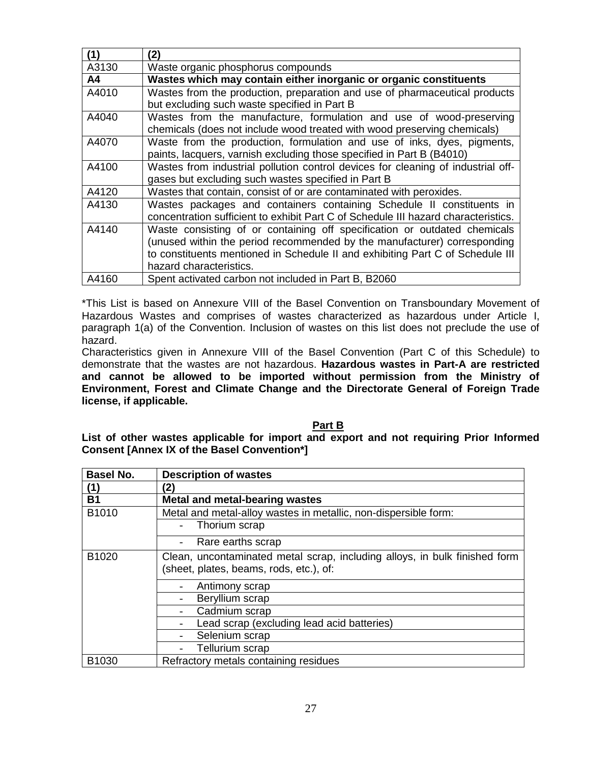| (1)   | (2)                                                                                |
|-------|------------------------------------------------------------------------------------|
| A3130 | Waste organic phosphorus compounds                                                 |
| A4    | Wastes which may contain either inorganic or organic constituents                  |
| A4010 | Wastes from the production, preparation and use of pharmaceutical products         |
|       | but excluding such waste specified in Part B                                       |
| A4040 | Wastes from the manufacture, formulation and use of wood-preserving                |
|       | chemicals (does not include wood treated with wood preserving chemicals)           |
| A4070 | Waste from the production, formulation and use of inks, dyes, pigments,            |
|       | paints, lacquers, varnish excluding those specified in Part B (B4010)              |
| A4100 | Wastes from industrial pollution control devices for cleaning of industrial off-   |
|       | gases but excluding such wastes specified in Part B                                |
| A4120 | Wastes that contain, consist of or are contaminated with peroxides.                |
| A4130 | Wastes packages and containers containing Schedule II constituents in              |
|       | concentration sufficient to exhibit Part C of Schedule III hazard characteristics. |
| A4140 | Waste consisting of or containing off specification or outdated chemicals          |
|       | (unused within the period recommended by the manufacturer) corresponding           |
|       | to constituents mentioned in Schedule II and exhibiting Part C of Schedule III     |
|       | hazard characteristics.                                                            |
| A4160 | Spent activated carbon not included in Part B, B2060                               |

\*This List is based on Annexure VIII of the Basel Convention on Transboundary Movement of Hazardous Wastes and comprises of wastes characterized as hazardous under Article I, paragraph 1(a) of the Convention. Inclusion of wastes on this list does not preclude the use of hazard.

Characteristics given in Annexure VIII of the Basel Convention (Part C of this Schedule) to demonstrate that the wastes are not hazardous. **Hazardous wastes in Part-A are restricted and cannot be allowed to be imported without permission from the Ministry of Environment, Forest and Climate Change and the Directorate General of Foreign Trade license, if applicable.** 

#### **Part B**

**List of other wastes applicable for import and export and not requiring Prior Informed Consent [Annex IX of the Basel Convention\*]**

| <b>Basel No.</b> | <b>Description of wastes</b>                                                                                          |
|------------------|-----------------------------------------------------------------------------------------------------------------------|
| (1)              | (2)                                                                                                                   |
| <b>B1</b>        | <b>Metal and metal-bearing wastes</b>                                                                                 |
| B1010            | Metal and metal-alloy wastes in metallic, non-dispersible form:                                                       |
|                  | Thorium scrap                                                                                                         |
|                  | Rare earths scrap                                                                                                     |
| B1020            | Clean, uncontaminated metal scrap, including alloys, in bulk finished form<br>(sheet, plates, beams, rods, etc.), of: |
|                  | Antimony scrap                                                                                                        |
|                  | Beryllium scrap                                                                                                       |
|                  | Cadmium scrap                                                                                                         |
|                  | Lead scrap (excluding lead acid batteries)                                                                            |
|                  | Selenium scrap                                                                                                        |
|                  | Tellurium scrap                                                                                                       |
| B1030            | Refractory metals containing residues                                                                                 |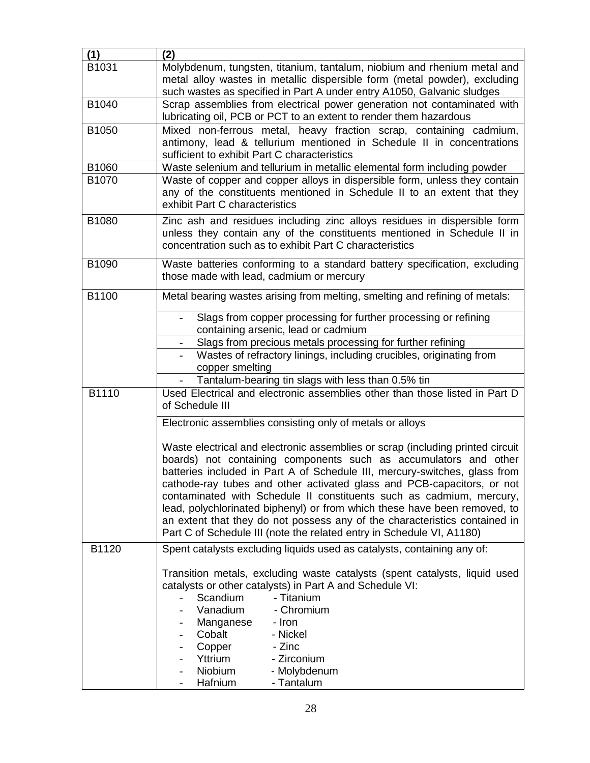| (1)   | (2)                                                                            |
|-------|--------------------------------------------------------------------------------|
| B1031 |                                                                                |
|       | Molybdenum, tungsten, titanium, tantalum, niobium and rhenium metal and        |
|       | metal alloy wastes in metallic dispersible form (metal powder), excluding      |
|       | such wastes as specified in Part A under entry A1050, Galvanic sludges         |
| B1040 | Scrap assemblies from electrical power generation not contaminated with        |
|       | lubricating oil, PCB or PCT to an extent to render them hazardous              |
| B1050 | Mixed non-ferrous metal, heavy fraction scrap, containing cadmium,             |
|       | antimony, lead & tellurium mentioned in Schedule II in concentrations          |
|       | sufficient to exhibit Part C characteristics                                   |
| B1060 | Waste selenium and tellurium in metallic elemental form including powder       |
| B1070 | Waste of copper and copper alloys in dispersible form, unless they contain     |
|       | any of the constituents mentioned in Schedule II to an extent that they        |
|       | exhibit Part C characteristics                                                 |
|       |                                                                                |
| B1080 | Zinc ash and residues including zinc alloys residues in dispersible form       |
|       | unless they contain any of the constituents mentioned in Schedule II in        |
|       | concentration such as to exhibit Part C characteristics                        |
| B1090 | Waste batteries conforming to a standard battery specification, excluding      |
|       | those made with lead, cadmium or mercury                                       |
|       |                                                                                |
| B1100 | Metal bearing wastes arising from melting, smelting and refining of metals:    |
|       |                                                                                |
|       | Slags from copper processing for further processing or refining                |
|       | containing arsenic, lead or cadmium                                            |
|       | Slags from precious metals processing for further refining                     |
|       | Wastes of refractory linings, including crucibles, originating from            |
|       | copper smelting                                                                |
|       | Tantalum-bearing tin slags with less than 0.5% tin                             |
| B1110 | Used Electrical and electronic assemblies other than those listed in Part D    |
|       | of Schedule III                                                                |
|       |                                                                                |
|       | Electronic assemblies consisting only of metals or alloys                      |
|       |                                                                                |
|       | Waste electrical and electronic assemblies or scrap (including printed circuit |
|       | boards) not containing components such as accumulators and other               |
|       | batteries included in Part A of Schedule III, mercury-switches, glass from     |
|       | cathode-ray tubes and other activated glass and PCB-capacitors, or not         |
|       | contaminated with Schedule II constituents such as cadmium, mercury,           |
|       | lead, polychlorinated biphenyl) or from which these have been removed, to      |
|       | an extent that they do not possess any of the characteristics contained in     |
|       | Part C of Schedule III (note the related entry in Schedule VI, A1180)          |
| B1120 | Spent catalysts excluding liquids used as catalysts, containing any of:        |
|       |                                                                                |
|       | Transition metals, excluding waste catalysts (spent catalysts, liquid used     |
|       | catalysts or other catalysts) in Part A and Schedule VI:                       |
|       | Scandium<br>- Titanium                                                         |
|       | Vanadium<br>- Chromium                                                         |
|       | Manganese<br>- Iron                                                            |
|       | Cobalt<br>- Nickel                                                             |
|       | - Zinc<br>Copper                                                               |
|       | Yttrium<br>- Zirconium                                                         |
|       | Niobium<br>- Molybdenum                                                        |
|       | Hafnium<br>- Tantalum                                                          |
|       |                                                                                |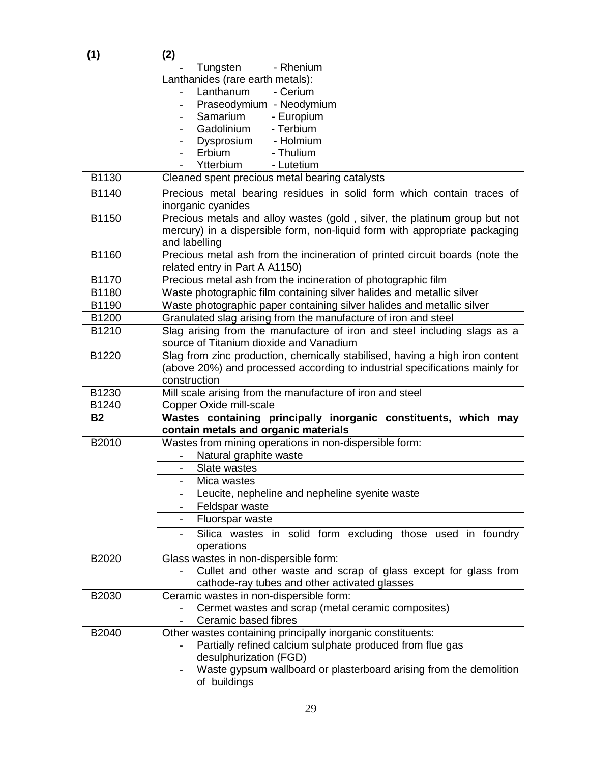| (1)       | (2)                                                                                                                 |
|-----------|---------------------------------------------------------------------------------------------------------------------|
|           | Tungsten<br>- Rhenium                                                                                               |
|           | Lanthanides (rare earth metals):                                                                                    |
|           | Lanthanum<br>- Cerium                                                                                               |
|           | Praseodymium - Neodymium                                                                                            |
|           | Samarium<br>- Europium                                                                                              |
|           | Gadolinium<br>- Terbium                                                                                             |
|           | Dysprosium - Holmium                                                                                                |
|           | Erbium<br>- Thulium                                                                                                 |
|           | Ytterbium<br>- Lutetium                                                                                             |
| B1130     | Cleaned spent precious metal bearing catalysts                                                                      |
| B1140     | Precious metal bearing residues in solid form which contain traces of<br>inorganic cyanides                         |
| B1150     | Precious metals and alloy wastes (gold, silver, the platinum group but not                                          |
|           | mercury) in a dispersible form, non-liquid form with appropriate packaging<br>and labelling                         |
| B1160     | Precious metal ash from the incineration of printed circuit boards (note the                                        |
|           | related entry in Part A A1150)                                                                                      |
| B1170     | Precious metal ash from the incineration of photographic film                                                       |
| B1180     | Waste photographic film containing silver halides and metallic silver                                               |
| B1190     | Waste photographic paper containing silver halides and metallic silver                                              |
| B1200     | Granulated slag arising from the manufacture of iron and steel                                                      |
| B1210     | Slag arising from the manufacture of iron and steel including slags as a<br>source of Titanium dioxide and Vanadium |
| B1220     | Slag from zinc production, chemically stabilised, having a high iron content                                        |
|           | (above 20%) and processed according to industrial specifications mainly for                                         |
|           | construction                                                                                                        |
| B1230     | Mill scale arising from the manufacture of iron and steel                                                           |
| B1240     | Copper Oxide mill-scale                                                                                             |
| <b>B2</b> | Wastes containing principally inorganic constituents, which may                                                     |
|           | contain metals and organic materials                                                                                |
| B2010     | Wastes from mining operations in non-dispersible form:                                                              |
|           | Natural graphite waste                                                                                              |
|           | Slate wastes<br>Mica wastes                                                                                         |
|           |                                                                                                                     |
|           | Leucite, nepheline and nepheline syenite waste<br>Feldspar waste                                                    |
|           | Fluorspar waste                                                                                                     |
|           |                                                                                                                     |
|           | Silica wastes in solid form excluding those used in foundry<br>operations                                           |
| B2020     | Glass wastes in non-dispersible form:                                                                               |
|           | Cullet and other waste and scrap of glass except for glass from<br>cathode-ray tubes and other activated glasses    |
| B2030     | Ceramic wastes in non-dispersible form:                                                                             |
|           | Cermet wastes and scrap (metal ceramic composites)                                                                  |
|           | Ceramic based fibres                                                                                                |
| B2040     | Other wastes containing principally inorganic constituents:                                                         |
|           | Partially refined calcium sulphate produced from flue gas                                                           |
|           | desulphurization (FGD)                                                                                              |
|           | Waste gypsum wallboard or plasterboard arising from the demolition                                                  |
|           | of buildings                                                                                                        |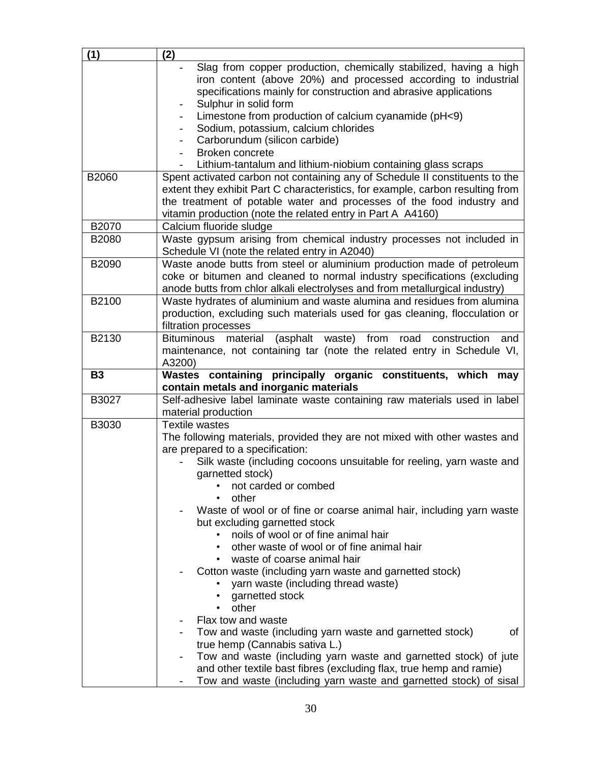| (1)       | (2)                                                                                                                                                                                                     |
|-----------|---------------------------------------------------------------------------------------------------------------------------------------------------------------------------------------------------------|
|           | Slag from copper production, chemically stabilized, having a high<br>iron content (above 20%) and processed according to industrial<br>specifications mainly for construction and abrasive applications |
|           | Sulphur in solid form<br>Limestone from production of calcium cyanamide (pH<9)                                                                                                                          |
|           | Sodium, potassium, calcium chlorides                                                                                                                                                                    |
|           | Carborundum (silicon carbide)                                                                                                                                                                           |
|           | Broken concrete                                                                                                                                                                                         |
|           | Lithium-tantalum and lithium-niobium containing glass scraps                                                                                                                                            |
| B2060     | Spent activated carbon not containing any of Schedule II constituents to the                                                                                                                            |
|           | extent they exhibit Part C characteristics, for example, carbon resulting from                                                                                                                          |
|           | the treatment of potable water and processes of the food industry and                                                                                                                                   |
|           | vitamin production (note the related entry in Part A A4160)                                                                                                                                             |
| B2070     | Calcium fluoride sludge                                                                                                                                                                                 |
| B2080     | Waste gypsum arising from chemical industry processes not included in<br>Schedule VI (note the related entry in A2040)                                                                                  |
| B2090     | Waste anode butts from steel or aluminium production made of petroleum                                                                                                                                  |
|           | coke or bitumen and cleaned to normal industry specifications (excluding                                                                                                                                |
| B2100     | anode butts from chlor alkali electrolyses and from metallurgical industry)                                                                                                                             |
|           | Waste hydrates of aluminium and waste alumina and residues from alumina<br>production, excluding such materials used for gas cleaning, flocculation or                                                  |
|           | filtration processes                                                                                                                                                                                    |
| B2130     | <b>Bituminous</b><br>material<br>(asphalt waste)<br>from<br>road<br>construction<br>and                                                                                                                 |
|           | maintenance, not containing tar (note the related entry in Schedule VI,                                                                                                                                 |
|           | A3200)                                                                                                                                                                                                  |
|           |                                                                                                                                                                                                         |
| <b>B3</b> | Wastes containing principally organic constituents, which may<br>contain metals and inorganic materials                                                                                                 |
| B3027     | Self-adhesive label laminate waste containing raw materials used in label<br>material production                                                                                                        |
| B3030     | <b>Textile wastes</b>                                                                                                                                                                                   |
|           | The following materials, provided they are not mixed with other wastes and                                                                                                                              |
|           | are prepared to a specification:                                                                                                                                                                        |
|           | Silk waste (including cocoons unsuitable for reeling, yarn waste and                                                                                                                                    |
|           | garnetted stock)                                                                                                                                                                                        |
|           | not carded or combed                                                                                                                                                                                    |
|           | other                                                                                                                                                                                                   |
|           | Waste of wool or of fine or coarse animal hair, including yarn waste                                                                                                                                    |
|           | but excluding garnetted stock<br>noils of wool or of fine animal hair                                                                                                                                   |
|           | other waste of wool or of fine animal hair                                                                                                                                                              |
|           | • waste of coarse animal hair                                                                                                                                                                           |
|           | Cotton waste (including yarn waste and garnetted stock)                                                                                                                                                 |
|           | yarn waste (including thread waste)                                                                                                                                                                     |
|           | garnetted stock                                                                                                                                                                                         |
|           | other<br>$\bullet$                                                                                                                                                                                      |
|           | Flax tow and waste                                                                                                                                                                                      |
|           | Tow and waste (including yarn waste and garnetted stock)<br>οf                                                                                                                                          |
|           | true hemp (Cannabis sativa L.)                                                                                                                                                                          |
|           | Tow and waste (including yarn waste and garnetted stock) of jute<br>and other textile bast fibres (excluding flax, true hemp and ramie)                                                                 |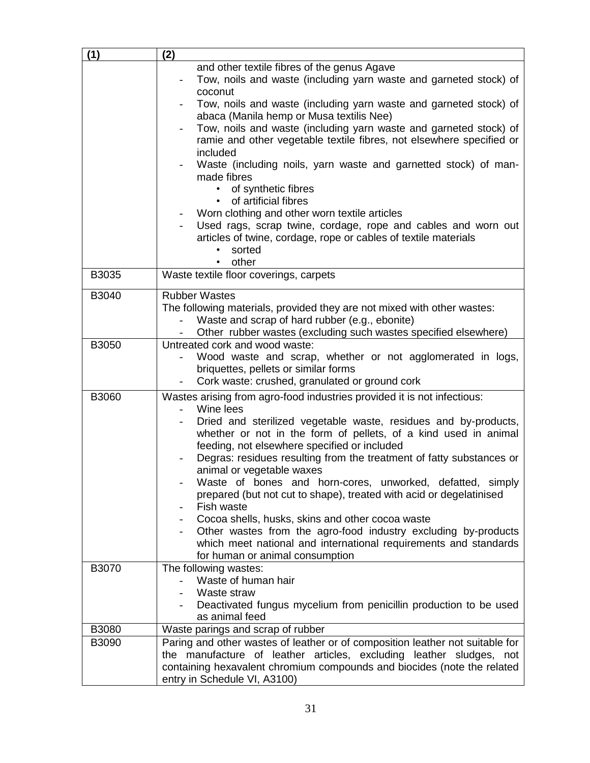| (1)   | (2)                                                                                                                                                  |
|-------|------------------------------------------------------------------------------------------------------------------------------------------------------|
|       | and other textile fibres of the genus Agave                                                                                                          |
|       | Tow, noils and waste (including yarn waste and garneted stock) of<br>coconut                                                                         |
|       | Tow, noils and waste (including yarn waste and garneted stock) of<br>abaca (Manila hemp or Musa textilis Nee)                                        |
|       | Tow, noils and waste (including yarn waste and garneted stock) of<br>ramie and other vegetable textile fibres, not elsewhere specified or            |
|       | included<br>Waste (including noils, yarn waste and garnetted stock) of man-                                                                          |
|       | made fibres<br>of synthetic fibres                                                                                                                   |
|       | of artificial fibres                                                                                                                                 |
|       | Worn clothing and other worn textile articles                                                                                                        |
|       | Used rags, scrap twine, cordage, rope and cables and worn out<br>articles of twine, cordage, rope or cables of textile materials<br>sorted           |
|       | other                                                                                                                                                |
| B3035 | Waste textile floor coverings, carpets                                                                                                               |
| B3040 | <b>Rubber Wastes</b>                                                                                                                                 |
|       | The following materials, provided they are not mixed with other wastes:                                                                              |
|       | Waste and scrap of hard rubber (e.g., ebonite)<br>Other rubber wastes (excluding such wastes specified elsewhere)                                    |
| B3050 | Untreated cork and wood waste:                                                                                                                       |
|       | Wood waste and scrap, whether or not agglomerated in logs,                                                                                           |
|       | briquettes, pellets or similar forms                                                                                                                 |
|       | Cork waste: crushed, granulated or ground cork                                                                                                       |
| B3060 | Wastes arising from agro-food industries provided it is not infectious:<br>Wine lees                                                                 |
|       | Dried and sterilized vegetable waste, residues and by-products,                                                                                      |
|       | whether or not in the form of pellets, of a kind used in animal                                                                                      |
|       | feeding, not elsewhere specified or included                                                                                                         |
|       | Degras: residues resulting from the treatment of fatty substances or                                                                                 |
|       | animal or vegetable waxes<br>Waste of bones and horn-cores, unworked, defatted, simply                                                               |
|       | prepared (but not cut to shape), treated with acid or degelatinised                                                                                  |
|       | Fish waste                                                                                                                                           |
|       | Cocoa shells, husks, skins and other cocoa waste                                                                                                     |
|       | Other wastes from the agro-food industry excluding by-products                                                                                       |
|       | which meet national and international requirements and standards<br>for human or animal consumption                                                  |
| B3070 | The following wastes:                                                                                                                                |
|       | Waste of human hair                                                                                                                                  |
|       | Waste straw                                                                                                                                          |
|       | Deactivated fungus mycelium from penicillin production to be used                                                                                    |
|       | as animal feed                                                                                                                                       |
| B3080 | Waste parings and scrap of rubber                                                                                                                    |
| B3090 | Paring and other wastes of leather or of composition leather not suitable for<br>the manufacture of leather articles, excluding leather sludges, not |
|       | containing hexavalent chromium compounds and biocides (note the related                                                                              |
|       | entry in Schedule VI, A3100)                                                                                                                         |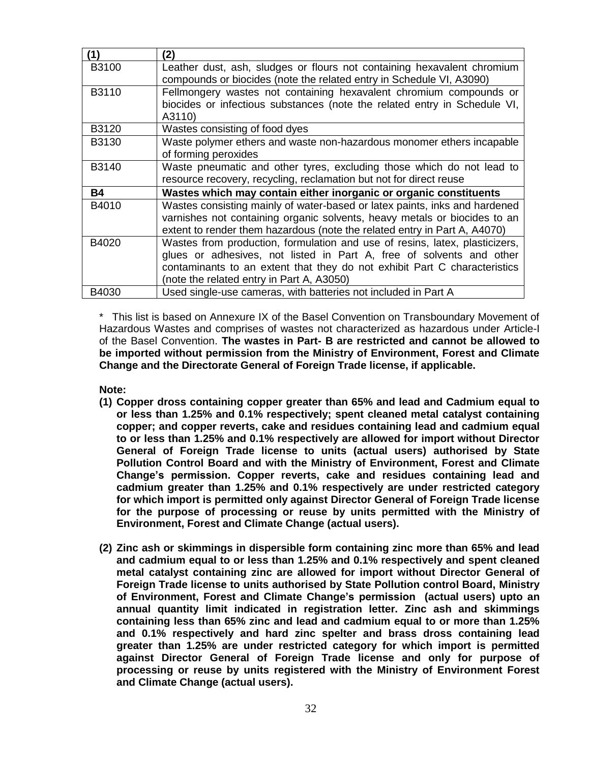| (1)          | (2)                                                                         |
|--------------|-----------------------------------------------------------------------------|
| <b>B3100</b> | Leather dust, ash, sludges or flours not containing hexavalent chromium     |
|              | compounds or biocides (note the related entry in Schedule VI, A3090)        |
| B3110        | Fellmongery wastes not containing hexavalent chromium compounds or          |
|              | biocides or infectious substances (note the related entry in Schedule VI,   |
|              | A3110)                                                                      |
| B3120        | Wastes consisting of food dyes                                              |
| B3130        | Waste polymer ethers and waste non-hazardous monomer ethers incapable       |
|              | of forming peroxides                                                        |
| B3140        | Waste pneumatic and other tyres, excluding those which do not lead to       |
|              | resource recovery, recycling, reclamation but not for direct reuse          |
| <b>B4</b>    | Wastes which may contain either inorganic or organic constituents           |
| B4010        | Wastes consisting mainly of water-based or latex paints, inks and hardened  |
|              | varnishes not containing organic solvents, heavy metals or biocides to an   |
|              | extent to render them hazardous (note the related entry in Part A, A4070)   |
| B4020        | Wastes from production, formulation and use of resins, latex, plasticizers, |
|              | glues or adhesives, not listed in Part A, free of solvents and other        |
|              | contaminants to an extent that they do not exhibit Part C characteristics   |
|              | (note the related entry in Part A, A3050)                                   |
| B4030        | Used single-use cameras, with batteries not included in Part A              |

\* This list is based on Annexure IX of the Basel Convention on Transboundary Movement of Hazardous Wastes and comprises of wastes not characterized as hazardous under Article-I of the Basel Convention. **The wastes in Part- B are restricted and cannot be allowed to be imported without permission from the Ministry of Environment, Forest and Climate Change and the Directorate General of Foreign Trade license, if applicable.** 

**Note:** 

- **(1) Copper dross containing copper greater than 65% and lead and Cadmium equal to or less than 1.25% and 0.1% respectively; spent cleaned metal catalyst containing copper; and copper reverts, cake and residues containing lead and cadmium equal to or less than 1.25% and 0.1% respectively are allowed for import without Director General of Foreign Trade license to units (actual users) authorised by State Pollution Control Board and with the Ministry of Environment, Forest and Climate Change's permission. Copper reverts, cake and residues containing lead and cadmium greater than 1.25% and 0.1% respectively are under restricted category for which import is permitted only against Director General of Foreign Trade license for the purpose of processing or reuse by units permitted with the Ministry of Environment, Forest and Climate Change (actual users).**
- **(2) Zinc ash or skimmings in dispersible form containing zinc more than 65% and lead and cadmium equal to or less than 1.25% and 0.1% respectively and spent cleaned metal catalyst containing zinc are allowed for import without Director General of Foreign Trade license to units authorised by State Pollution control Board, Ministry of Environment, Forest and Climate Change's permission (actual users) upto an annual quantity limit indicated in registration letter. Zinc ash and skimmings containing less than 65% zinc and lead and cadmium equal to or more than 1.25% and 0.1% respectively and hard zinc spelter and brass dross containing lead greater than 1.25% are under restricted category for which import is permitted against Director General of Foreign Trade license and only for purpose of processing or reuse by units registered with the Ministry of Environment Forest and Climate Change (actual users).**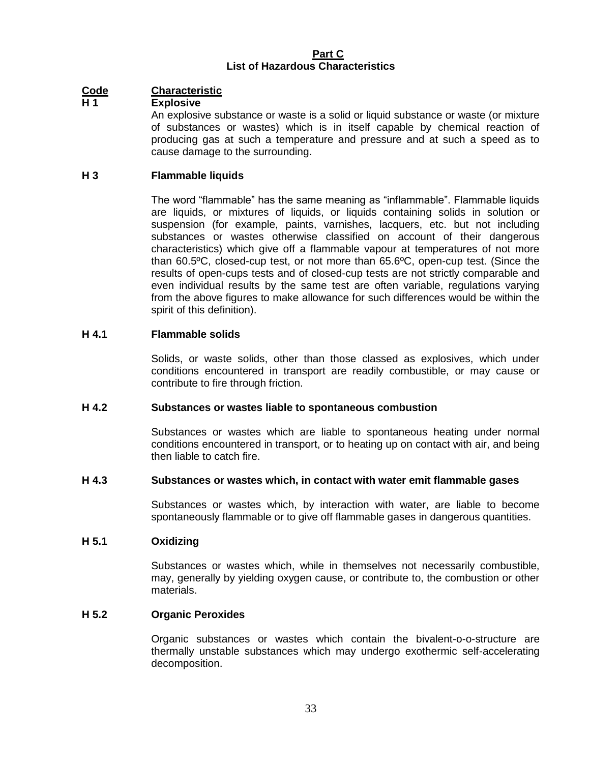#### **Part C List of Hazardous Characteristics**

# **Code Characteristic**

## **H 1 Explosive**

An explosive substance or waste is a solid or liquid substance or waste (or mixture of substances or wastes) which is in itself capable by chemical reaction of producing gas at such a temperature and pressure and at such a speed as to cause damage to the surrounding.

# **H 3 Flammable liquids**

The word "flammable" has the same meaning as "inflammable". Flammable liquids are liquids, or mixtures of liquids, or liquids containing solids in solution or suspension (for example, paints, varnishes, lacquers, etc. but not including substances or wastes otherwise classified on account of their dangerous characteristics) which give off a flammable vapour at temperatures of not more than 60.5ºC, closed-cup test, or not more than 65.6ºC, open-cup test. (Since the results of open-cups tests and of closed-cup tests are not strictly comparable and even individual results by the same test are often variable, regulations varying from the above figures to make allowance for such differences would be within the spirit of this definition).

## **H 4.1 Flammable solids**

Solids, or waste solids, other than those classed as explosives, which under conditions encountered in transport are readily combustible, or may cause or contribute to fire through friction.

#### **H 4.2 Substances or wastes liable to spontaneous combustion**

Substances or wastes which are liable to spontaneous heating under normal conditions encountered in transport, or to heating up on contact with air, and being then liable to catch fire.

#### **H 4.3 Substances or wastes which, in contact with water emit flammable gases**

Substances or wastes which, by interaction with water, are liable to become spontaneously flammable or to give off flammable gases in dangerous quantities.

#### **H 5.1 Oxidizing**

Substances or wastes which, while in themselves not necessarily combustible, may, generally by yielding oxygen cause, or contribute to, the combustion or other materials.

# **H 5.2 Organic Peroxides**

Organic substances or wastes which contain the bivalent-o-o-structure are thermally unstable substances which may undergo exothermic self-accelerating decomposition.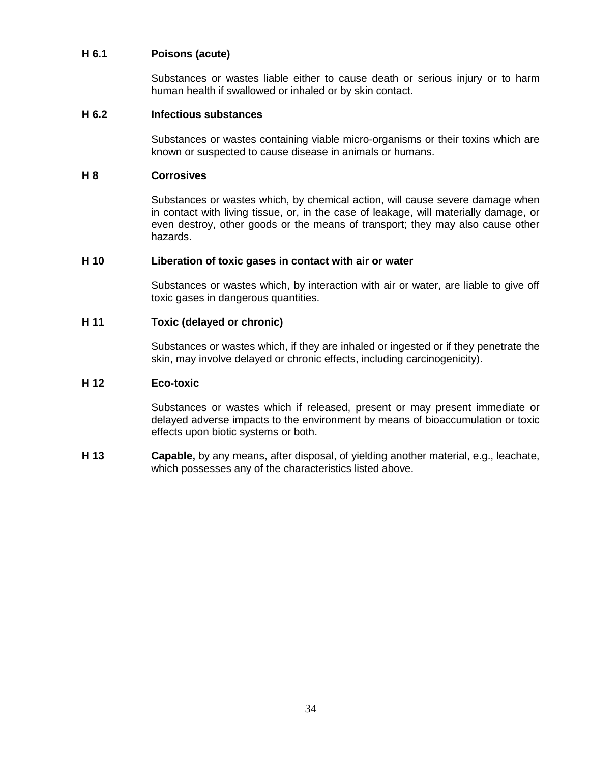## **H 6.1 Poisons (acute)**

Substances or wastes liable either to cause death or serious injury or to harm human health if swallowed or inhaled or by skin contact.

#### **H 6.2 Infectious substances**

Substances or wastes containing viable micro-organisms or their toxins which are known or suspected to cause disease in animals or humans.

#### **H 8 Corrosives**

Substances or wastes which, by chemical action, will cause severe damage when in contact with living tissue, or, in the case of leakage, will materially damage, or even destroy, other goods or the means of transport; they may also cause other hazards.

#### **H 10 Liberation of toxic gases in contact with air or water**

Substances or wastes which, by interaction with air or water, are liable to give off toxic gases in dangerous quantities.

#### **H 11 Toxic (delayed or chronic)**

Substances or wastes which, if they are inhaled or ingested or if they penetrate the skin, may involve delayed or chronic effects, including carcinogenicity).

#### **H 12 Eco-toxic**

Substances or wastes which if released, present or may present immediate or delayed adverse impacts to the environment by means of bioaccumulation or toxic effects upon biotic systems or both.

**H 13 Capable,** by any means, after disposal, of yielding another material, e.g., leachate, which possesses any of the characteristics listed above.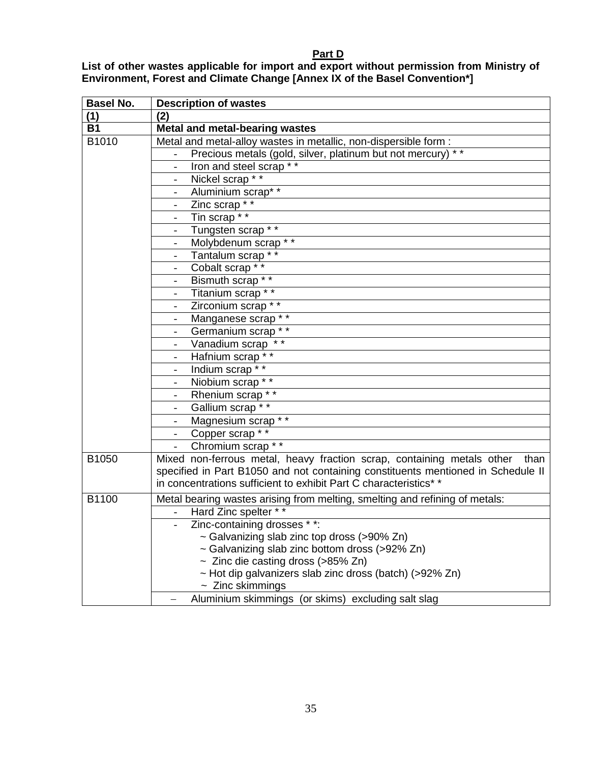#### **Part D**

**List of other wastes applicable for import and export without permission from Ministry of Environment, Forest and Climate Change [Annex IX of the Basel Convention\*]**

| <b>Basel No.</b> | <b>Description of wastes</b>                                                                                                                                                                                                            |
|------------------|-----------------------------------------------------------------------------------------------------------------------------------------------------------------------------------------------------------------------------------------|
| (1)              | (2)                                                                                                                                                                                                                                     |
| <b>B1</b>        | Metal and metal-bearing wastes                                                                                                                                                                                                          |
| B1010            | Metal and metal-alloy wastes in metallic, non-dispersible form :                                                                                                                                                                        |
|                  | Precious metals (gold, silver, platinum but not mercury) **                                                                                                                                                                             |
|                  | Iron and steel scrap **                                                                                                                                                                                                                 |
|                  | Nickel scrap * *<br>$\overline{\phantom{0}}$                                                                                                                                                                                            |
|                  | Aluminium scrap* *                                                                                                                                                                                                                      |
|                  | Zinc scrap <sup>**</sup>                                                                                                                                                                                                                |
|                  | Tin scrap <sup>**</sup>                                                                                                                                                                                                                 |
|                  | Tungsten scrap * *                                                                                                                                                                                                                      |
|                  | Molybdenum scrap <sup>**</sup><br>$\overline{\phantom{a}}$                                                                                                                                                                              |
|                  | Tantalum scrap * *                                                                                                                                                                                                                      |
|                  | Cobalt scrap * *                                                                                                                                                                                                                        |
|                  | Bismuth scrap * *                                                                                                                                                                                                                       |
|                  | Titanium scrap * *                                                                                                                                                                                                                      |
|                  | Zirconium scrap * *<br>$-$                                                                                                                                                                                                              |
|                  | Manganese scrap * *                                                                                                                                                                                                                     |
|                  | Germanium scrap **                                                                                                                                                                                                                      |
|                  | Vanadium scrap **                                                                                                                                                                                                                       |
|                  | Hafnium scrap * *                                                                                                                                                                                                                       |
|                  | Indium scrap * *<br>$\blacksquare$                                                                                                                                                                                                      |
|                  | Niobium scrap * *                                                                                                                                                                                                                       |
|                  | Rhenium scrap * *                                                                                                                                                                                                                       |
|                  | Gallium scrap * *                                                                                                                                                                                                                       |
|                  | Magnesium scrap * *                                                                                                                                                                                                                     |
|                  | Copper scrap * *<br>$\sim$ 10 $\pm$                                                                                                                                                                                                     |
|                  | Chromium scrap <sup>**</sup>                                                                                                                                                                                                            |
| B1050            | Mixed non-ferrous metal, heavy fraction scrap, containing metals other<br>than<br>specified in Part B1050 and not containing constituents mentioned in Schedule II<br>in concentrations sufficient to exhibit Part C characteristics* * |
| B1100            | Metal bearing wastes arising from melting, smelting and refining of metals:                                                                                                                                                             |
|                  | Hard Zinc spelter **                                                                                                                                                                                                                    |
|                  | Zinc-containing drosses <sup>**</sup> :                                                                                                                                                                                                 |
|                  | ~ Galvanizing slab zinc top dross (>90% Zn)                                                                                                                                                                                             |
|                  | ~ Galvanizing slab zinc bottom dross (>92% Zn)                                                                                                                                                                                          |
|                  | $\sim$ Zinc die casting dross (>85% Zn)                                                                                                                                                                                                 |
|                  | ~ Hot dip galvanizers slab zinc dross (batch) (>92% Zn)                                                                                                                                                                                 |
|                  | $\sim$ Zinc skimmings                                                                                                                                                                                                                   |
|                  | Aluminium skimmings (or skims) excluding salt slag                                                                                                                                                                                      |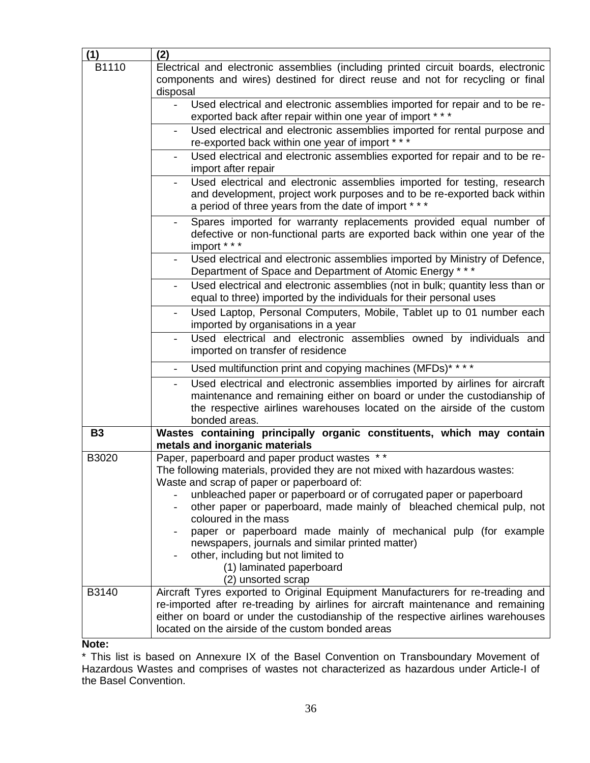| (1)       | (2)                                                                                                                                                                                                                                                                                                                                                |
|-----------|----------------------------------------------------------------------------------------------------------------------------------------------------------------------------------------------------------------------------------------------------------------------------------------------------------------------------------------------------|
| B1110     | Electrical and electronic assemblies (including printed circuit boards, electronic                                                                                                                                                                                                                                                                 |
|           | components and wires) destined for direct reuse and not for recycling or final<br>disposal                                                                                                                                                                                                                                                         |
|           | Used electrical and electronic assemblies imported for repair and to be re-                                                                                                                                                                                                                                                                        |
|           | exported back after repair within one year of import * * *                                                                                                                                                                                                                                                                                         |
|           | Used electrical and electronic assemblies imported for rental purpose and                                                                                                                                                                                                                                                                          |
|           | re-exported back within one year of import ***                                                                                                                                                                                                                                                                                                     |
|           | Used electrical and electronic assemblies exported for repair and to be re-<br>import after repair                                                                                                                                                                                                                                                 |
|           | Used electrical and electronic assemblies imported for testing, research<br>and development, project work purposes and to be re-exported back within<br>a period of three years from the date of import * * *                                                                                                                                      |
|           | Spares imported for warranty replacements provided equal number of<br>defective or non-functional parts are exported back within one year of the<br>import * * *                                                                                                                                                                                   |
|           | Used electrical and electronic assemblies imported by Ministry of Defence,<br>Department of Space and Department of Atomic Energy ***                                                                                                                                                                                                              |
|           | Used electrical and electronic assemblies (not in bulk; quantity less than or<br>equal to three) imported by the individuals for their personal uses                                                                                                                                                                                               |
|           | Used Laptop, Personal Computers, Mobile, Tablet up to 01 number each<br>imported by organisations in a year                                                                                                                                                                                                                                        |
|           | Used electrical and electronic assemblies owned by individuals and<br>imported on transfer of residence                                                                                                                                                                                                                                            |
|           | Used multifunction print and copying machines (MFDs) <sup>****</sup>                                                                                                                                                                                                                                                                               |
|           | Used electrical and electronic assemblies imported by airlines for aircraft<br>maintenance and remaining either on board or under the custodianship of<br>the respective airlines warehouses located on the airside of the custom<br>bonded areas.                                                                                                 |
| <b>B3</b> | Wastes containing principally organic constituents, which may contain<br>metals and inorganic materials                                                                                                                                                                                                                                            |
| B3020     | Paper, paperboard and paper product wastes **<br>The following materials, provided they are not mixed with hazardous wastes:<br>Waste and scrap of paper or paperboard of:<br>unbleached paper or paperboard or of corrugated paper or paperboard<br>other paper or paperboard, made mainly of bleached chemical pulp, not<br>coloured in the mass |
|           | paper or paperboard made mainly of mechanical pulp (for example<br>newspapers, journals and similar printed matter)<br>other, including but not limited to<br>(1) laminated paperboard<br>(2) unsorted scrap                                                                                                                                       |
| B3140     | Aircraft Tyres exported to Original Equipment Manufacturers for re-treading and<br>re-imported after re-treading by airlines for aircraft maintenance and remaining<br>either on board or under the custodianship of the respective airlines warehouses<br>located on the airside of the custom bonded areas                                       |

**Note:**

\* This list is based on Annexure IX of the Basel Convention on Transboundary Movement of Hazardous Wastes and comprises of wastes not characterized as hazardous under Article-I of the Basel Convention.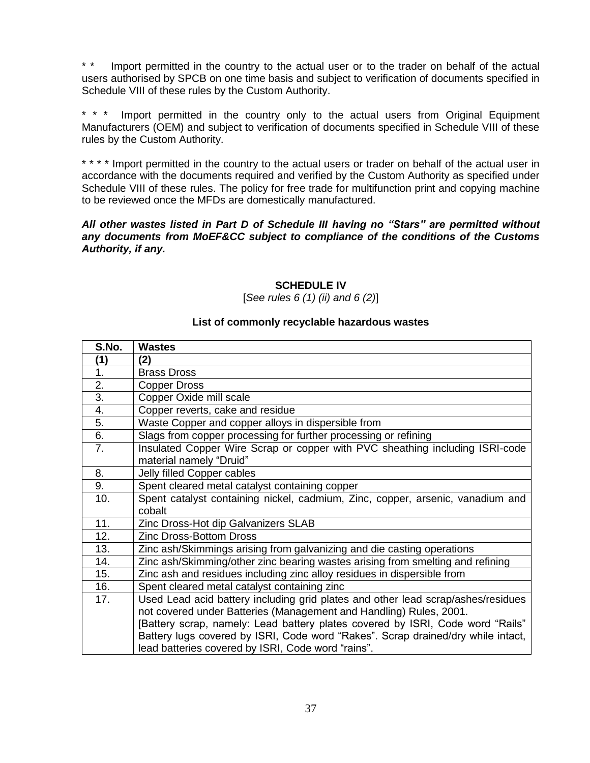\* \* Import permitted in the country to the actual user or to the trader on behalf of the actual users authorised by SPCB on one time basis and subject to verification of documents specified in Schedule VIII of these rules by the Custom Authority.

\* \* \* Import permitted in the country only to the actual users from Original Equipment Manufacturers (OEM) and subject to verification of documents specified in Schedule VIII of these rules by the Custom Authority.

\* \* \* \* Import permitted in the country to the actual users or trader on behalf of the actual user in accordance with the documents required and verified by the Custom Authority as specified under Schedule VIII of these rules. The policy for free trade for multifunction print and copying machine to be reviewed once the MFDs are domestically manufactured.

#### *All other wastes listed in Part D of Schedule III having no "Stars" are permitted without any documents from MoEF&CC subject to compliance of the conditions of the Customs Authority, if any.*

# **SCHEDULE IV**

[*See rules 6 (1) (ii) and 6 (2)*]

#### **List of commonly recyclable hazardous wastes**

| S.No.            | <b>Wastes</b>                                                                    |
|------------------|----------------------------------------------------------------------------------|
| (1)              | (2)                                                                              |
| 1.               | <b>Brass Dross</b>                                                               |
| 2.               | <b>Copper Dross</b>                                                              |
| 3.               | Copper Oxide mill scale                                                          |
| $\overline{4}$ . | Copper reverts, cake and residue                                                 |
| 5.               | Waste Copper and copper alloys in dispersible from                               |
| 6.               | Slags from copper processing for further processing or refining                  |
| 7 <sub>1</sub>   | Insulated Copper Wire Scrap or copper with PVC sheathing including ISRI-code     |
|                  | material namely "Druid"                                                          |
| 8.               | Jelly filled Copper cables                                                       |
| 9.               | Spent cleared metal catalyst containing copper                                   |
| 10.              | Spent catalyst containing nickel, cadmium, Zinc, copper, arsenic, vanadium and   |
|                  | cobalt                                                                           |
| 11.              | Zinc Dross-Hot dip Galvanizers SLAB                                              |
| 12.              | <b>Zinc Dross-Bottom Dross</b>                                                   |
| 13.              | Zinc ash/Skimmings arising from galvanizing and die casting operations           |
| 14.              | Zinc ash/Skimming/other zinc bearing wastes arising from smelting and refining   |
| 15.              | Zinc ash and residues including zinc alloy residues in dispersible from          |
| 16.              | Spent cleared metal catalyst containing zinc                                     |
| 17.              | Used Lead acid battery including grid plates and other lead scrap/ashes/residues |
|                  | not covered under Batteries (Management and Handling) Rules, 2001.               |
|                  | [Battery scrap, namely: Lead battery plates covered by ISRI, Code word "Rails"   |
|                  | Battery lugs covered by ISRI, Code word "Rakes". Scrap drained/dry while intact, |
|                  | lead batteries covered by ISRI, Code word "rains".                               |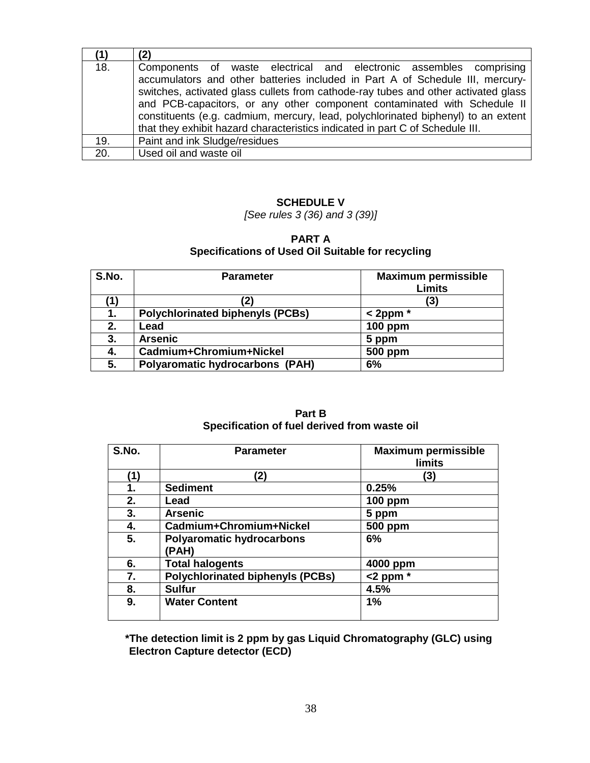|     | (2)                                                                                                                                                                                                                                                                                                                                                                                                                                                                                         |
|-----|---------------------------------------------------------------------------------------------------------------------------------------------------------------------------------------------------------------------------------------------------------------------------------------------------------------------------------------------------------------------------------------------------------------------------------------------------------------------------------------------|
| 18. | Components of waste electrical and electronic assembles comprising<br>accumulators and other batteries included in Part A of Schedule III, mercury-<br>switches, activated glass cullets from cathode-ray tubes and other activated glass<br>and PCB-capacitors, or any other component contaminated with Schedule II<br>constituents (e.g. cadmium, mercury, lead, polychlorinated biphenyl) to an extent<br>that they exhibit hazard characteristics indicated in part C of Schedule III. |
| 19. | Paint and ink Sludge/residues                                                                                                                                                                                                                                                                                                                                                                                                                                                               |
| 20. | Used oil and waste oil                                                                                                                                                                                                                                                                                                                                                                                                                                                                      |

# **SCHEDULE V**

*[See rules 3 (36) and 3 (39)]*

# **PART A Specifications of Used Oil Suitable for recycling**

| S.No. | <b>Parameter</b>                        | <b>Maximum permissible</b><br><b>Limits</b> |
|-------|-----------------------------------------|---------------------------------------------|
| (1)   | 2)                                      | (3)                                         |
|       | <b>Polychlorinated biphenyls (PCBs)</b> | $<$ 2ppm $*$                                |
| 2.    | Lead                                    | <b>100 ppm</b>                              |
| 3.    | <b>Arsenic</b>                          | 5 ppm                                       |
| 4.    | Cadmium+Chromium+Nickel                 | 500 ppm                                     |
| 5.    | <b>Polyaromatic hydrocarbons (PAH)</b>  | 6%                                          |

#### **Part B Specification of fuel derived from waste oil**

| S.No. | <b>Parameter</b>                          | <b>Maximum permissible</b><br><b>limits</b> |
|-------|-------------------------------------------|---------------------------------------------|
| (1)   | (2)                                       | [3]                                         |
| 1.    | <b>Sediment</b>                           | 0.25%                                       |
| 2.    | Lead                                      | <b>100 ppm</b>                              |
| 3.    | <b>Arsenic</b>                            | 5 ppm                                       |
| 4.    | Cadmium+Chromium+Nickel                   | <b>500 ppm</b>                              |
| 5.    | <b>Polyaromatic hydrocarbons</b><br>(PAH) | 6%                                          |
| 6.    | <b>Total halogents</b>                    | 4000 ppm                                    |
| 7.    | <b>Polychlorinated biphenyls (PCBs)</b>   | $<$ 2 ppm $*$                               |
| 8.    | <b>Sulfur</b>                             | 4.5%                                        |
| 9.    | <b>Water Content</b>                      | 1%                                          |

**\*The detection limit is 2 ppm by gas Liquid Chromatography (GLC) using Electron Capture detector (ECD)**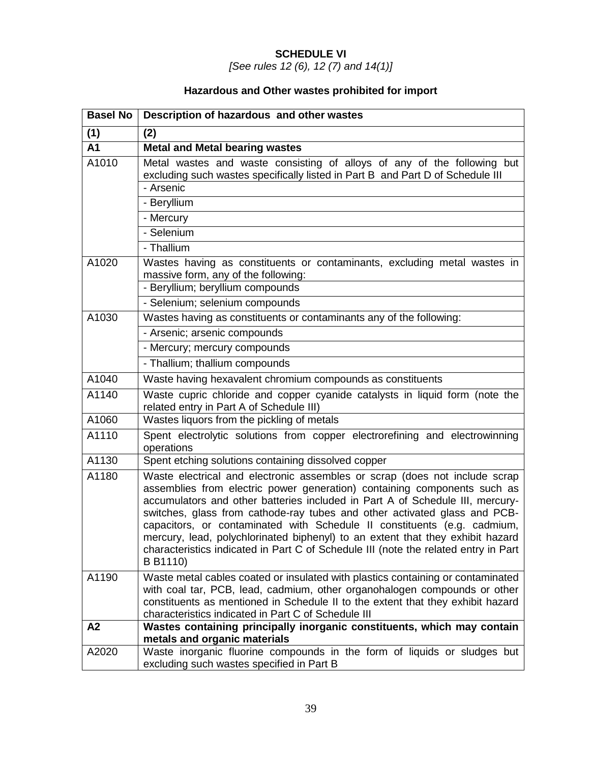# **SCHEDULE VI**

*[See rules 12 (6), 12 (7) and 14(1)]*

# **Hazardous and Other wastes prohibited for import**

| <b>Basel No</b> | Description of hazardous and other wastes                                                                                                                                                                                                                                                                                                                                                                                                                                                                                                                                             |  |
|-----------------|---------------------------------------------------------------------------------------------------------------------------------------------------------------------------------------------------------------------------------------------------------------------------------------------------------------------------------------------------------------------------------------------------------------------------------------------------------------------------------------------------------------------------------------------------------------------------------------|--|
| (1)             | (2)                                                                                                                                                                                                                                                                                                                                                                                                                                                                                                                                                                                   |  |
| A <sub>1</sub>  | <b>Metal and Metal bearing wastes</b>                                                                                                                                                                                                                                                                                                                                                                                                                                                                                                                                                 |  |
| A1010           | Metal wastes and waste consisting of alloys of any of the following but<br>excluding such wastes specifically listed in Part B and Part D of Schedule III<br>- Arsenic                                                                                                                                                                                                                                                                                                                                                                                                                |  |
|                 | - Beryllium                                                                                                                                                                                                                                                                                                                                                                                                                                                                                                                                                                           |  |
|                 | - Mercury                                                                                                                                                                                                                                                                                                                                                                                                                                                                                                                                                                             |  |
|                 | - Selenium                                                                                                                                                                                                                                                                                                                                                                                                                                                                                                                                                                            |  |
|                 | - Thallium                                                                                                                                                                                                                                                                                                                                                                                                                                                                                                                                                                            |  |
| A1020           | Wastes having as constituents or contaminants, excluding metal wastes in<br>massive form, any of the following:                                                                                                                                                                                                                                                                                                                                                                                                                                                                       |  |
|                 | - Beryllium; beryllium compounds                                                                                                                                                                                                                                                                                                                                                                                                                                                                                                                                                      |  |
|                 | - Selenium; selenium compounds                                                                                                                                                                                                                                                                                                                                                                                                                                                                                                                                                        |  |
| A1030           | Wastes having as constituents or contaminants any of the following:                                                                                                                                                                                                                                                                                                                                                                                                                                                                                                                   |  |
|                 | - Arsenic; arsenic compounds                                                                                                                                                                                                                                                                                                                                                                                                                                                                                                                                                          |  |
|                 | - Mercury; mercury compounds                                                                                                                                                                                                                                                                                                                                                                                                                                                                                                                                                          |  |
|                 | - Thallium; thallium compounds                                                                                                                                                                                                                                                                                                                                                                                                                                                                                                                                                        |  |
| A1040           | Waste having hexavalent chromium compounds as constituents                                                                                                                                                                                                                                                                                                                                                                                                                                                                                                                            |  |
| A1140           | Waste cupric chloride and copper cyanide catalysts in liquid form (note the<br>related entry in Part A of Schedule III)                                                                                                                                                                                                                                                                                                                                                                                                                                                               |  |
| A1060           | Wastes liquors from the pickling of metals                                                                                                                                                                                                                                                                                                                                                                                                                                                                                                                                            |  |
| A1110           | Spent electrolytic solutions from copper electrorefining and electrowinning<br>operations                                                                                                                                                                                                                                                                                                                                                                                                                                                                                             |  |
| A1130           | Spent etching solutions containing dissolved copper                                                                                                                                                                                                                                                                                                                                                                                                                                                                                                                                   |  |
| A1180           | Waste electrical and electronic assembles or scrap (does not include scrap<br>assemblies from electric power generation) containing components such as<br>accumulators and other batteries included in Part A of Schedule III, mercury-<br>switches, glass from cathode-ray tubes and other activated glass and PCB-<br>capacitors, or contaminated with Schedule II constituents (e.g. cadmium,<br>mercury, lead, polychlorinated biphenyl) to an extent that they exhibit hazard<br>characteristics indicated in Part C of Schedule III (note the related entry in Part<br>B B1110) |  |
| A1190           | Waste metal cables coated or insulated with plastics containing or contaminated<br>with coal tar, PCB, lead, cadmium, other organohalogen compounds or other<br>constituents as mentioned in Schedule II to the extent that they exhibit hazard<br>characteristics indicated in Part C of Schedule III                                                                                                                                                                                                                                                                                |  |
| A2              | Wastes containing principally inorganic constituents, which may contain<br>metals and organic materials                                                                                                                                                                                                                                                                                                                                                                                                                                                                               |  |
| A2020           | Waste inorganic fluorine compounds in the form of liquids or sludges but<br>excluding such wastes specified in Part B                                                                                                                                                                                                                                                                                                                                                                                                                                                                 |  |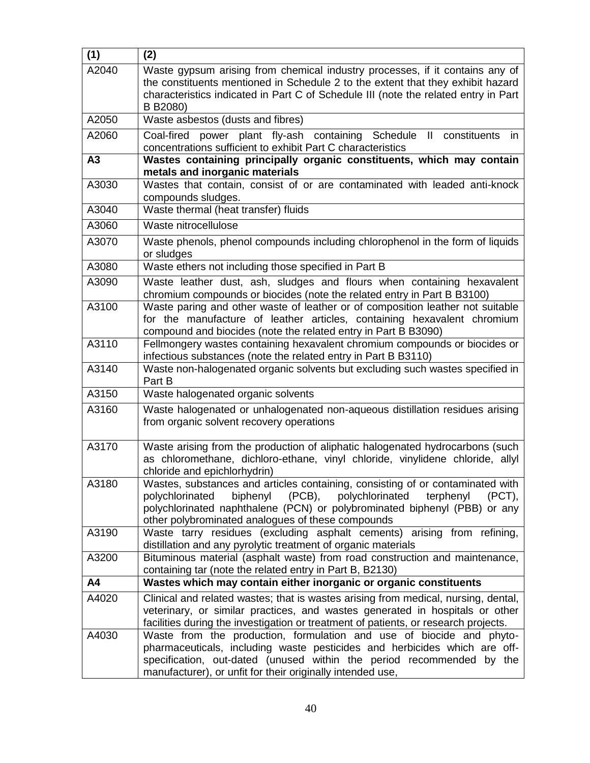| (1)   | (2)                                                                                                                                                                                                                                                                                                       |  |
|-------|-----------------------------------------------------------------------------------------------------------------------------------------------------------------------------------------------------------------------------------------------------------------------------------------------------------|--|
| A2040 | Waste gypsum arising from chemical industry processes, if it contains any of<br>the constituents mentioned in Schedule 2 to the extent that they exhibit hazard<br>characteristics indicated in Part C of Schedule III (note the related entry in Part<br>B B2080)                                        |  |
| A2050 | Waste asbestos (dusts and fibres)                                                                                                                                                                                                                                                                         |  |
| A2060 | Coal-fired power plant fly-ash containing Schedule<br>II constituents<br>in<br>concentrations sufficient to exhibit Part C characteristics                                                                                                                                                                |  |
| A3    | Wastes containing principally organic constituents, which may contain<br>metals and inorganic materials                                                                                                                                                                                                   |  |
| A3030 | Wastes that contain, consist of or are contaminated with leaded anti-knock<br>compounds sludges.                                                                                                                                                                                                          |  |
| A3040 | Waste thermal (heat transfer) fluids                                                                                                                                                                                                                                                                      |  |
| A3060 | Waste nitrocellulose                                                                                                                                                                                                                                                                                      |  |
| A3070 | Waste phenols, phenol compounds including chlorophenol in the form of liquids<br>or sludges                                                                                                                                                                                                               |  |
| A3080 | Waste ethers not including those specified in Part B                                                                                                                                                                                                                                                      |  |
| A3090 | Waste leather dust, ash, sludges and flours when containing hexavalent<br>chromium compounds or biocides (note the related entry in Part B B3100)                                                                                                                                                         |  |
| A3100 | Waste paring and other waste of leather or of composition leather not suitable<br>for the manufacture of leather articles, containing hexavalent chromium<br>compound and biocides (note the related entry in Part B B3090)                                                                               |  |
| A3110 | Fellmongery wastes containing hexavalent chromium compounds or biocides or<br>infectious substances (note the related entry in Part B B3110)                                                                                                                                                              |  |
| A3140 | Waste non-halogenated organic solvents but excluding such wastes specified in<br>Part B                                                                                                                                                                                                                   |  |
| A3150 | Waste halogenated organic solvents                                                                                                                                                                                                                                                                        |  |
| A3160 | Waste halogenated or unhalogenated non-aqueous distillation residues arising<br>from organic solvent recovery operations                                                                                                                                                                                  |  |
| A3170 | Waste arising from the production of aliphatic halogenated hydrocarbons (such<br>as chloromethane, dichloro-ethane, vinyl chloride, vinylidene chloride, allyl<br>chloride and epichlorhydrin)                                                                                                            |  |
| A3180 | Wastes, substances and articles containing, consisting of or contaminated with<br>$(PCB)$ ,<br>polychlorinated<br>polychlorinated<br>biphenyl<br>terphenyl<br>$(PCT)$ ,<br>polychlorinated naphthalene (PCN) or polybrominated biphenyl (PBB) or any<br>other polybrominated analogues of these compounds |  |
| A3190 | Waste tarry residues (excluding asphalt cements) arising from refining,<br>distillation and any pyrolytic treatment of organic materials                                                                                                                                                                  |  |
| A3200 | Bituminous material (asphalt waste) from road construction and maintenance,<br>containing tar (note the related entry in Part B, B2130)                                                                                                                                                                   |  |
| A4    | Wastes which may contain either inorganic or organic constituents                                                                                                                                                                                                                                         |  |
| A4020 | Clinical and related wastes; that is wastes arising from medical, nursing, dental,<br>veterinary, or similar practices, and wastes generated in hospitals or other<br>facilities during the investigation or treatment of patients, or research projects.                                                 |  |
| A4030 | Waste from the production, formulation and use of biocide and phyto-<br>pharmaceuticals, including waste pesticides and herbicides which are off-<br>specification, out-dated (unused within the period recommended by the<br>manufacturer), or unfit for their originally intended use,                  |  |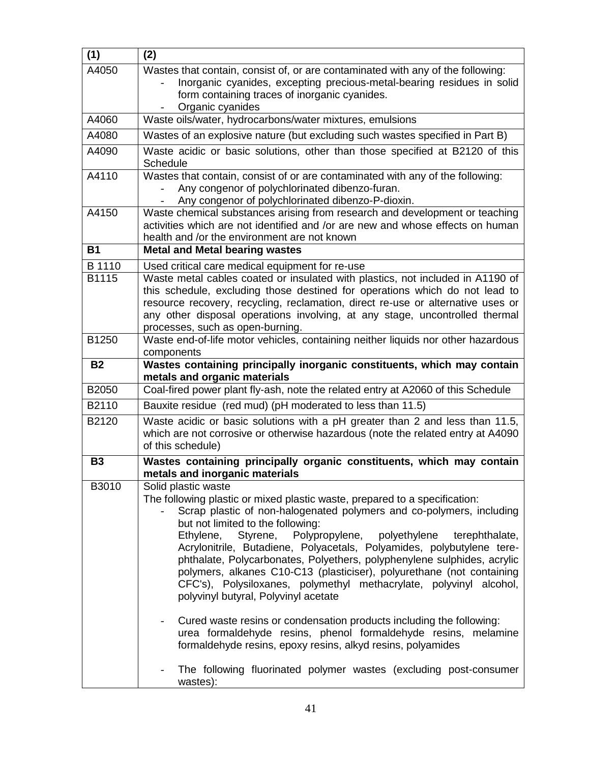| (1)       | (2)                                                                                                                                                            |  |
|-----------|----------------------------------------------------------------------------------------------------------------------------------------------------------------|--|
| A4050     | Wastes that contain, consist of, or are contaminated with any of the following:                                                                                |  |
|           | Inorganic cyanides, excepting precious-metal-bearing residues in solid                                                                                         |  |
|           | form containing traces of inorganic cyanides.<br>Organic cyanides                                                                                              |  |
| A4060     | Waste oils/water, hydrocarbons/water mixtures, emulsions                                                                                                       |  |
| A4080     | Wastes of an explosive nature (but excluding such wastes specified in Part B)                                                                                  |  |
| A4090     | Waste acidic or basic solutions, other than those specified at B2120 of this                                                                                   |  |
|           | Schedule                                                                                                                                                       |  |
| A4110     | Wastes that contain, consist of or are contaminated with any of the following:                                                                                 |  |
|           | Any congenor of polychlorinated dibenzo-furan.                                                                                                                 |  |
| A4150     | Any congenor of polychlorinated dibenzo-P-dioxin.                                                                                                              |  |
|           | Waste chemical substances arising from research and development or teaching<br>activities which are not identified and /or are new and whose effects on human  |  |
|           | health and /or the environment are not known                                                                                                                   |  |
| <b>B1</b> | <b>Metal and Metal bearing wastes</b>                                                                                                                          |  |
| B 1110    | Used critical care medical equipment for re-use                                                                                                                |  |
| B1115     | Waste metal cables coated or insulated with plastics, not included in A1190 of                                                                                 |  |
|           | this schedule, excluding those destined for operations which do not lead to                                                                                    |  |
|           | resource recovery, recycling, reclamation, direct re-use or alternative uses or<br>any other disposal operations involving, at any stage, uncontrolled thermal |  |
|           | processes, such as open-burning.                                                                                                                               |  |
| B1250     | Waste end-of-life motor vehicles, containing neither liquids nor other hazardous                                                                               |  |
|           | components                                                                                                                                                     |  |
| <b>B2</b> | Wastes containing principally inorganic constituents, which may contain<br>metals and organic materials                                                        |  |
| B2050     | Coal-fired power plant fly-ash, note the related entry at A2060 of this Schedule                                                                               |  |
| B2110     | Bauxite residue (red mud) (pH moderated to less than 11.5)                                                                                                     |  |
| B2120     | Waste acidic or basic solutions with a pH greater than 2 and less than 11.5,                                                                                   |  |
|           | which are not corrosive or otherwise hazardous (note the related entry at A4090                                                                                |  |
|           | of this schedule)                                                                                                                                              |  |
| <b>B3</b> | Wastes containing principally organic constituents, which may contain                                                                                          |  |
| B3010     | metals and inorganic materials<br>Solid plastic waste                                                                                                          |  |
|           | The following plastic or mixed plastic waste, prepared to a specification:                                                                                     |  |
|           | Scrap plastic of non-halogenated polymers and co-polymers, including                                                                                           |  |
|           | but not limited to the following:                                                                                                                              |  |
|           | Ethylene, Styrene, Polypropylene, polyethylene<br>terephthalate,                                                                                               |  |
|           | Acrylonitrile, Butadiene, Polyacetals, Polyamides, polybutylene tere-<br>phthalate, Polycarbonates, Polyethers, polyphenylene sulphides, acrylic               |  |
|           | polymers, alkanes C10-C13 (plasticiser), polyurethane (not containing                                                                                          |  |
|           | CFC's), Polysiloxanes, polymethyl methacrylate, polyvinyl alcohol,                                                                                             |  |
|           | polyvinyl butyral, Polyvinyl acetate                                                                                                                           |  |
|           | Cured waste resins or condensation products including the following:<br>$\overline{\phantom{a}}$                                                               |  |
|           | urea formaldehyde resins, phenol formaldehyde resins, melamine                                                                                                 |  |
|           | formaldehyde resins, epoxy resins, alkyd resins, polyamides                                                                                                    |  |
|           | The following fluorinated polymer wastes (excluding post-consumer                                                                                              |  |
|           | wastes):                                                                                                                                                       |  |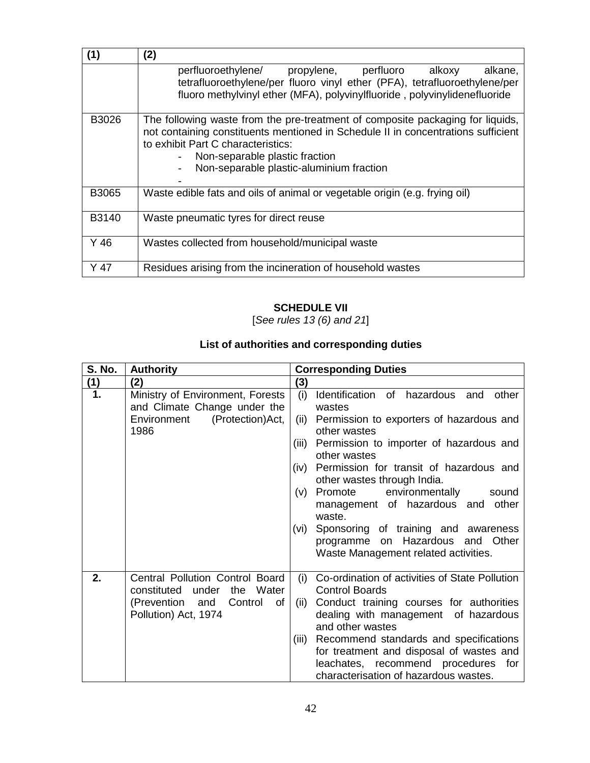| (1)   | (2)                                                                                                                                                                                                                                                                                     |  |
|-------|-----------------------------------------------------------------------------------------------------------------------------------------------------------------------------------------------------------------------------------------------------------------------------------------|--|
|       | perfluoroethylene/ propylene, perfluoro alkoxy<br>alkane,<br>tetrafluoroethylene/per fluoro vinyl ether (PFA), tetrafluoroethylene/per<br>fluoro methylvinyl ether (MFA), polyvinylfluoride, polyvinylidenefluoride                                                                     |  |
| B3026 | The following waste from the pre-treatment of composite packaging for liquids,<br>not containing constituents mentioned in Schedule II in concentrations sufficient<br>to exhibit Part C characteristics:<br>Non-separable plastic fraction<br>Non-separable plastic-aluminium fraction |  |
| B3065 | Waste edible fats and oils of animal or vegetable origin (e.g. frying oil)                                                                                                                                                                                                              |  |
| B3140 | Waste pneumatic tyres for direct reuse                                                                                                                                                                                                                                                  |  |
| Y 46  | Wastes collected from household/municipal waste                                                                                                                                                                                                                                         |  |
| Y 47  | Residues arising from the incineration of household wastes                                                                                                                                                                                                                              |  |

# **SCHEDULE VII**

[*See rules 13 (6) and 21*]

# **List of authorities and corresponding duties**

| <b>S. No.</b> | <b>Authority</b>                                                                                                           | <b>Corresponding Duties</b>                                                                                                                                                                                                                                                                                                                                                                                                                                                                      |
|---------------|----------------------------------------------------------------------------------------------------------------------------|--------------------------------------------------------------------------------------------------------------------------------------------------------------------------------------------------------------------------------------------------------------------------------------------------------------------------------------------------------------------------------------------------------------------------------------------------------------------------------------------------|
| (1)           | (2)                                                                                                                        | (3)                                                                                                                                                                                                                                                                                                                                                                                                                                                                                              |
| 1.            | Ministry of Environment, Forests<br>and Climate Change under the<br>Environment<br>(Protection) Act,<br>1986               | (i)<br>Identification of hazardous and other<br>wastes<br>Permission to exporters of hazardous and<br>(ii)<br>other wastes<br>Permission to importer of hazardous and<br>(iii)<br>other wastes<br>(iv) Permission for transit of hazardous and<br>other wastes through India.<br>Promote environmentally sound<br>(V)<br>management of hazardous and other<br>waste.<br>Sponsoring of training and awareness<br>(vi)<br>programme on Hazardous and Other<br>Waste Management related activities. |
| 2.            | Central Pollution Control Board<br>the Water<br>constituted under<br>(Prevention and<br>Control of<br>Pollution) Act, 1974 | Co-ordination of activities of State Pollution<br>(i)<br><b>Control Boards</b><br>Conduct training courses for authorities<br>(ii)<br>dealing with management of hazardous<br>and other wastes<br>Recommend standards and specifications<br>(iii)<br>for treatment and disposal of wastes and<br>leachates, recommend procedures for<br>characterisation of hazardous wastes.                                                                                                                    |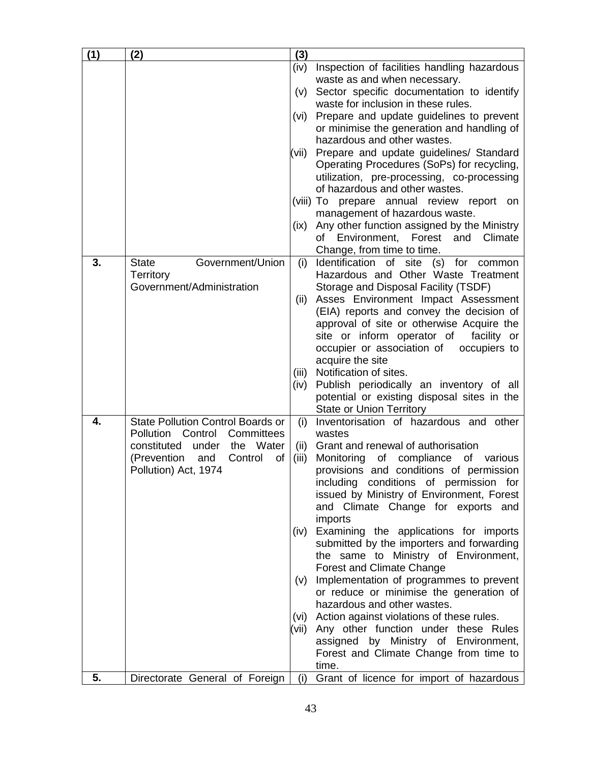| (1) | (2)                                      | (3)           |                                                                              |
|-----|------------------------------------------|---------------|------------------------------------------------------------------------------|
|     |                                          | (iv)          | Inspection of facilities handling hazardous                                  |
|     |                                          |               | waste as and when necessary.                                                 |
|     |                                          | (v)           | Sector specific documentation to identify                                    |
|     |                                          |               | waste for inclusion in these rules.                                          |
|     |                                          | (vi)          | Prepare and update guidelines to prevent                                     |
|     |                                          |               | or minimise the generation and handling of                                   |
|     |                                          |               | hazardous and other wastes.                                                  |
|     |                                          | (vii)         | Prepare and update guidelines/ Standard                                      |
|     |                                          |               | Operating Procedures (SoPs) for recycling,                                   |
|     |                                          |               | utilization, pre-processing, co-processing<br>of hazardous and other wastes. |
|     |                                          |               | (viii) To prepare annual review report on                                    |
|     |                                          |               | management of hazardous waste.                                               |
|     |                                          | (ix)          | Any other function assigned by the Ministry                                  |
|     |                                          |               | Forest and<br>of Environment,<br>Climate                                     |
|     |                                          |               | Change, from time to time.                                                   |
| 3.  | Government/Union<br><b>State</b>         | (i)           | Identification of site<br>(s) for<br>common                                  |
|     | <b>Territory</b>                         |               | Hazardous and Other Waste Treatment                                          |
|     | Government/Administration                |               | Storage and Disposal Facility (TSDF)                                         |
|     |                                          | (ii)          | Asses Environment Impact Assessment                                          |
|     |                                          |               | (EIA) reports and convey the decision of                                     |
|     |                                          |               | approval of site or otherwise Acquire the                                    |
|     |                                          |               | site or inform operator of<br>facility or                                    |
|     |                                          |               | occupier or association of<br>occupiers to                                   |
|     |                                          |               | acquire the site<br>Notification of sites.                                   |
|     |                                          | (iii)<br>(iv) | Publish periodically an inventory of all                                     |
|     |                                          |               | potential or existing disposal sites in the                                  |
|     |                                          |               | <b>State or Union Territory</b>                                              |
| 4.  | <b>State Pollution Control Boards or</b> | (i)           | Inventorisation of hazardous and other                                       |
|     | Pollution Control<br>Committees          |               | wastes                                                                       |
|     | constituted<br>under<br>the Water        | (ii)          | Grant and renewal of authorisation                                           |
|     | (Prevention<br>Control<br>and<br>of      | (iii)         | Monitoring<br>of compliance<br>of<br>various                                 |
|     | Pollution) Act, 1974                     |               | provisions and conditions of permission                                      |
|     |                                          |               | including conditions of permission for                                       |
|     |                                          |               | issued by Ministry of Environment, Forest                                    |
|     |                                          |               | and Climate Change for exports and<br>imports                                |
|     |                                          | (iv)          | Examining the applications for imports                                       |
|     |                                          |               | submitted by the importers and forwarding                                    |
|     |                                          |               | the same to Ministry of Environment,                                         |
|     |                                          |               | <b>Forest and Climate Change</b>                                             |
|     |                                          | (v)           | Implementation of programmes to prevent                                      |
|     |                                          |               | or reduce or minimise the generation of                                      |
|     |                                          |               | hazardous and other wastes.                                                  |
|     |                                          |               | (vi) Action against violations of these rules.                               |
|     |                                          | (vii)         | Any other function under these Rules                                         |
|     |                                          |               | assigned by Ministry of Environment,                                         |
|     |                                          |               | Forest and Climate Change from time to                                       |
| 5.  | Directorate General of Foreign           | (i)           | time.                                                                        |
|     |                                          |               | Grant of licence for import of hazardous                                     |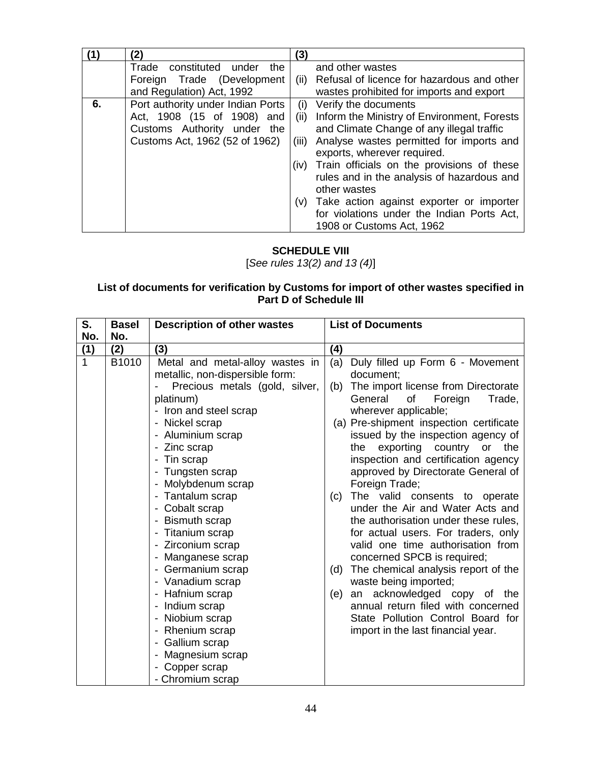|    | 2)                                | (3)   |                                                 |
|----|-----------------------------------|-------|-------------------------------------------------|
|    | Trade constituted under<br>the    |       | and other wastes                                |
|    | Foreign Trade (Development        | (ii)  | Refusal of licence for hazardous and other      |
|    | and Regulation) Act, 1992         |       | wastes prohibited for imports and export        |
| 6. | Port authority under Indian Ports | (i)   | Verify the documents                            |
|    | Act, 1908 (15 of 1908) and        | (ii)  | Inform the Ministry of Environment, Forests     |
|    | Customs Authority under the       |       | and Climate Change of any illegal traffic       |
|    | Customs Act, 1962 (52 of 1962)    | (iii) | Analyse wastes permitted for imports and        |
|    |                                   |       | exports, wherever required.                     |
|    |                                   |       | (iv) Train officials on the provisions of these |
|    |                                   |       | rules and in the analysis of hazardous and      |
|    |                                   |       | other wastes                                    |
|    |                                   |       | (v) Take action against exporter or importer    |
|    |                                   |       | for violations under the Indian Ports Act,      |
|    |                                   |       | 1908 or Customs Act, 1962                       |

# **SCHEDULE VIII**

[*See rules 13(2) and 13 (4)*]

## **List of documents for verification by Customs for import of other wastes specified in Part D of Schedule III**

| S.           | <b>Basel</b> | <b>Description of other wastes</b>              |     | <b>List of Documents</b>                 |
|--------------|--------------|-------------------------------------------------|-----|------------------------------------------|
| No.          | No.          |                                                 |     |                                          |
| (1)          | (2)          | (3)                                             | (4) |                                          |
| $\mathbf{1}$ | B1010        | Metal and metal-alloy wastes in                 | (a) | Duly filled up Form 6 - Movement         |
|              |              | metallic, non-dispersible form:                 |     | document;                                |
|              |              | Precious metals (gold, silver,                  | (b) | The import license from Directorate      |
|              |              | platinum)                                       |     | General<br>Foreign<br>of<br>Trade,       |
|              |              | Iron and steel scrap                            |     | wherever applicable;                     |
|              |              | - Nickel scrap                                  |     | (a) Pre-shipment inspection certificate  |
|              |              | - Aluminium scrap                               |     | issued by the inspection agency of       |
|              |              | - Zinc scrap                                    |     | exporting<br>country<br>the<br>or<br>the |
|              |              | Tin scrap                                       |     | inspection and certification agency      |
|              |              | Tungsten scrap<br>$\overline{\phantom{a}}$      |     | approved by Directorate General of       |
|              |              | Molybdenum scrap                                |     | Foreign Trade;                           |
|              |              | Tantalum scrap<br>$\overline{\phantom{a}}$      | (c) | The valid consents to operate            |
|              |              | Cobalt scrap                                    |     | under the Air and Water Acts and         |
|              |              | <b>Bismuth scrap</b>                            |     | the authorisation under these rules,     |
|              |              | Titanium scrap                                  |     | for actual users. For traders, only      |
|              |              | Zirconium scrap                                 |     | valid one time authorisation from        |
|              |              | Manganese scrap<br>$\overline{\phantom{a}}$     |     | concerned SPCB is required;              |
|              |              | Germanium scrap                                 | (d) | The chemical analysis report of the      |
|              |              | - Vanadium scrap                                |     | waste being imported;                    |
|              |              | Hafnium scrap<br>$\overline{\phantom{a}}$       | (e) | an acknowledged copy of the              |
|              |              | Indium scrap<br>$\overline{\phantom{a}}$        |     | annual return filed with concerned       |
|              |              | Niobium scrap<br>$\overline{\phantom{a}}$       |     | State Pollution Control Board for        |
|              |              | Rhenium scrap<br>$\overline{\phantom{a}}$       |     | import in the last financial year.       |
|              |              | Gallium scrap                                   |     |                                          |
|              |              | Magnesium scrap<br>$\qquad \qquad \blacksquare$ |     |                                          |
|              |              | Copper scrap                                    |     |                                          |
|              |              | - Chromium scrap                                |     |                                          |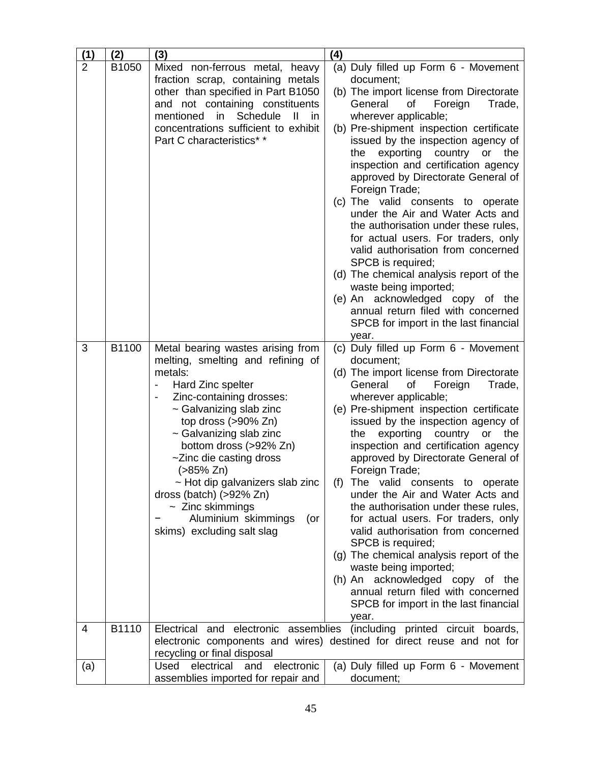| (1)            | (2)   | (3)                                                                       | (4)                                                                         |
|----------------|-------|---------------------------------------------------------------------------|-----------------------------------------------------------------------------|
| $\overline{2}$ | B1050 | Mixed non-ferrous metal, heavy                                            | (a) Duly filled up Form 6 - Movement                                        |
|                |       | fraction scrap, containing metals                                         | document;                                                                   |
|                |       | other than specified in Part B1050                                        | (b) The import license from Directorate                                     |
|                |       | and not containing constituents<br>mentioned<br>Schedule<br>in<br>Ш<br>in | General<br>Οf<br>Foreign<br>Trade,<br>wherever applicable;                  |
|                |       | concentrations sufficient to exhibit                                      | (b) Pre-shipment inspection certificate                                     |
|                |       | Part C characteristics* *                                                 | issued by the inspection agency of                                          |
|                |       |                                                                           | exporting country<br>the<br>or<br>the                                       |
|                |       |                                                                           | inspection and certification agency                                         |
|                |       |                                                                           | approved by Directorate General of                                          |
|                |       |                                                                           | Foreign Trade;                                                              |
|                |       |                                                                           | (c) The valid consents to operate                                           |
|                |       |                                                                           | under the Air and Water Acts and<br>the authorisation under these rules,    |
|                |       |                                                                           | for actual users. For traders, only                                         |
|                |       |                                                                           | valid authorisation from concerned                                          |
|                |       |                                                                           | SPCB is required;                                                           |
|                |       |                                                                           | (d) The chemical analysis report of the                                     |
|                |       |                                                                           | waste being imported;                                                       |
|                |       |                                                                           | (e) An acknowledged copy of the                                             |
|                |       |                                                                           | annual return filed with concerned<br>SPCB for import in the last financial |
|                |       |                                                                           | year.                                                                       |
| 3              | B1100 | Metal bearing wastes arising from                                         | (c) Duly filled up Form 6 - Movement                                        |
|                |       | melting, smelting and refining of                                         | document;                                                                   |
|                |       | metals:                                                                   | (d) The import license from Directorate                                     |
|                |       | Hard Zinc spelter                                                         | General<br>of<br>Foreign<br>Trade,                                          |
|                |       | Zinc-containing drosses:<br>~ Galvanizing slab zinc                       | wherever applicable;<br>(e) Pre-shipment inspection certificate             |
|                |       | top dross $(>90\%$ Zn)                                                    | issued by the inspection agency of                                          |
|                |       | $\sim$ Galvanizing slab zinc                                              | exporting<br>country<br>or the<br>the                                       |
|                |       | bottom dross (>92% Zn)                                                    | inspection and certification agency                                         |
|                |       | ~Zinc die casting dross                                                   | approved by Directorate General of                                          |
|                |       | (>85% Zn)                                                                 | Foreign Trade;                                                              |
|                |       | $\sim$ Hot dip galvanizers slab zinc<br>dross (batch) (>92% Zn)           | (f) The valid consents to operate<br>under the Air and Water Acts and       |
|                |       | $\sim$ Zinc skimmings                                                     | the authorisation under these rules,                                        |
|                |       | Aluminium skimmings<br>(or                                                | for actual users. For traders, only                                         |
|                |       | skims) excluding salt slag                                                | valid authorisation from concerned                                          |
|                |       |                                                                           | SPCB is required;                                                           |
|                |       |                                                                           | (g) The chemical analysis report of the                                     |
|                |       |                                                                           | waste being imported;<br>(h) An acknowledged copy of the                    |
|                |       |                                                                           | annual return filed with concerned                                          |
|                |       |                                                                           | SPCB for import in the last financial                                       |
|                |       |                                                                           | year.                                                                       |
| 4              | B1110 | electronic assemblies<br>Electrical and                                   | (including printed circuit boards,                                          |
|                |       |                                                                           | electronic components and wires) destined for direct reuse and not for      |
| (a)            |       | recycling or final disposal<br>electrical<br>Used<br>and<br>electronic    | (a) Duly filled up Form 6 - Movement                                        |
|                |       | assemblies imported for repair and                                        | document;                                                                   |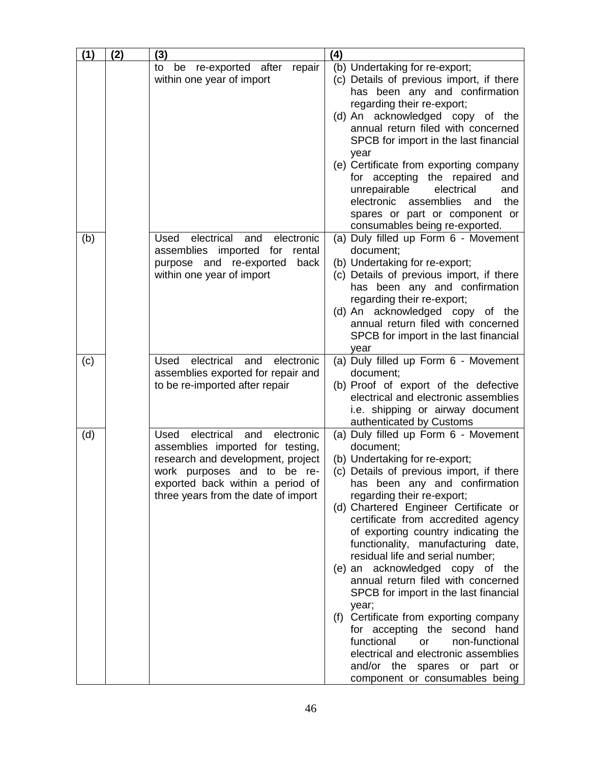| (1) | (2) | (3)                                                                                                                                                                                                                        | (4)                                                                                                                                                                                                                                                                                                                                                                                                                                                                                                                                                                                                                                                                                                                                                  |
|-----|-----|----------------------------------------------------------------------------------------------------------------------------------------------------------------------------------------------------------------------------|------------------------------------------------------------------------------------------------------------------------------------------------------------------------------------------------------------------------------------------------------------------------------------------------------------------------------------------------------------------------------------------------------------------------------------------------------------------------------------------------------------------------------------------------------------------------------------------------------------------------------------------------------------------------------------------------------------------------------------------------------|
|     |     | be re-exported after<br>to<br>repair<br>within one year of import                                                                                                                                                          | (b) Undertaking for re-export;<br>(c) Details of previous import, if there<br>has been any and confirmation<br>regarding their re-export;<br>(d) An acknowledged copy of the<br>annual return filed with concerned<br>SPCB for import in the last financial<br>year<br>(e) Certificate from exporting company<br>for accepting the repaired<br>and<br>unrepairable<br>electrical<br>and<br>electronic assemblies<br>the<br>and<br>spares or part or component or<br>consumables being re-exported.                                                                                                                                                                                                                                                   |
| (b) |     | electrical<br>electronic<br>Used<br>and<br>assemblies imported<br>for<br>rental<br>purpose and re-exported<br>back<br>within one year of import                                                                            | (a) Duly filled up Form 6 - Movement<br>document;<br>(b) Undertaking for re-export;<br>(c) Details of previous import, if there<br>has been any and confirmation<br>regarding their re-export;<br>(d) An acknowledged copy of the<br>annual return filed with concerned<br>SPCB for import in the last financial<br>year                                                                                                                                                                                                                                                                                                                                                                                                                             |
| (c) |     | electrical<br>and<br>electronic<br>Used<br>assemblies exported for repair and<br>to be re-imported after repair                                                                                                            | (a) Duly filled up Form 6 - Movement<br>document;<br>(b) Proof of export of the defective<br>electrical and electronic assemblies<br>i.e. shipping or airway document<br>authenticated by Customs                                                                                                                                                                                                                                                                                                                                                                                                                                                                                                                                                    |
| (d) |     | electronic<br>Used<br>electrical<br>and<br>assemblies imported for testing,<br>research and development, project<br>work purposes and to be re-<br>exported back within a period of<br>three years from the date of import | (a) Duly filled up Form 6 - Movement<br>document;<br>(b) Undertaking for re-export;<br>(c) Details of previous import, if there<br>has been any and confirmation<br>regarding their re-export;<br>(d) Chartered Engineer Certificate or<br>certificate from accredited agency<br>of exporting country indicating the<br>functionality, manufacturing date,<br>residual life and serial number;<br>(e) an acknowledged copy of the<br>annual return filed with concerned<br>SPCB for import in the last financial<br>year;<br>(f) Certificate from exporting company<br>for accepting the second hand<br>functional<br>non-functional<br>or<br>electrical and electronic assemblies<br>and/or the spares or part or<br>component or consumables being |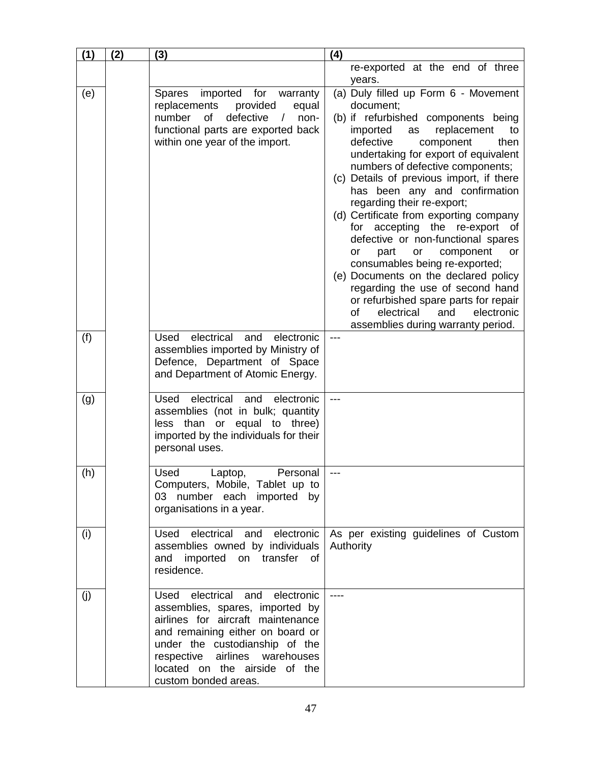| (1) | (2) | (3)                                                                                                                                                                                                                                                                           | (4)                                                                                                                                                                                                                                                                                                                                                                                                                                                                                                                                                                                                                                                                                                                                                                          |
|-----|-----|-------------------------------------------------------------------------------------------------------------------------------------------------------------------------------------------------------------------------------------------------------------------------------|------------------------------------------------------------------------------------------------------------------------------------------------------------------------------------------------------------------------------------------------------------------------------------------------------------------------------------------------------------------------------------------------------------------------------------------------------------------------------------------------------------------------------------------------------------------------------------------------------------------------------------------------------------------------------------------------------------------------------------------------------------------------------|
|     |     |                                                                                                                                                                                                                                                                               | re-exported at the end of three                                                                                                                                                                                                                                                                                                                                                                                                                                                                                                                                                                                                                                                                                                                                              |
|     |     |                                                                                                                                                                                                                                                                               | years.                                                                                                                                                                                                                                                                                                                                                                                                                                                                                                                                                                                                                                                                                                                                                                       |
| (e) |     | <b>Spares</b><br>imported for<br>warranty<br>replacements<br>provided<br>equal<br>defective<br>number<br>of<br>non-<br>$\sqrt{2}$<br>functional parts are exported back<br>within one year of the import.                                                                     | (a) Duly filled up Form 6 - Movement<br>document;<br>(b) if refurbished components being<br>imported<br>replacement<br>to<br>as<br>defective<br>component<br>then<br>undertaking for export of equivalent<br>numbers of defective components;<br>(c) Details of previous import, if there<br>has been any and confirmation<br>regarding their re-export;<br>(d) Certificate from exporting company<br>for accepting the re-export of<br>defective or non-functional spares<br>component<br>part<br>or<br><b>or</b><br><b>or</b><br>consumables being re-exported;<br>(e) Documents on the declared policy<br>regarding the use of second hand<br>or refurbished spare parts for repair<br><b>of</b><br>electrical<br>and<br>electronic<br>assemblies during warranty period. |
| (f) |     | electrical<br>Used<br>and<br>electronic<br>assemblies imported by Ministry of<br>Defence, Department of Space<br>and Department of Atomic Energy.                                                                                                                             | $---$                                                                                                                                                                                                                                                                                                                                                                                                                                                                                                                                                                                                                                                                                                                                                                        |
| (g) |     | electrical and<br>Used<br>electronic<br>assemblies (not in bulk; quantity<br>or equal to three)<br>less than<br>imported by the individuals for their<br>personal uses.                                                                                                       | ---                                                                                                                                                                                                                                                                                                                                                                                                                                                                                                                                                                                                                                                                                                                                                                          |
| (h) |     | Used<br>Personal<br>Laptop,<br>Computers, Mobile, Tablet up to<br>03 number each imported by<br>organisations in a year.                                                                                                                                                      | ---                                                                                                                                                                                                                                                                                                                                                                                                                                                                                                                                                                                                                                                                                                                                                                          |
| (i) |     | Used electrical and<br>electronic<br>assemblies owned by individuals<br>and imported on transfer of<br>residence.                                                                                                                                                             | As per existing guidelines of Custom<br>Authority                                                                                                                                                                                                                                                                                                                                                                                                                                                                                                                                                                                                                                                                                                                            |
| (j) |     | Used electrical<br>and<br>electronic<br>assemblies, spares, imported by<br>airlines for aircraft maintenance<br>and remaining either on board or<br>under the custodianship of the<br>respective airlines warehouses<br>located on the airside of the<br>custom bonded areas. | ----                                                                                                                                                                                                                                                                                                                                                                                                                                                                                                                                                                                                                                                                                                                                                                         |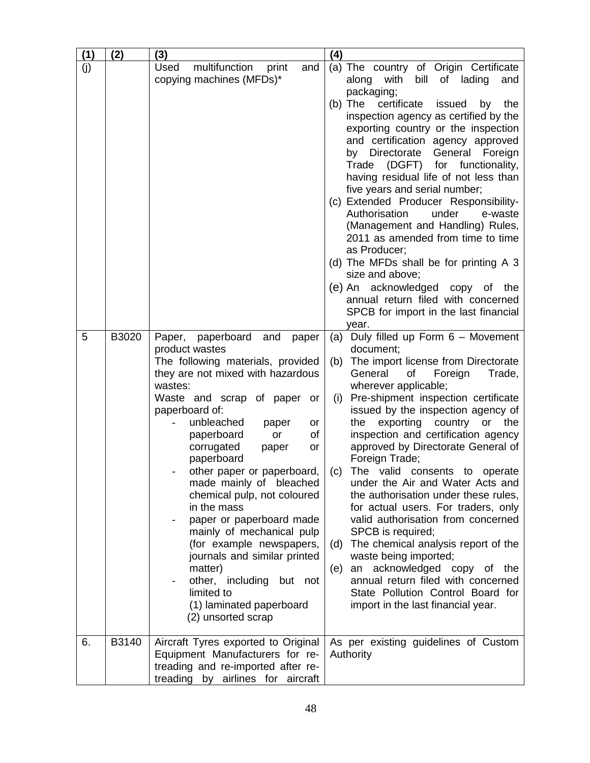| (1) | (2)   | (3)                                                                                                                                                                                                                                                                                                                                                                                                                                                                                                                                                                                                                                     | (4)                                                                                                                                                                                                                                                                                                                                                                                                                                                                                                                                                                                                                                                                                                                                                                                                                                              |
|-----|-------|-----------------------------------------------------------------------------------------------------------------------------------------------------------------------------------------------------------------------------------------------------------------------------------------------------------------------------------------------------------------------------------------------------------------------------------------------------------------------------------------------------------------------------------------------------------------------------------------------------------------------------------------|--------------------------------------------------------------------------------------------------------------------------------------------------------------------------------------------------------------------------------------------------------------------------------------------------------------------------------------------------------------------------------------------------------------------------------------------------------------------------------------------------------------------------------------------------------------------------------------------------------------------------------------------------------------------------------------------------------------------------------------------------------------------------------------------------------------------------------------------------|
| (j) |       | Used<br>multifunction<br>print<br>and<br>copying machines (MFDs)*                                                                                                                                                                                                                                                                                                                                                                                                                                                                                                                                                                       | (a) The country of Origin Certificate<br>with<br>bill<br>of lading<br>along<br>and<br>packaging;<br>certificate<br>$(b)$ The<br>issued<br>by<br>the<br>inspection agency as certified by the<br>exporting country or the inspection<br>and certification agency approved<br>General<br>Directorate<br>Foreign<br>by<br>Trade (DGFT)<br>for functionality,<br>having residual life of not less than<br>five years and serial number;<br>(c) Extended Producer Responsibility-<br>Authorisation<br>under<br>e-waste<br>(Management and Handling) Rules,<br>2011 as amended from time to time<br>as Producer;<br>(d) The MFDs shall be for printing A 3<br>size and above;<br>(e) An acknowledged copy of the<br>annual return filed with concerned<br>SPCB for import in the last financial<br>year.                                               |
| 5   | B3020 | paperboard<br>and<br>Paper,<br>paper<br>product wastes<br>The following materials, provided<br>they are not mixed with hazardous<br>wastes:<br>Waste and scrap of paper<br>or<br>paperboard of:<br>unbleached<br>paper<br>or<br>paperboard<br>of<br>or<br>corrugated<br>paper<br>or<br>paperboard<br>other paper or paperboard,<br>made mainly of bleached<br>chemical pulp, not coloured<br>in the mass<br>paper or paperboard made<br>mainly of mechanical pulp<br>(for example newspapers,<br>journals and similar printed<br>matter)<br>other, including<br>but not<br>limited to<br>(1) laminated paperboard<br>(2) unsorted scrap | Duly filled up Form 6 - Movement<br>(a)<br>document;<br>The import license from Directorate<br>(b)<br>General<br>of<br>Foreign<br>Trade,<br>wherever applicable;<br>Pre-shipment inspection certificate<br>(i)<br>issued by the inspection agency of<br>exporting<br>country<br>the<br>or the<br>inspection and certification agency<br>approved by Directorate General of<br>Foreign Trade;<br>The valid consents to operate<br>(c)<br>under the Air and Water Acts and<br>the authorisation under these rules,<br>for actual users. For traders, only<br>valid authorisation from concerned<br>SPCB is required;<br>The chemical analysis report of the<br>(d)<br>waste being imported;<br>an acknowledged copy of the<br>(e)<br>annual return filed with concerned<br>State Pollution Control Board for<br>import in the last financial year. |
| 6.  | B3140 | Aircraft Tyres exported to Original<br>Equipment Manufacturers for re-<br>treading and re-imported after re-<br>treading by airlines for aircraft                                                                                                                                                                                                                                                                                                                                                                                                                                                                                       | As per existing guidelines of Custom<br>Authority                                                                                                                                                                                                                                                                                                                                                                                                                                                                                                                                                                                                                                                                                                                                                                                                |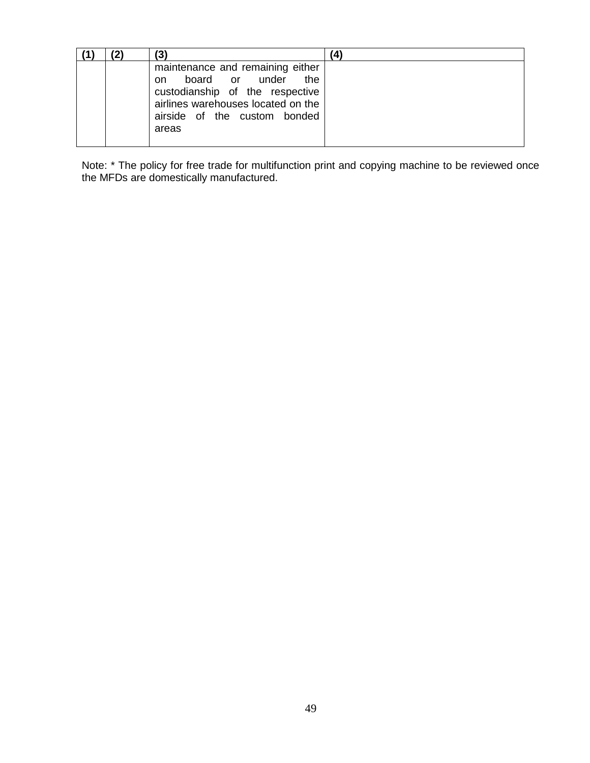|  | (3)                                                                                                                                                                                | A. |
|--|------------------------------------------------------------------------------------------------------------------------------------------------------------------------------------|----|
|  | maintenance and remaining either<br>board or under<br>the.<br>on<br>custodianship of the respective<br>airlines warehouses located on the<br>airside of the custom bonded<br>areas |    |

Note: \* The policy for free trade for multifunction print and copying machine to be reviewed once the MFDs are domestically manufactured.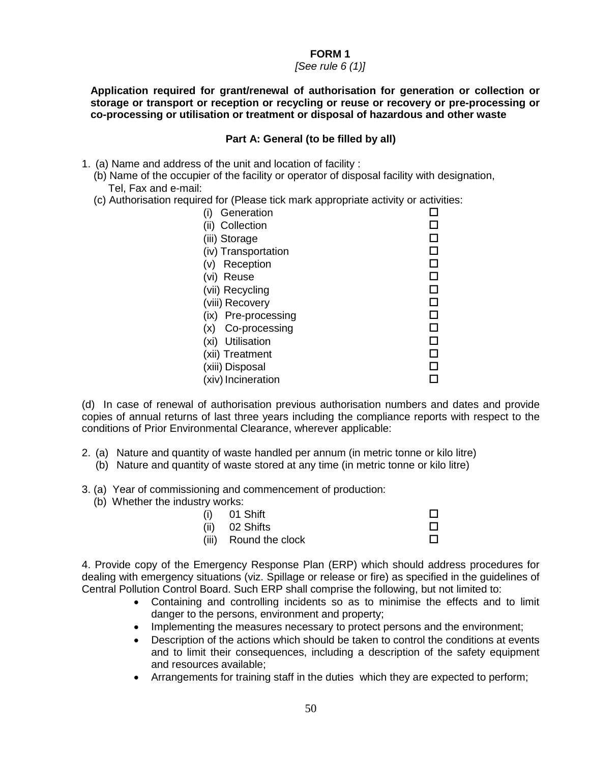#### *[See rule 6 (1)]*

**Application required for grant/renewal of authorisation for generation or collection or storage or transport or reception or recycling or reuse or recovery or pre-processing or co-processing or utilisation or treatment or disposal of hazardous and other waste** 

## **Part A: General (to be filled by all)**

- 1. (a) Name and address of the unit and location of facility :
	- (b) Name of the occupier of the facility or operator of disposal facility with designation, Tel, Fax and e-mail:
	- (c) Authorisation required for (Please tick mark appropriate activity or activities:

(d) In case of renewal of authorisation previous authorisation numbers and dates and provide copies of annual returns of last three years including the compliance reports with respect to the conditions of Prior Environmental Clearance, wherever applicable:

- 2. (a) Nature and quantity of waste handled per annum (in metric tonne or kilo litre)
	- (b) Nature and quantity of waste stored at any time (in metric tonne or kilo litre)
- 3. (a) Year of commissioning and commencement of production:
	- (b) Whether the industry works:

| $(i)$ 01 Shift        |  |
|-----------------------|--|
| (ii) 02 Shifts        |  |
| (iii) Round the clock |  |

4. Provide copy of the Emergency Response Plan (ERP) which should address procedures for dealing with emergency situations (viz. Spillage or release or fire) as specified in the guidelines of Central Pollution Control Board. Such ERP shall comprise the following, but not limited to:

- Containing and controlling incidents so as to minimise the effects and to limit danger to the persons, environment and property;
- Implementing the measures necessary to protect persons and the environment;
- Description of the actions which should be taken to control the conditions at events and to limit their consequences, including a description of the safety equipment and resources available;
- Arrangements for training staff in the duties which they are expected to perform;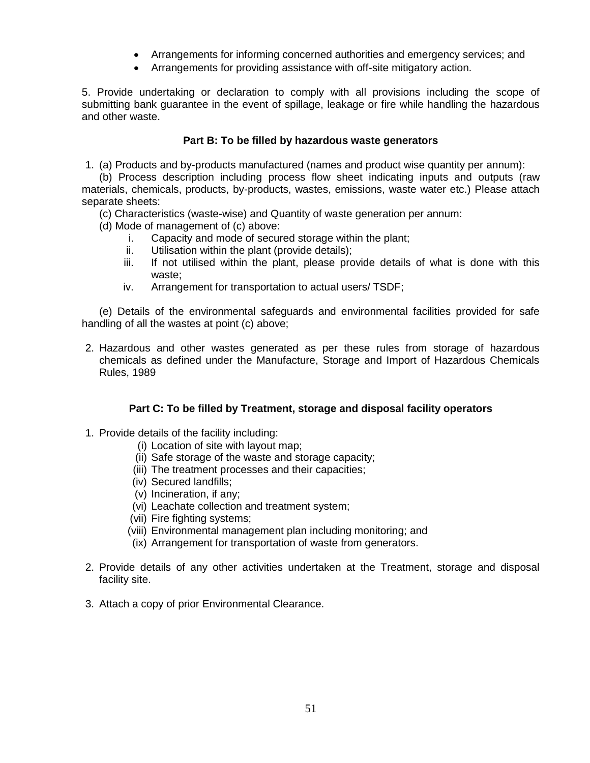- Arrangements for informing concerned authorities and emergency services; and
- Arrangements for providing assistance with off-site mitigatory action.

5. Provide undertaking or declaration to comply with all provisions including the scope of submitting bank guarantee in the event of spillage, leakage or fire while handling the hazardous and other waste.

#### **Part B: To be filled by hazardous waste generators**

1. (a) Products and by-products manufactured (names and product wise quantity per annum):

(b) Process description including process flow sheet indicating inputs and outputs (raw materials, chemicals, products, by-products, wastes, emissions, waste water etc.) Please attach separate sheets:

(c) Characteristics (waste-wise) and Quantity of waste generation per annum:

(d) Mode of management of (c) above:

- i. Capacity and mode of secured storage within the plant;
- ii. Utilisation within the plant (provide details);
- iii. If not utilised within the plant, please provide details of what is done with this waste;
- iv. Arrangement for transportation to actual users/ TSDF;

(e) Details of the environmental safeguards and environmental facilities provided for safe handling of all the wastes at point (c) above;

2. Hazardous and other wastes generated as per these rules from storage of hazardous chemicals as defined under the Manufacture, Storage and Import of Hazardous Chemicals Rules, 1989

# **Part C: To be filled by Treatment, storage and disposal facility operators**

- 1. Provide details of the facility including:
	- (i) Location of site with layout map;
	- (ii) Safe storage of the waste and storage capacity;
	- (iii) The treatment processes and their capacities;
	- (iv) Secured landfills;
	- (v) Incineration, if any;
	- (vi) Leachate collection and treatment system;
	- (vii) Fire fighting systems;
	- (viii) Environmental management plan including monitoring; and
	- (ix) Arrangement for transportation of waste from generators.
- 2. Provide details of any other activities undertaken at the Treatment, storage and disposal facility site.
- 3. Attach a copy of prior Environmental Clearance.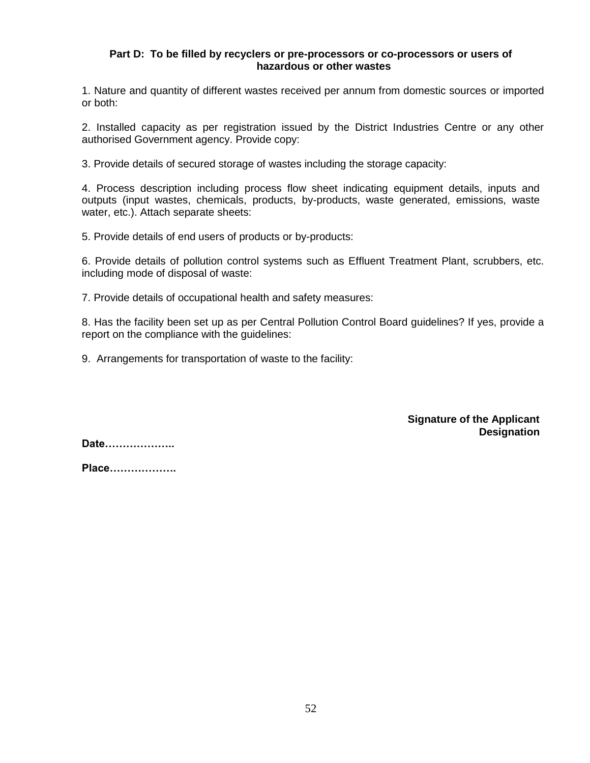#### **Part D: To be filled by recyclers or pre-processors or co-processors or users of hazardous or other wastes**

1. Nature and quantity of different wastes received per annum from domestic sources or imported or both:

2. Installed capacity as per registration issued by the District Industries Centre or any other authorised Government agency. Provide copy:

3. Provide details of secured storage of wastes including the storage capacity:

4. Process description including process flow sheet indicating equipment details, inputs and outputs (input wastes, chemicals, products, by-products, waste generated, emissions, waste water, etc.). Attach separate sheets:

5. Provide details of end users of products or by-products:

6. Provide details of pollution control systems such as Effluent Treatment Plant, scrubbers, etc. including mode of disposal of waste:

7. Provide details of occupational health and safety measures:

8. Has the facility been set up as per Central Pollution Control Board guidelines? If yes, provide a report on the compliance with the guidelines:

9. Arrangements for transportation of waste to the facility:

**Signature of the Applicant Designation**

**Date………………..**

**Place……………….**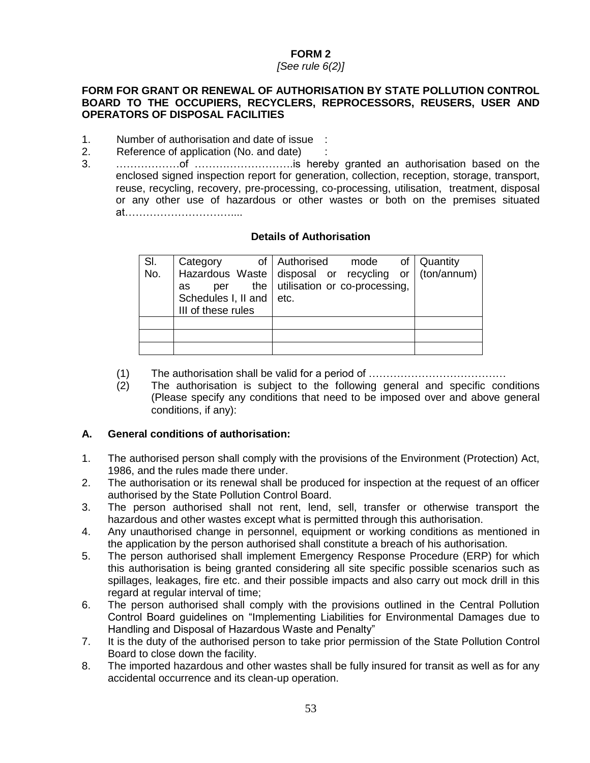#### *[See rule 6(2)]*

## **FORM FOR GRANT OR RENEWAL OF AUTHORISATION BY STATE POLLUTION CONTROL BOARD TO THE OCCUPIERS, RECYCLERS, REPROCESSORS, REUSERS, USER AND OPERATORS OF DISPOSAL FACILITIES**

- 1. Number of authorisation and date of issue :
- 2. Reference of application (No. and date) :
- 3. ………………of ……………………….is hereby granted an authorisation based on the enclosed signed inspection report for generation, collection, reception, storage, transport, reuse, recycling, recovery, pre-processing, co-processing, utilisation, treatment, disposal or any other use of hazardous or other wastes or both on the premises situated at…………………………....

# **Details of Authorisation**

| SI.<br>No. | Category<br>Hazardous Waste   disposal or recycling or   (ton/annum)  <br>as | of Authorised mode<br>per the utilisation or co-processing, |  | of   Quantity |
|------------|------------------------------------------------------------------------------|-------------------------------------------------------------|--|---------------|
|            | Schedules I, II and etc.<br>III of these rules                               |                                                             |  |               |
|            |                                                                              |                                                             |  |               |
|            |                                                                              |                                                             |  |               |
|            |                                                                              |                                                             |  |               |

- (1) The authorisation shall be valid for a period of …………………………………
- (2) The authorisation is subject to the following general and specific conditions (Please specify any conditions that need to be imposed over and above general conditions, if any):

# **A. General conditions of authorisation:**

- 1. The authorised person shall comply with the provisions of the Environment (Protection) Act, 1986, and the rules made there under.
- 2. The authorisation or its renewal shall be produced for inspection at the request of an officer authorised by the State Pollution Control Board.
- 3. The person authorised shall not rent, lend, sell, transfer or otherwise transport the hazardous and other wastes except what is permitted through this authorisation.
- 4. Any unauthorised change in personnel, equipment or working conditions as mentioned in the application by the person authorised shall constitute a breach of his authorisation.
- 5. The person authorised shall implement Emergency Response Procedure (ERP) for which this authorisation is being granted considering all site specific possible scenarios such as spillages, leakages, fire etc. and their possible impacts and also carry out mock drill in this regard at regular interval of time;
- 6. The person authorised shall comply with the provisions outlined in the Central Pollution Control Board guidelines on "Implementing Liabilities for Environmental Damages due to Handling and Disposal of Hazardous Waste and Penalty"
- 7. It is the duty of the authorised person to take prior permission of the State Pollution Control Board to close down the facility.
- 8. The imported hazardous and other wastes shall be fully insured for transit as well as for any accidental occurrence and its clean-up operation.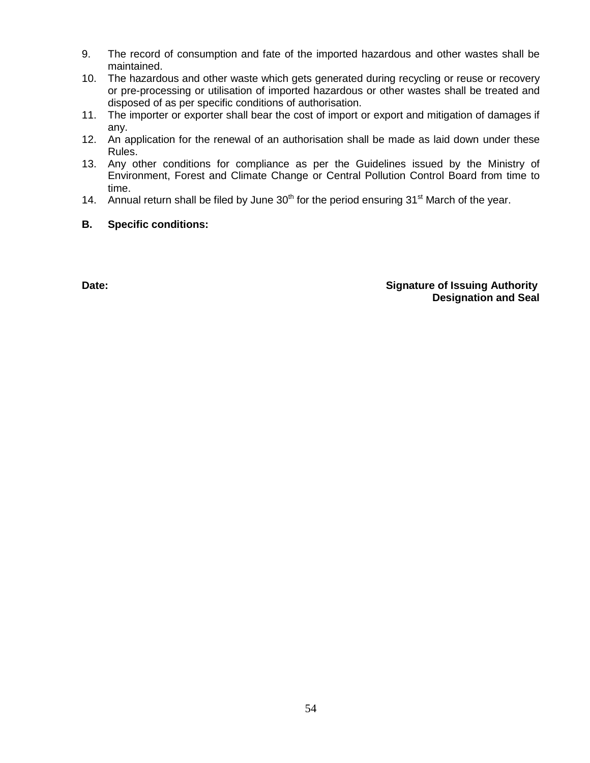- 9. The record of consumption and fate of the imported hazardous and other wastes shall be maintained.
- 10. The hazardous and other waste which gets generated during recycling or reuse or recovery or pre-processing or utilisation of imported hazardous or other wastes shall be treated and disposed of as per specific conditions of authorisation.
- 11. The importer or exporter shall bear the cost of import or export and mitigation of damages if any.
- 12. An application for the renewal of an authorisation shall be made as laid down under these Rules.
- 13. Any other conditions for compliance as per the Guidelines issued by the Ministry of Environment, Forest and Climate Change or Central Pollution Control Board from time to time.
- 14. Annual return shall be filed by June  $30<sup>th</sup>$  for the period ensuring  $31<sup>st</sup>$  March of the year.
- **B. Specific conditions:**

#### **Date: Date: Constructed and** *Signature* **of Issuing Authority <b>Constructed Authority Signature** of Issuing Authority **Designation and Seal**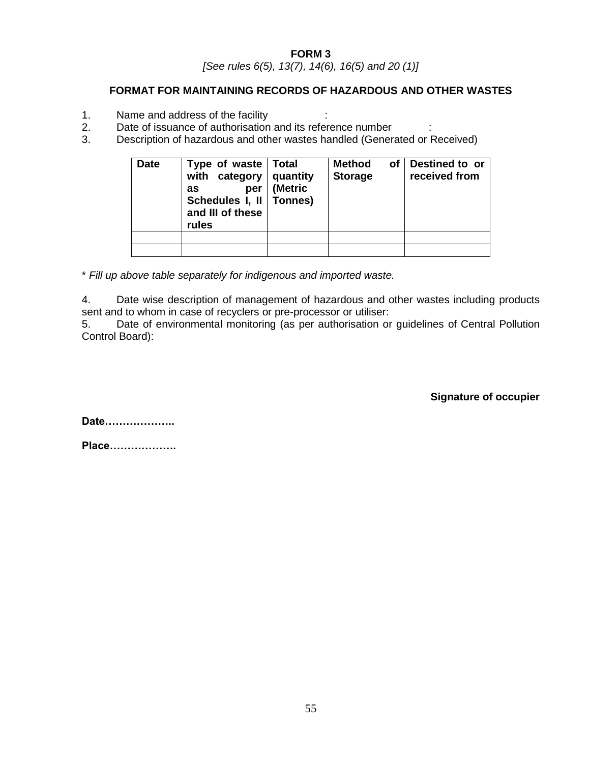*[See rules 6(5), 13(7), 14(6), 16(5) and 20 (1)]*

# **FORMAT FOR MAINTAINING RECORDS OF HAZARDOUS AND OTHER WASTES**

- 1. Name and address of the facility :
- 2. Date of issuance of authorisation and its reference number :
- 3. Description of hazardous and other wastes handled (Generated or Received)

| <b>Date</b> | Type of waste<br>with category<br>per<br>as<br>Schedules I, II<br>and III of these<br>rules | Total<br>quantity<br>(Metric<br>Tonnes) | <b>Method</b><br>οf<br><b>Storage</b> | Destined to or<br>received from |
|-------------|---------------------------------------------------------------------------------------------|-----------------------------------------|---------------------------------------|---------------------------------|
|             |                                                                                             |                                         |                                       |                                 |
|             |                                                                                             |                                         |                                       |                                 |

\* *Fill up above table separately for indigenous and imported waste.*

4. Date wise description of management of hazardous and other wastes including products sent and to whom in case of recyclers or pre-processor or utiliser:

5. Date of environmental monitoring (as per authorisation or guidelines of Central Pollution Control Board):

**Signature of occupier**

**Date………………..**

**Place……………….**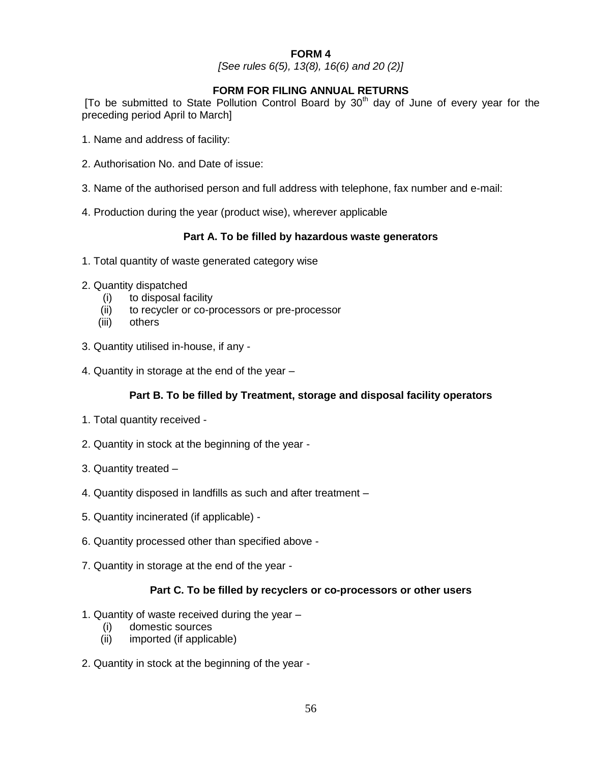*[See rules 6(5), 13(8), 16(6) and 20 (2)]*

# **FORM FOR FILING ANNUAL RETURNS**

[To be submitted to State Pollution Control Board by  $30<sup>th</sup>$  day of June of every year for the preceding period April to March]

- 1. Name and address of facility:
- 2. Authorisation No. and Date of issue:
- 3. Name of the authorised person and full address with telephone, fax number and e-mail:
- 4. Production during the year (product wise), wherever applicable

#### **Part A. To be filled by hazardous waste generators**

- 1. Total quantity of waste generated category wise
- 2. Quantity dispatched
	- (i) to disposal facility
	- (ii) to recycler or co-processors or pre-processor
	- (iii) others
- 3. Quantity utilised in-house, if any -
- 4. Quantity in storage at the end of the year –

# **Part B. To be filled by Treatment, storage and disposal facility operators**

- 1. Total quantity received -
- 2. Quantity in stock at the beginning of the year -
- 3. Quantity treated –
- 4. Quantity disposed in landfills as such and after treatment –
- 5. Quantity incinerated (if applicable) -
- 6. Quantity processed other than specified above -
- 7. Quantity in storage at the end of the year -

#### **Part C. To be filled by recyclers or co-processors or other users**

- 1. Quantity of waste received during the year
	- (i) domestic sources
	- (ii) imported (if applicable)
- 2. Quantity in stock at the beginning of the year -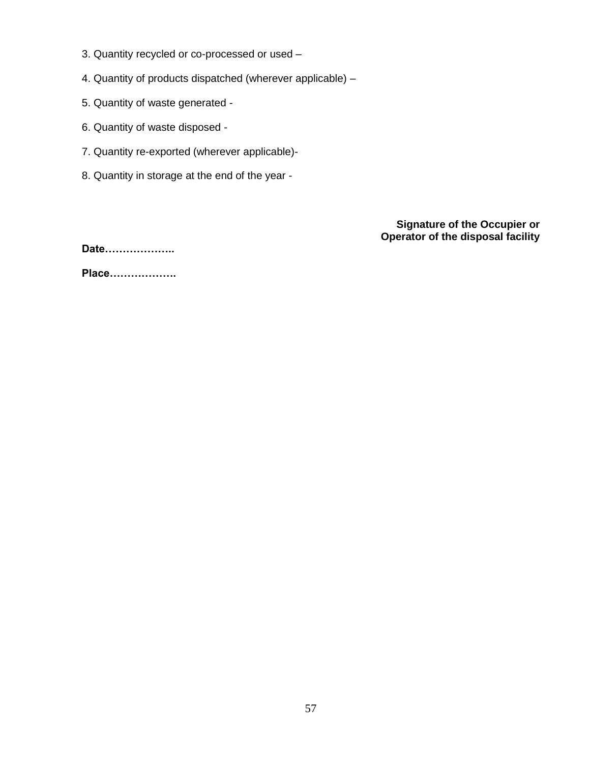- 3. Quantity recycled or co-processed or used –
- 4. Quantity of products dispatched (wherever applicable) –
- 5. Quantity of waste generated -
- 6. Quantity of waste disposed -
- 7. Quantity re-exported (wherever applicable)-
- 8. Quantity in storage at the end of the year -

**Signature of the Occupier or Operator of the disposal facility**

**Date………………..**

**Place……………….**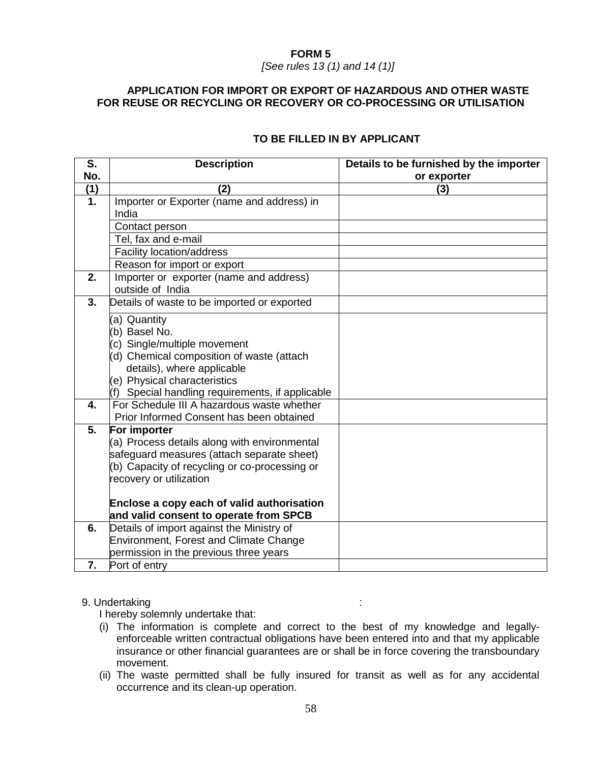#### **FORM 5** *[See rules 13 (1) and 14 (1)]*

## **APPLICATION FOR IMPORT OR EXPORT OF HAZARDOUS AND OTHER WASTE FOR REUSE OR RECYCLING OR RECOVERY OR CO-PROCESSING OR UTILISATION**

| S.  | <b>Description</b>                               | Details to be furnished by the importer |
|-----|--------------------------------------------------|-----------------------------------------|
| No. |                                                  | or exporter                             |
| (1) | (2)                                              | (3)                                     |
| 1.  | Importer or Exporter (name and address) in       |                                         |
|     | India                                            |                                         |
|     | Contact person                                   |                                         |
|     | Tel, fax and e-mail                              |                                         |
|     | Facility location/address                        |                                         |
|     | Reason for import or export                      |                                         |
| 2.  | Importer or exporter (name and address)          |                                         |
|     | outside of India                                 |                                         |
| 3.  | Details of waste to be imported or exported      |                                         |
|     | (a) Quantity                                     |                                         |
|     | (b) Basel No.                                    |                                         |
|     | (c) Single/multiple movement                     |                                         |
|     | (d) Chemical composition of waste (attach        |                                         |
|     | details), where applicable                       |                                         |
|     | (e) Physical characteristics                     |                                         |
|     | (f) Special handling requirements, if applicable |                                         |
| 4.  | For Schedule III A hazardous waste whether       |                                         |
|     | Prior Informed Consent has been obtained         |                                         |
| 5.  | For importer                                     |                                         |
|     | (a) Process details along with environmental     |                                         |
|     | safeguard measures (attach separate sheet)       |                                         |
|     | (b) Capacity of recycling or co-processing or    |                                         |
|     | recovery or utilization                          |                                         |
|     | Enclose a copy each of valid authorisation       |                                         |
|     | and valid consent to operate from SPCB           |                                         |
| 6.  | Details of import against the Ministry of        |                                         |
|     | <b>Environment, Forest and Climate Change</b>    |                                         |
|     | permission in the previous three years           |                                         |
| 7.  | Port of entry                                    |                                         |

# **TO BE FILLED IN BY APPLICANT**

#### 9. Undertaking :

I hereby solemnly undertake that:

- (i) The information is complete and correct to the best of my knowledge and legallyenforceable written contractual obligations have been entered into and that my applicable insurance or other financial guarantees are or shall be in force covering the transboundary movement.
- (ii) The waste permitted shall be fully insured for transit as well as for any accidental occurrence and its clean-up operation.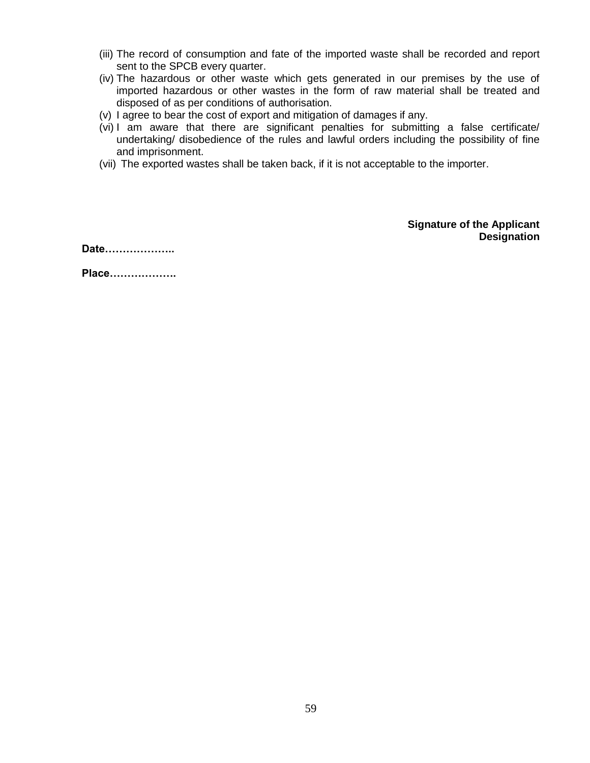- (iii) The record of consumption and fate of the imported waste shall be recorded and report sent to the SPCB every quarter.
- (iv) The hazardous or other waste which gets generated in our premises by the use of imported hazardous or other wastes in the form of raw material shall be treated and disposed of as per conditions of authorisation.
- (v) I agree to bear the cost of export and mitigation of damages if any.
- (vi) I am aware that there are significant penalties for submitting a false certificate/ undertaking/ disobedience of the rules and lawful orders including the possibility of fine and imprisonment.
- (vii) The exported wastes shall be taken back, if it is not acceptable to the importer.

**Signature of the Applicant Designation**

**Date………………..**

**Place……………….**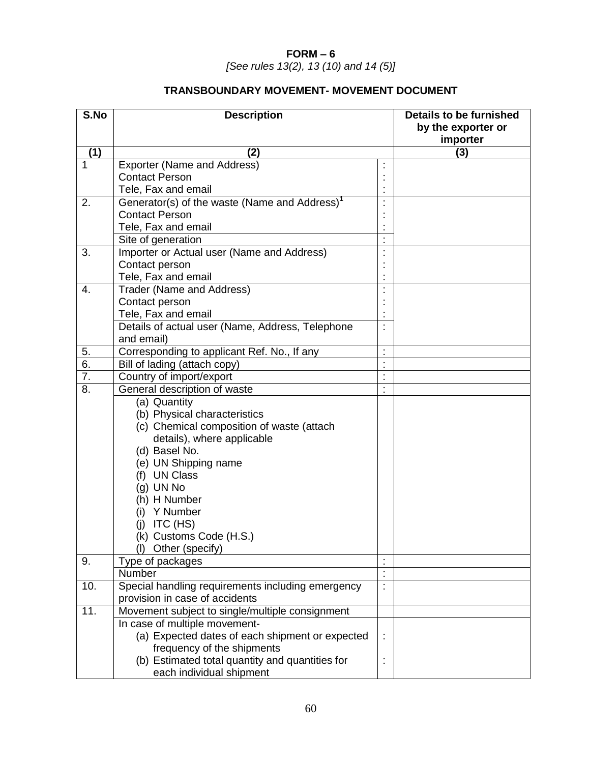# **FORM – 6**

*[See rules 13(2), 13 (10) and 14 (5)]*

# **TRANSBOUNDARY MOVEMENT- MOVEMENT DOCUMENT**

| S.No             | <b>Description</b>                                                               |                | <b>Details to be furnished</b><br>by the exporter or<br>importer |
|------------------|----------------------------------------------------------------------------------|----------------|------------------------------------------------------------------|
| (1)              | (2)                                                                              |                | (3)                                                              |
| $\mathbf{1}$     | Exporter (Name and Address)                                                      |                |                                                                  |
|                  | <b>Contact Person</b>                                                            |                |                                                                  |
|                  | Tele, Fax and email                                                              |                |                                                                  |
| 2.               | Generator(s) of the waste (Name and Address) <sup>1</sup>                        | $\blacksquare$ |                                                                  |
|                  | <b>Contact Person</b>                                                            |                |                                                                  |
|                  | Tele, Fax and email                                                              |                |                                                                  |
|                  | Site of generation                                                               | $\cdot$        |                                                                  |
| 3.               | Importer or Actual user (Name and Address)                                       |                |                                                                  |
|                  | Contact person                                                                   |                |                                                                  |
|                  | Tele, Fax and email                                                              |                |                                                                  |
| 4.               | Trader (Name and Address)                                                        |                |                                                                  |
|                  | Contact person                                                                   |                |                                                                  |
|                  | Tele, Fax and email                                                              |                |                                                                  |
|                  | Details of actual user (Name, Address, Telephone<br>and email)                   | t              |                                                                  |
| 5.               | Corresponding to applicant Ref. No., If any                                      | $\cdot$        |                                                                  |
| 6.               | Bill of lading (attach copy)                                                     |                |                                                                  |
| $\overline{7}$ . | Country of import/export                                                         | ÷,             |                                                                  |
| 8.               | General description of waste                                                     |                |                                                                  |
|                  | (a) Quantity                                                                     |                |                                                                  |
|                  | (b) Physical characteristics                                                     |                |                                                                  |
|                  | (c) Chemical composition of waste (attach                                        |                |                                                                  |
|                  | details), where applicable                                                       |                |                                                                  |
|                  | (d) Basel No.                                                                    |                |                                                                  |
|                  | (e) UN Shipping name                                                             |                |                                                                  |
|                  | (f) UN Class                                                                     |                |                                                                  |
|                  | (g) UN No                                                                        |                |                                                                  |
|                  | (h) H Number                                                                     |                |                                                                  |
|                  | (i) Y Number                                                                     |                |                                                                  |
|                  | ITC (HS)<br>(j)                                                                  |                |                                                                  |
|                  | (k) Customs Code (H.S.)                                                          |                |                                                                  |
|                  | Other (specify)                                                                  |                |                                                                  |
| 9.               | Type of packages                                                                 |                |                                                                  |
|                  | Number                                                                           |                |                                                                  |
| 10.              | Special handling requirements including emergency                                | $\cdot$        |                                                                  |
| 11.              | provision in case of accidents                                                   |                |                                                                  |
|                  | Movement subject to single/multiple consignment                                  |                |                                                                  |
|                  | In case of multiple movement-<br>(a) Expected dates of each shipment or expected |                |                                                                  |
|                  | frequency of the shipments                                                       |                |                                                                  |
|                  | (b) Estimated total quantity and quantities for                                  | İ              |                                                                  |
|                  | each individual shipment                                                         |                |                                                                  |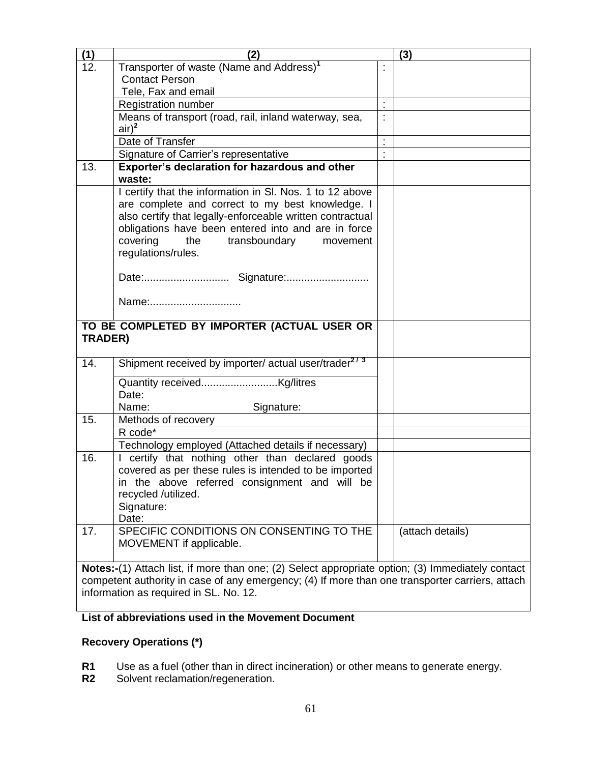| (1)     | (2)                                                                                              |                | (3)              |
|---------|--------------------------------------------------------------------------------------------------|----------------|------------------|
| 12.     | Transporter of waste (Name and Address) <sup>1</sup>                                             |                |                  |
|         | <b>Contact Person</b>                                                                            |                |                  |
|         | Tele, Fax and email                                                                              |                |                  |
|         | <b>Registration number</b>                                                                       | $\blacksquare$ |                  |
|         | Means of transport (road, rail, inland waterway, sea,                                            | $\blacksquare$ |                  |
|         | $air)^2$                                                                                         |                |                  |
|         | Date of Transfer                                                                                 | $\blacksquare$ |                  |
|         | Signature of Carrier's representative                                                            |                |                  |
| 13.     | Exporter's declaration for hazardous and other                                                   |                |                  |
|         | waste:                                                                                           |                |                  |
|         | I certify that the information in SI. Nos. 1 to 12 above                                         |                |                  |
|         | are complete and correct to my best knowledge. I                                                 |                |                  |
|         | also certify that legally-enforceable written contractual                                        |                |                  |
|         | obligations have been entered into and are in force                                              |                |                  |
|         | covering<br>the<br>transboundary<br>movement<br>regulations/rules.                               |                |                  |
|         |                                                                                                  |                |                  |
|         |                                                                                                  |                |                  |
|         |                                                                                                  |                |                  |
|         | Name:                                                                                            |                |                  |
|         |                                                                                                  |                |                  |
|         | TO BE COMPLETED BY IMPORTER (ACTUAL USER OR                                                      |                |                  |
| TRADER) |                                                                                                  |                |                  |
|         |                                                                                                  |                |                  |
| 14.     | Shipment received by importer/ actual user/trader <sup>2/3</sup>                                 |                |                  |
|         |                                                                                                  |                |                  |
|         | Date:                                                                                            |                |                  |
|         | Name:<br>Signature:                                                                              |                |                  |
| 15.     | Methods of recovery                                                                              |                |                  |
|         | R code*                                                                                          |                |                  |
|         | Technology employed (Attached details if necessary)                                              |                |                  |
| 16.     | certify that nothing other than declared goods                                                   |                |                  |
|         | covered as per these rules is intended to be imported                                            |                |                  |
|         | in the above referred consignment and will be                                                    |                |                  |
|         | recycled /utilized.                                                                              |                |                  |
|         | Signature:                                                                                       |                |                  |
|         | Date:                                                                                            |                |                  |
| 17.     | SPECIFIC CONDITIONS ON CONSENTING TO THE                                                         |                | (attach details) |
|         | MOVEMENT if applicable.                                                                          |                |                  |
|         |                                                                                                  |                |                  |
|         | Notes:-(1) Attach list, if more than one; (2) Select appropriate option; (3) Immediately contact |                |                  |
|         | competent authority in case of any emergency; (4) If more than one transporter carriers, attach  |                |                  |
|         | information as required in SL. No. 12.                                                           |                |                  |

# **List of abbreviations used in the Movement Document**

# **Recovery Operations (\*)**

- **R1** Use as a fuel (other than in direct incineration) or other means to generate energy.
- **R2** Solvent reclamation/regeneration.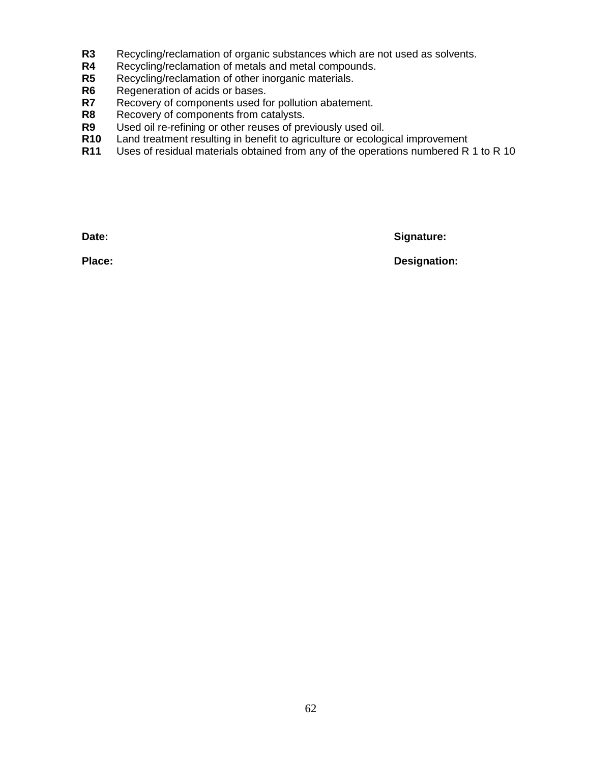- **R3** Recycling/reclamation of organic substances which are not used as solvents.
- R4 Recycling/reclamation of metals and metal compounds.<br>**R5** Recycling/reclamation of other inorganic materials.
- R5 Recycling/reclamation of other inorganic materials.<br>R6 Regeneration of acids or bases.
- **R6** Regeneration of acids or bases.<br>**R7** Recovery of components used fo
- Recovery of components used for pollution abatement.
- **R8** Recovery of components from catalysts.
- **R9** Used oil re-refining or other reuses of previously used oil.
- **R10** Land treatment resulting in benefit to agriculture or ecological improvement
- **R11** Uses of residual materials obtained from any of the operations numbered R 1 to R 10

Date: Signature:

**Place: Designation:**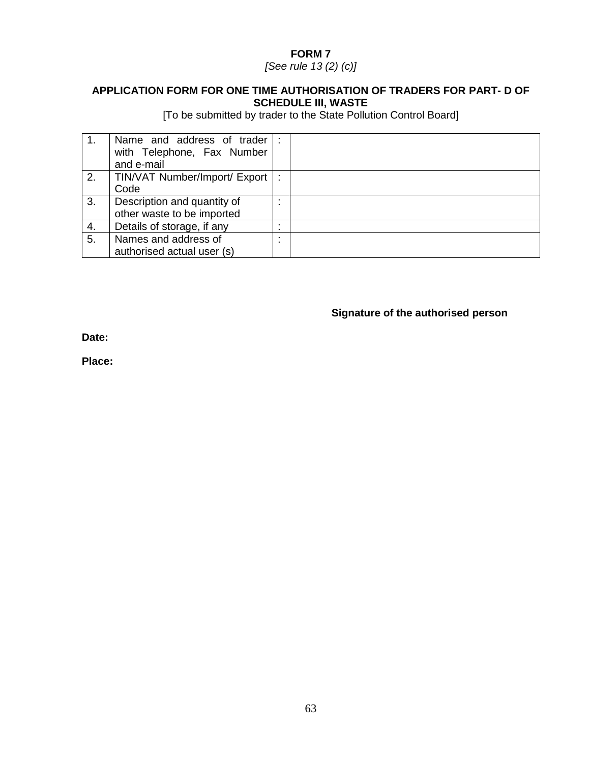*[See rule 13 (2) (c)]*

# **APPLICATION FORM FOR ONE TIME AUTHORISATION OF TRADERS FOR PART- D OF SCHEDULE III, WASTE**

[To be submitted by trader to the State Pollution Control Board]

|    | Name and address of trader    | $\mathbb{R}$ |  |
|----|-------------------------------|--------------|--|
|    | with Telephone, Fax Number    |              |  |
|    | and e-mail                    |              |  |
| 2. | TIN/VAT Number/Import/ Export | ÷            |  |
|    | Code                          |              |  |
| 3. | Description and quantity of   | $\cdot$      |  |
|    | other waste to be imported    |              |  |
| 4. | Details of storage, if any    | $\cdot$      |  |
| 5. | Names and address of          | $\cdot$<br>٠ |  |
|    | authorised actual user (s)    |              |  |

# **Signature of the authorised person**

**Date:**

**Place:**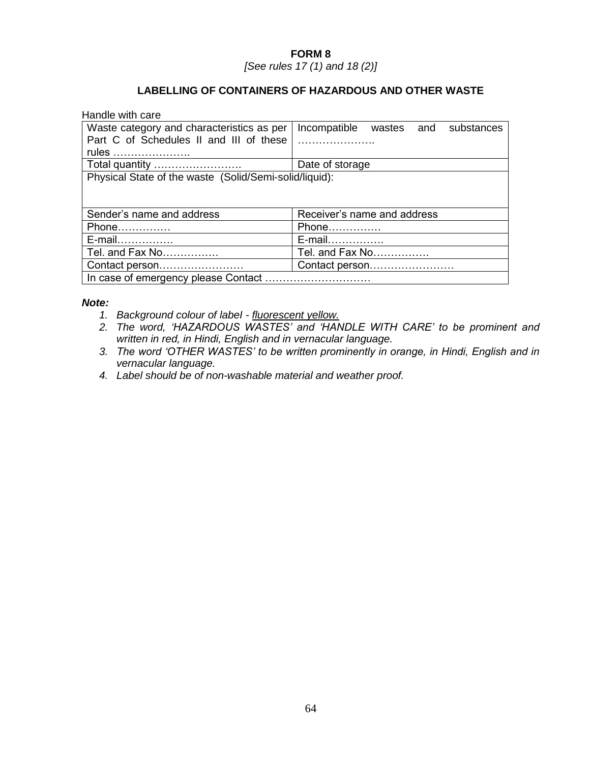*[See rules 17 (1) and 18 (2)]*

# **LABELLING OF CONTAINERS OF HAZARDOUS AND OTHER WASTE**

| Handle with care                                       |                                       |  |  |  |  |
|--------------------------------------------------------|---------------------------------------|--|--|--|--|
| Waste category and characteristics as per              | Incompatible wastes and<br>substances |  |  |  |  |
| Part C of Schedules II and III of these                |                                       |  |  |  |  |
| rules                                                  |                                       |  |  |  |  |
| Total quantity                                         | Date of storage                       |  |  |  |  |
| Physical State of the waste (Solid/Semi-solid/liquid): |                                       |  |  |  |  |
|                                                        |                                       |  |  |  |  |
| Sender's name and address                              | Receiver's name and address           |  |  |  |  |
| Phone                                                  | Phone                                 |  |  |  |  |
| E-mail                                                 | E-mail                                |  |  |  |  |
| Tel. and Fax No                                        | Tel. and Fax No                       |  |  |  |  |
| Contact person                                         | Contact person                        |  |  |  |  |
| In case of emergency please Contact                    |                                       |  |  |  |  |

#### *Note:*

- *1. Background colour of labeI - fluorescent yellow.*
- *2. The word, 'HAZARDOUS WASTES' and 'HANDLE WITH CARE' to be prominent and written in red, in Hindi, English and in vernacular language.*
- *3. The word 'OTHER WASTES' to be written prominently in orange, in Hindi, English and in vernacular language.*
- *4. Label should be of non-washable material and weather proof.*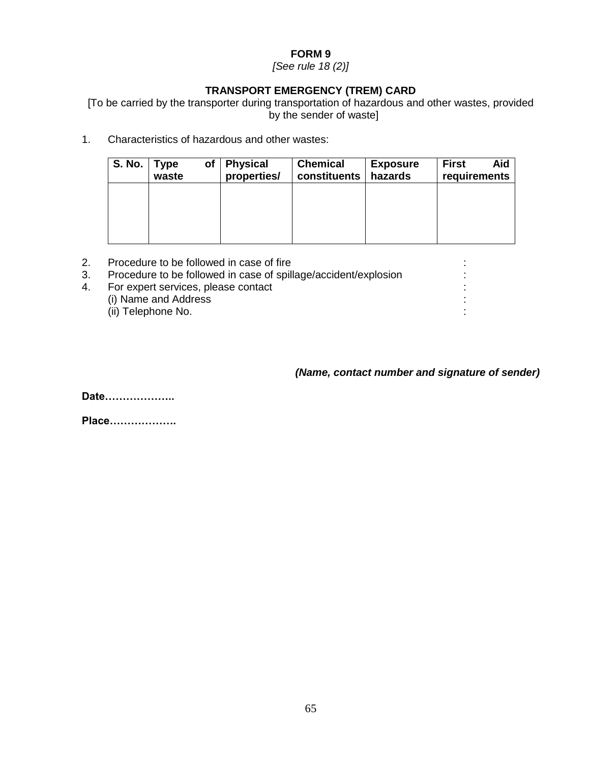*[See rule 18 (2)]*

# **TRANSPORT EMERGENCY (TREM) CARD**

[To be carried by the transporter during transportation of hazardous and other wastes, provided by the sender of waste]

1. Characteristics of hazardous and other wastes:

| S. No. | <b>Type</b><br>waste | оf | <b>Physical</b><br>properties/ | <b>Chemical</b><br>constituents | <b>Exposure</b><br>hazards | <b>First</b><br>Aid<br>requirements |
|--------|----------------------|----|--------------------------------|---------------------------------|----------------------------|-------------------------------------|
|        |                      |    |                                |                                 |                            |                                     |
|        |                      |    |                                |                                 |                            |                                     |
|        |                      |    |                                |                                 |                            |                                     |

- 2. Procedure to be followed in case of fire :
- 3. Procedure to be followed in case of spillage/accident/explosion :
- 4. For expert services, please contact :
	- (i) Name and Address :
	- (ii) Telephone No. :

# *(Name, contact number and signature of sender)*

**Date………………..**

**Place……………….**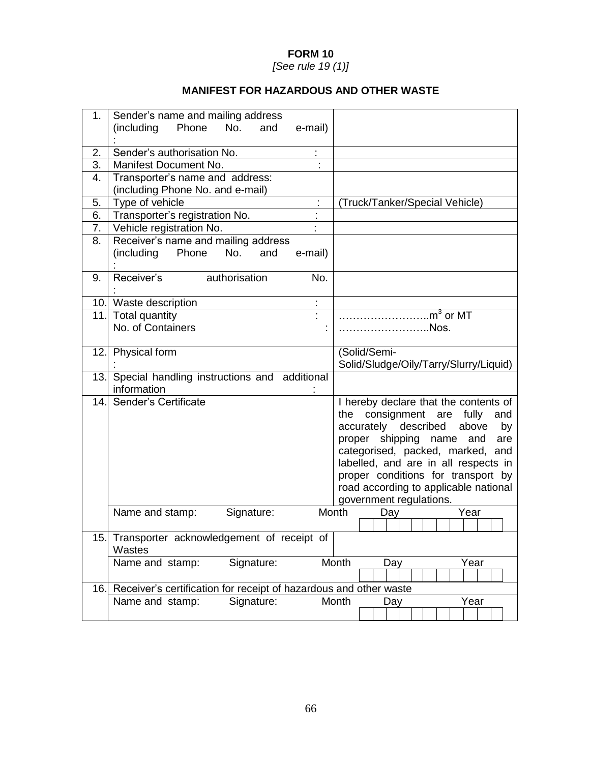*[See rule 19 (1)]*

# **MANIFEST FOR HAZARDOUS AND OTHER WASTE**

| 1.  | Sender's name and mailing address<br>(including<br>No.<br>Phone<br>and           | e-mail)                                                                                                                                                                                                                                                                                                                                            |  |  |  |  |
|-----|----------------------------------------------------------------------------------|----------------------------------------------------------------------------------------------------------------------------------------------------------------------------------------------------------------------------------------------------------------------------------------------------------------------------------------------------|--|--|--|--|
| 2.  | Sender's authorisation No.                                                       |                                                                                                                                                                                                                                                                                                                                                    |  |  |  |  |
| 3.  | Manifest Document No.                                                            |                                                                                                                                                                                                                                                                                                                                                    |  |  |  |  |
| 4.  | Transporter's name and address:                                                  |                                                                                                                                                                                                                                                                                                                                                    |  |  |  |  |
|     | (including Phone No. and e-mail)                                                 |                                                                                                                                                                                                                                                                                                                                                    |  |  |  |  |
| 5.  | Type of vehicle                                                                  | (Truck/Tanker/Special Vehicle)                                                                                                                                                                                                                                                                                                                     |  |  |  |  |
| 6.  | Transporter's registration No.                                                   |                                                                                                                                                                                                                                                                                                                                                    |  |  |  |  |
| 7.  | Vehicle registration No.                                                         |                                                                                                                                                                                                                                                                                                                                                    |  |  |  |  |
| 8.  | Receiver's name and mailing address<br>(including Phone<br>No.<br>and<br>e-mail) |                                                                                                                                                                                                                                                                                                                                                    |  |  |  |  |
| 9.  | Receiver's<br>authorisation                                                      | No.                                                                                                                                                                                                                                                                                                                                                |  |  |  |  |
|     | 10. Waste description                                                            | ÷                                                                                                                                                                                                                                                                                                                                                  |  |  |  |  |
|     | 11. Total quantity                                                               | $\mathsf{m}^3$ or MT                                                                                                                                                                                                                                                                                                                               |  |  |  |  |
|     | No. of Containers                                                                | .Nos.                                                                                                                                                                                                                                                                                                                                              |  |  |  |  |
|     | 12. Physical form                                                                | (Solid/Semi-<br>Solid/Sludge/Oily/Tarry/Slurry/Liquid)                                                                                                                                                                                                                                                                                             |  |  |  |  |
|     | 13. Special handling instructions and additional<br>information                  |                                                                                                                                                                                                                                                                                                                                                    |  |  |  |  |
| 14. | Sender's Certificate                                                             | I hereby declare that the contents of<br>the consignment are<br>fully<br>and<br>accurately described<br>above<br>by<br>proper shipping<br>name<br>and<br>are<br>categorised, packed, marked, and<br>labelled, and are in all respects in<br>proper conditions for transport by<br>road according to applicable national<br>government regulations. |  |  |  |  |
|     | Name and stamp:<br>Signature:                                                    | Month<br>Year<br>Day                                                                                                                                                                                                                                                                                                                               |  |  |  |  |
|     | 15. Transporter acknowledgement of receipt of<br>Wastes                          |                                                                                                                                                                                                                                                                                                                                                    |  |  |  |  |
|     | Signature:<br>Name and stamp:                                                    | Month<br>Year<br>Day                                                                                                                                                                                                                                                                                                                               |  |  |  |  |
|     | Receiver's certification for receipt of hazardous and other waste<br>16.         |                                                                                                                                                                                                                                                                                                                                                    |  |  |  |  |
|     | Name and stamp:<br>Signature:                                                    | Month<br>Year<br>Day                                                                                                                                                                                                                                                                                                                               |  |  |  |  |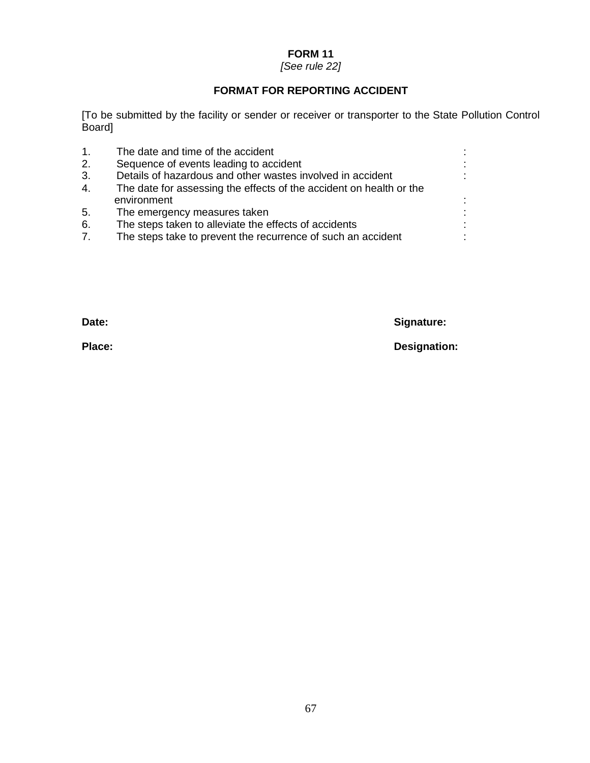# *[See rule 22]*

# **FORMAT FOR REPORTING ACCIDENT**

[To be submitted by the facility or sender or receiver or transporter to the State Pollution Control Board]

| 1. | The date and time of the accident                                   |  |
|----|---------------------------------------------------------------------|--|
| 2. | Sequence of events leading to accident                              |  |
| 3. | Details of hazardous and other wastes involved in accident          |  |
| 4. | The date for assessing the effects of the accident on health or the |  |
|    | environment                                                         |  |
| 5. | The emergency measures taken                                        |  |
| 6. | The steps taken to alleviate the effects of accidents               |  |
| 7. | The steps take to prevent the recurrence of such an accident        |  |
|    |                                                                     |  |

**Date: Signature:**

**Place: Designation:**